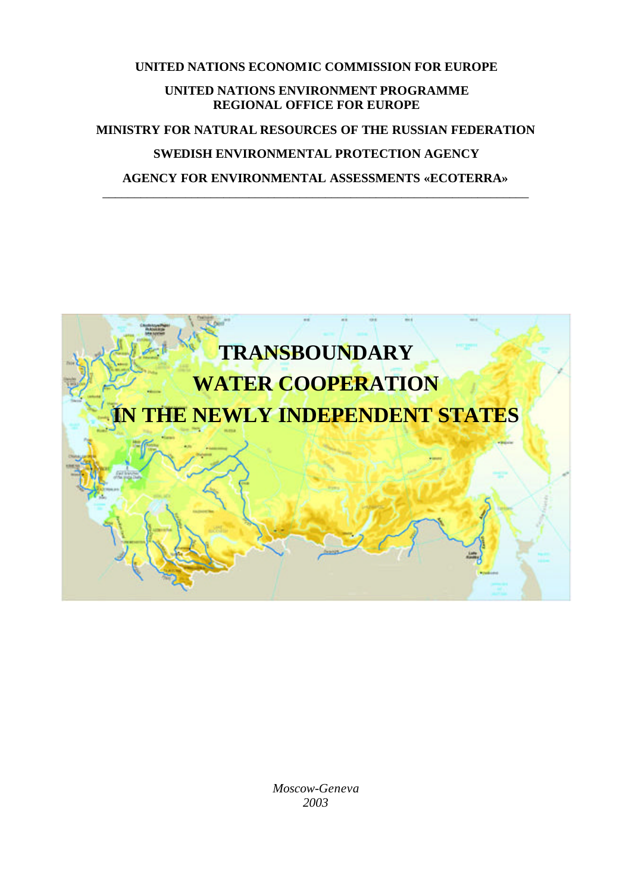**UNITED NATIONS ECONOMIC COMMISSION FOR EUROPE UNITED NATIONS ENVIRONMENT PROGRAMME**

**REGIONAL OFFICE FOR EUROPE**

**MINISTRY FOR NATURAL RESOURCES OF THE RUSSIAN FEDERATION**

# **SWEDISH ENVIRONMENTAL PROTECTION AGENCY**

**AGENCY FOR ENVIRONMENTAL ASSESSMENTS «ECOTERRA»** \_\_\_\_\_\_\_\_\_\_\_\_\_\_\_\_\_\_\_\_\_\_\_\_\_\_\_\_\_\_\_\_\_\_\_\_\_\_\_\_\_\_\_\_\_\_\_\_\_\_\_\_\_\_\_\_\_\_\_\_\_\_\_\_\_\_\_



*Moscow-Geneva 2003*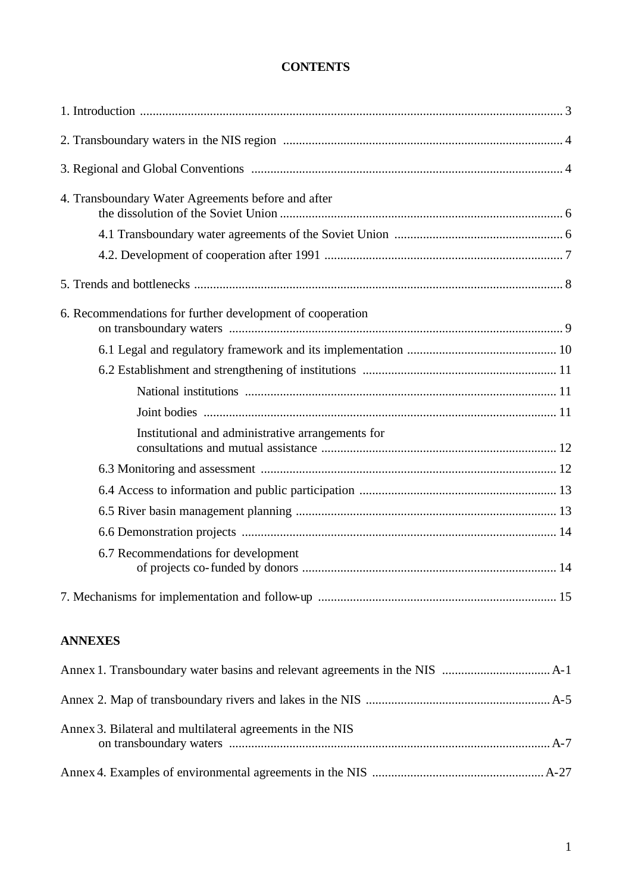# **CONTENTS**

| 4. Transboundary Water Agreements before and after        |  |
|-----------------------------------------------------------|--|
|                                                           |  |
|                                                           |  |
|                                                           |  |
| 6. Recommendations for further development of cooperation |  |
|                                                           |  |
|                                                           |  |
|                                                           |  |
|                                                           |  |
| Institutional and administrative arrangements for         |  |
|                                                           |  |
|                                                           |  |
|                                                           |  |
|                                                           |  |
| 6.7 Recommendations for development                       |  |
|                                                           |  |

# **ANNEXES**

| Annex 3. Bilateral and multilateral agreements in the NIS |  |
|-----------------------------------------------------------|--|
|                                                           |  |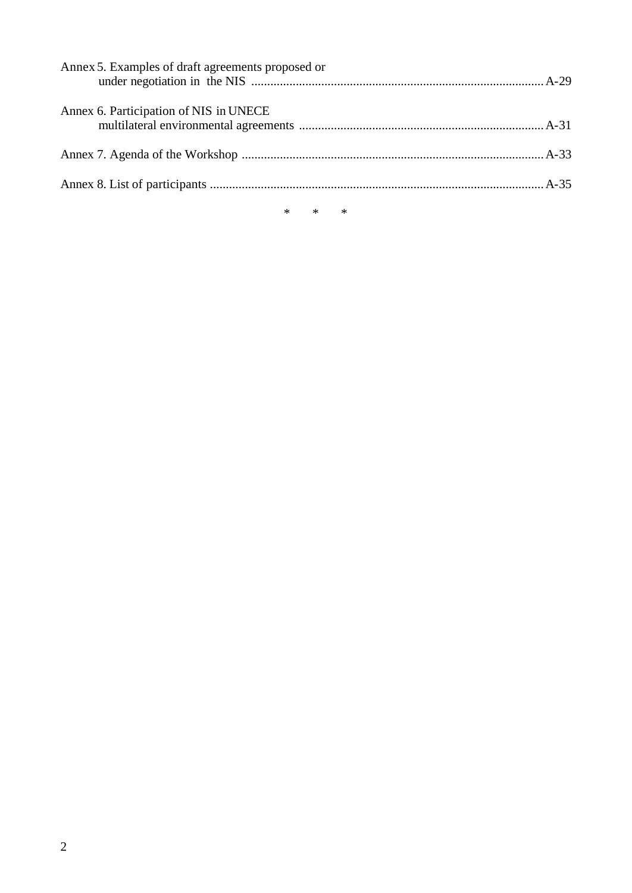| Annex 5. Examples of draft agreements proposed or |  |         |  |  |  |  |  |  |
|---------------------------------------------------|--|---------|--|--|--|--|--|--|
| Annex 6. Participation of NIS in UNECE            |  |         |  |  |  |  |  |  |
|                                                   |  |         |  |  |  |  |  |  |
|                                                   |  |         |  |  |  |  |  |  |
|                                                   |  | $*$ * * |  |  |  |  |  |  |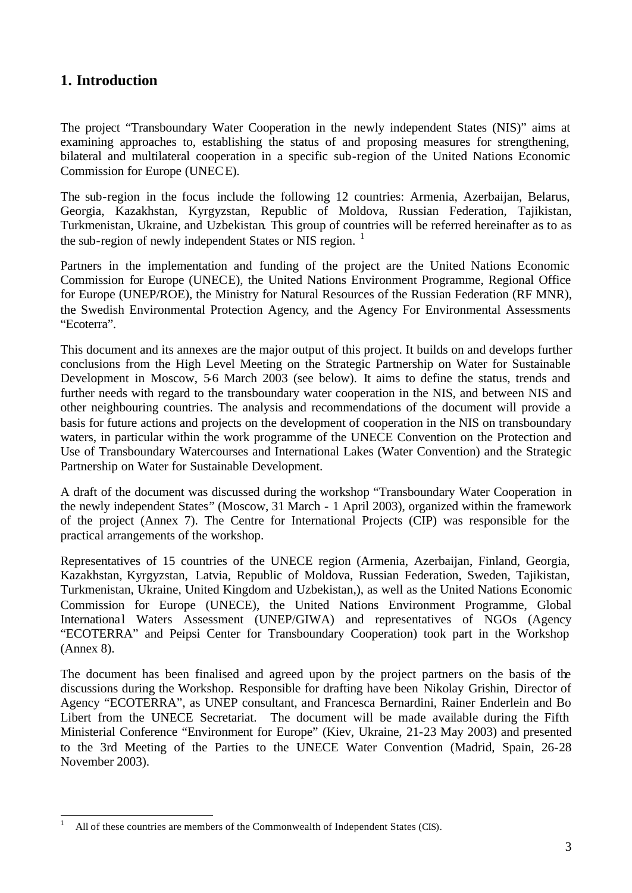# **1. Introduction**

The project "Transboundary Water Cooperation in the newly independent States (NIS)" aims at examining approaches to, establishing the status of and proposing measures for strengthening, bilateral and multilateral cooperation in a specific sub-region of the United Nations Economic Commission for Europe (UNECE).

The sub-region in the focus include the following 12 countries: Armenia, Azerbaijan, Belarus, Georgia, Kazakhstan, Kyrgyzstan, Republic of Moldova, Russian Federation, Tajikistan, Turkmenistan, Ukraine, and Uzbekistan. This group of countries will be referred hereinafter as to as the sub-region of newly independent States or NIS region.  $1$ 

Partners in the implementation and funding of the project are the United Nations Economic Commission for Europe (UNECE), the United Nations Environment Programme, Regional Office for Europe (UNEP/ROE), the Ministry for Natural Resources of the Russian Federation (RF MNR), the Swedish Environmental Protection Agency, and the Agency For Environmental Assessments "Ecoterra".

This document and its annexes are the major output of this project. It builds on and develops further conclusions from the High Level Meeting on the Strategic Partnership on Water for Sustainable Development in Moscow, 5-6 March 2003 (see below). It aims to define the status, trends and further needs with regard to the transboundary water cooperation in the NIS, and between NIS and other neighbouring countries. The analysis and recommendations of the document will provide a basis for future actions and projects on the development of cooperation in the NIS on transboundary waters, in particular within the work programme of the UNECE Convention on the Protection and Use of Transboundary Watercourses and International Lakes (Water Convention) and the Strategic Partnership on Water for Sustainable Development.

A draft of the document was discussed during the workshop "Transboundary Water Cooperation in the newly independent States" (Moscow, 31 March - 1 April 2003), organized within the framework of the project (Annex 7). The Centre for International Projects (CIP) was responsible for the practical arrangements of the workshop.

Representatives of 15 countries of the UNECE region (Armenia, Azerbaijan, Finland, Georgia, Kazakhstan, Kyrgyzstan, Latvia, Republic of Moldova, Russian Federation, Sweden, Tajikistan, Turkmenistan, Ukraine, United Kingdom and Uzbekistan,), as well as the United Nations Economic Commission for Europe (UNECE), the United Nations Environment Programme, Global International Waters Assessment (UNEP/GIWA) and representatives of NGOs (Agency "ECOTERRA" and Peipsi Center for Transboundary Cooperation) took part in the Workshop (Annex 8).

The document has been finalised and agreed upon by the project partners on the basis of the discussions during the Workshop. Responsible for drafting have been Nikolay Grishin, Director of Agency "ECOTERRA", as UNEP consultant, and Francesca Bernardini, Rainer Enderlein and Bo Libert from the UNECE Secretariat. The document will be made available during the Fifth Ministerial Conference "Environment for Europe" (Kiev, Ukraine, 21-23 May 2003) and presented to the 3rd Meeting of the Parties to the UNECE Water Convention (Madrid, Spain, 26-28 November 2003).

 $\,1\,$ All of these countries are members of the Commonwealth of Independent States (CIS).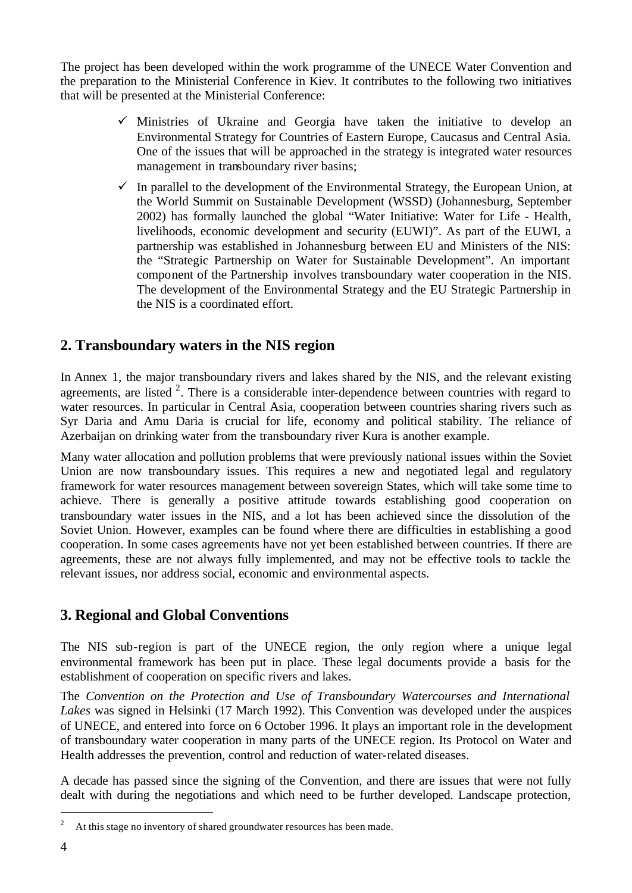The project has been developed within the work programme of the UNECE Water Convention and the preparation to the Ministerial Conference in Kiev. It contributes to the following two initiatives that will be presented at the Ministerial Conference:

- $\checkmark$  Ministries of Ukraine and Georgia have taken the initiative to develop an Environmental Strategy for Countries of Eastern Europe, Caucasus and Central Asia. One of the issues that will be approached in the strategy is integrated water resources management in transboundary river basins;
- $\checkmark$  In parallel to the development of the Environmental Strategy, the European Union, at the World Summit on Sustainable Development (WSSD) (Johannesburg, September 2002) has formally launched the global "Water Initiative: Water for Life - Health, livelihoods, economic development and security (EUWI)". As part of the EUWI, a partnership was established in Johannesburg between EU and Ministers of the NIS: the "Strategic Partnership on Water for Sustainable Development". An important component of the Partnership involves transboundary water cooperation in the NIS. The development of the Environmental Strategy and the EU Strategic Partnership in the NIS is a coordinated effort.

# **2. Transboundary waters in the NIS region**

In Annex 1, the major transboundary rivers and lakes shared by the NIS, and the relevant existing agreements, are listed  $2$ . There is a considerable inter-dependence between countries with regard to water resources. In particular in Central Asia, cooperation between countries sharing rivers such as Syr Daria and Amu Daria is crucial for life, economy and political stability. The reliance of Azerbaijan on drinking water from the transboundary river Kura is another example.

Many water allocation and pollution problems that were previously national issues within the Soviet Union are now transboundary issues. This requires a new and negotiated legal and regulatory framework for water resources management between sovereign States, which will take some time to achieve. There is generally a positive attitude towards establishing good cooperation on transboundary water issues in the NIS, and a lot has been achieved since the dissolution of the Soviet Union. However, examples can be found where there are difficulties in establishing a good cooperation. In some cases agreements have not yet been established between countries. If there are agreements, these are not always fully implemented, and may not be effective tools to tackle the relevant issues, nor address social, economic and environmental aspects.

# **3. Regional and Global Conventions**

The NIS sub-region is part of the UNECE region, the only region where a unique legal environmental framework has been put in place. These legal documents provide a basis for the establishment of cooperation on specific rivers and lakes.

The *Convention on the Protection and Use of Transboundary Watercourses and International Lakes* was signed in Helsinki (17 March 1992). This Convention was developed under the auspices of UNECE, and entered into force on 6 October 1996. It plays an important role in the development of transboundary water cooperation in many parts of the UNECE region. Its Protocol on Water and Health addresses the prevention, control and reduction of water-related diseases.

A decade has passed since the signing of the Convention, and there are issues that were not fully dealt with during the negotiations and which need to be further developed. Landscape protection,

<sup>&</sup>lt;sup>2</sup> At this stage no inventory of shared groundwater resources has been made.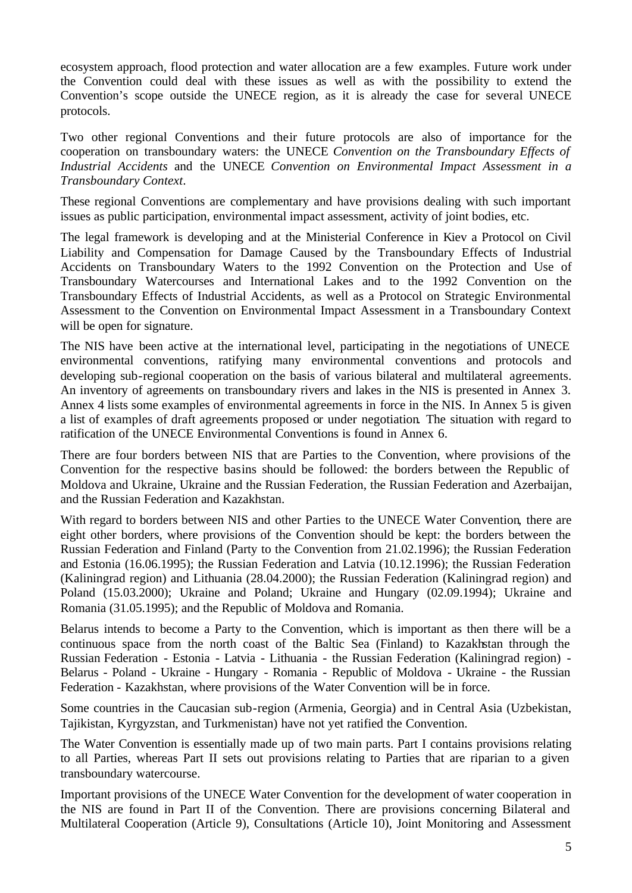ecosystem approach, flood protection and water allocation are a few examples. Future work under the Convention could deal with these issues as well as with the possibility to extend the Convention's scope outside the UNECE region, as it is already the case for several UNECE protocols.

Two other regional Conventions and their future protocols are also of importance for the cooperation on transboundary waters: the UNECE *Convention on the Transboundary Effects of Industrial Accidents* and the UNECE *Convention on Environmental Impact Assessment in a Transboundary Context*.

These regional Conventions are complementary and have provisions dealing with such important issues as public participation, environmental impact assessment, activity of joint bodies, etc.

The legal framework is developing and at the Ministerial Conference in Kiev a Protocol on Civil Liability and Compensation for Damage Caused by the Transboundary Effects of Industrial Accidents on Transboundary Waters to the 1992 Convention on the Protection and Use of Transboundary Watercourses and International Lakes and to the 1992 Convention on the Transboundary Effects of Industrial Accidents, as well as a Protocol on Strategic Environmental Assessment to the Convention on Environmental Impact Assessment in a Transboundary Context will be open for signature.

The NIS have been active at the international level, participating in the negotiations of UNECE environmental conventions, ratifying many environmental conventions and protocols and developing sub-regional cooperation on the basis of various bilateral and multilateral agreements. An inventory of agreements on transboundary rivers and lakes in the NIS is presented in Annex 3. Annex 4 lists some examples of environmental agreements in force in the NIS. In Annex 5 is given a list of examples of draft agreements proposed or under negotiation. The situation with regard to ratification of the UNECE Environmental Conventions is found in Annex 6.

There are four borders between NIS that are Parties to the Convention, where provisions of the Convention for the respective basins should be followed: the borders between the Republic of Moldova and Ukraine, Ukraine and the Russian Federation, the Russian Federation and Azerbaijan, and the Russian Federation and Kazakhstan.

With regard to borders between NIS and other Parties to the UNECE Water Convention, there are eight other borders, where provisions of the Convention should be kept: the borders between the Russian Federation and Finland (Party to the Convention from 21.02.1996); the Russian Federation and Estonia (16.06.1995); the Russian Federation and Latvia (10.12.1996); the Russian Federation (Kaliningrad region) and Lithuania (28.04.2000); the Russian Federation (Kaliningrad region) and Poland (15.03.2000); Ukraine and Poland; Ukraine and Hungary (02.09.1994); Ukraine and Romania (31.05.1995); and the Republic of Moldova and Romania.

Belarus intends to become a Party to the Convention, which is important as then there will be a continuous space from the north coast of the Baltic Sea (Finland) to Kazakhstan through the Russian Federation - Estonia - Latvia - Lithuania - the Russian Federation (Kaliningrad region) - Belarus - Poland - Ukraine - Hungary - Romania - Republic of Moldova - Ukraine - the Russian Federation - Kazakhstan, where provisions of the Water Convention will be in force.

Some countries in the Caucasian sub-region (Armenia, Georgia) and in Central Asia (Uzbekistan, Tajikistan, Kyrgyzstan, and Turkmenistan) have not yet ratified the Convention.

The Water Convention is essentially made up of two main parts. Part I contains provisions relating to all Parties, whereas Part II sets out provisions relating to Parties that are riparian to a given transboundary watercourse.

Important provisions of the UNECE Water Convention for the development of water cooperation in the NIS are found in Part II of the Convention. There are provisions concerning Bilateral and Multilateral Cooperation (Article 9), Consultations (Article 10), Joint Monitoring and Assessment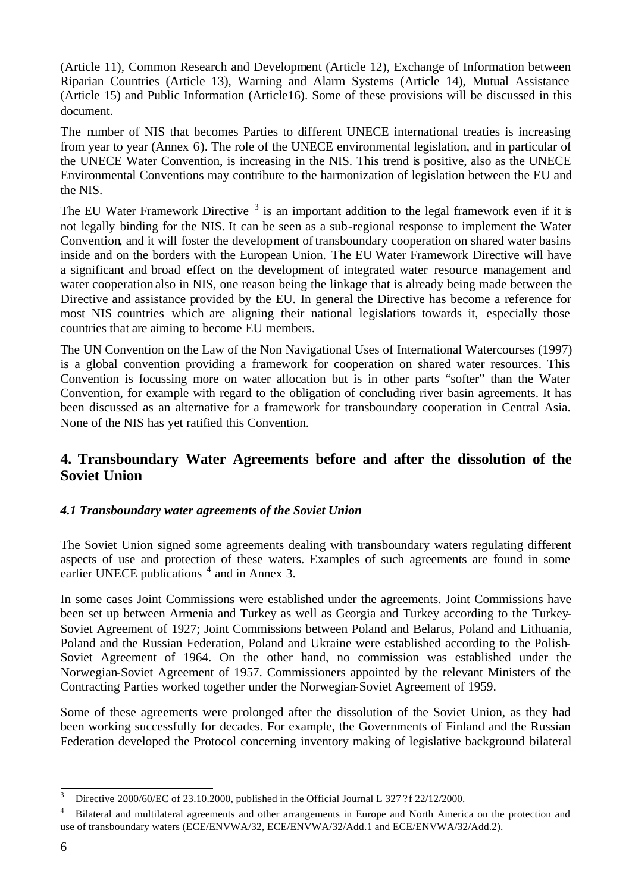(Article 11), Common Research and Development (Article 12), Exchange of Information between Riparian Countries (Article 13), Warning and Alarm Systems (Article 14), Mutual Assistance (Article 15) and Public Information (Article16). Some of these provisions will be discussed in this document.

The number of NIS that becomes Parties to different UNECE international treaties is increasing from year to year (Annex 6). The role of the UNECE environmental legislation, and in particular of the UNECE Water Convention, is increasing in the NIS. This trend is positive, also as the UNECE Environmental Conventions may contribute to the harmonization of legislation between the EU and the NIS.

The EU Water Framework Directive  $3$  is an important addition to the legal framework even if it is not legally binding for the NIS. It can be seen as a sub-regional response to implement the Water Convention, and it will foster the development of transboundary cooperation on shared water basins inside and on the borders with the European Union. The EU Water Framework Directive will have a significant and broad effect on the development of integrated water resource management and water cooperation also in NIS, one reason being the linkage that is already being made between the Directive and assistance provided by the EU. In general the Directive has become a reference for most NIS countries which are aligning their national legislations towards it, especially those countries that are aiming to become EU members.

The UN Convention on the Law of the Non Navigational Uses of International Watercourses (1997) is a global convention providing a framework for cooperation on shared water resources. This Convention is focussing more on water allocation but is in other parts "softer" than the Water Convention, for example with regard to the obligation of concluding river basin agreements. It has been discussed as an alternative for a framework for transboundary cooperation in Central Asia. None of the NIS has yet ratified this Convention.

# **4. Transboundary Water Agreements before and after the dissolution of the Soviet Union**

# *4.1 Transboundary water agreements of the Soviet Union*

The Soviet Union signed some agreements dealing with transboundary waters regulating different aspects of use and protection of these waters. Examples of such agreements are found in some earlier UNECE publications <sup>4</sup> and in Annex 3.

In some cases Joint Commissions were established under the agreements. Joint Commissions have been set up between Armenia and Turkey as well as Georgia and Turkey according to the Turkey-Soviet Agreement of 1927; Joint Commissions between Poland and Belarus, Poland and Lithuania, Poland and the Russian Federation, Poland and Ukraine were established according to the Polish-Soviet Agreement of 1964. On the other hand, no commission was established under the Norwegian-Soviet Agreement of 1957. Commissioners appointed by the relevant Ministers of the Contracting Parties worked together under the Norwegian-Soviet Agreement of 1959.

Some of these agreements were prolonged after the dissolution of the Soviet Union, as they had been working successfully for decades. For example, the Governments of Finland and the Russian Federation developed the Protocol concerning inventory making of legislative background bilateral

 $\overline{3}$ <sup>3</sup> Directive 2000/60/EC of 23.10.2000, published in the Official Journal L 327 ?f 22/12/2000.

<sup>&</sup>lt;sup>4</sup> Bilateral and multilateral agreements and other arrangements in Europe and North America on the protection and use of transboundary waters (ECE/ENVWA/32, ECE/ENVWA/32/Add.1 and ECE/ENVWA/32/Add.2).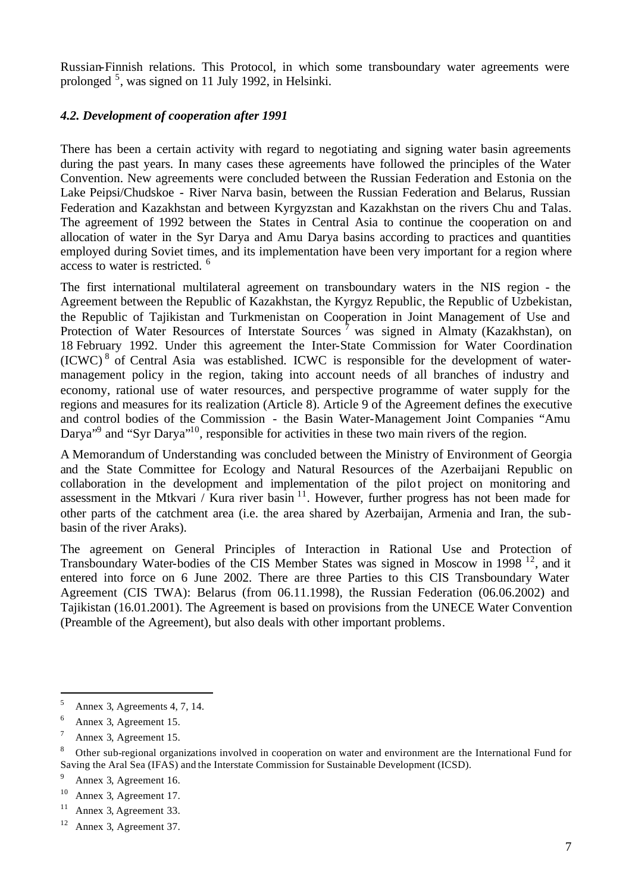Russian-Finnish relations. This Protocol, in which some transboundary water agreements were prolonged <sup>5</sup>, was signed on 11 July 1992, in Helsinki.

#### *4.2. Development of cooperation after 1991*

There has been a certain activity with regard to negotiating and signing water basin agreements during the past years. In many cases these agreements have followed the principles of the Water Convention. New agreements were concluded between the Russian Federation and Estonia on the Lake Peipsi/Chudskoe - River Narva basin, between the Russian Federation and Belarus, Russian Federation and Kazakhstan and between Kyrgyzstan and Kazakhstan on the rivers Chu and Talas. The agreement of 1992 between the States in Central Asia to continue the cooperation on and allocation of water in the Syr Darya and Amu Darya basins according to practices and quantities employed during Soviet times, and its implementation have been very important for a region where access to water is restricted. <sup>6</sup>

The first international multilateral agreement on transboundary waters in the NIS region - the Agreement between the Republic of Kazakhstan, the Kyrgyz Republic, the Republic of Uzbekistan, the Republic of Tajikistan and Turkmenistan on Cooperation in Joint Management of Use and Protection of Water Resources of Interstate Sources<sup>7</sup> was signed in Almaty (Kazakhstan), on 18 February 1992. Under this agreement the Inter-State Commission for Water Coordination (ICWC) <sup>8</sup> of Central Asia was established. ICWC is responsible for the development of watermanagement policy in the region, taking into account needs of all branches of industry and economy, rational use of water resources, and perspective programme of water supply for the regions and measures for its realization (Article 8). Article 9 of the Agreement defines the executive and control bodies of the Commission - the Basin Water-Management Joint Companies "Amu Darya<sup>"9</sup> and "Syr Darya<sup>"10</sup>, responsible for activities in these two main rivers of the region.

A Memorandum of Understanding was concluded between the Ministry of Environment of Georgia and the State Committee for Ecology and Natural Resources of the Azerbaijani Republic on collaboration in the development and implementation of the pilot project on monitoring and assessment in the Mtkvari / Kura river basin<sup>11</sup>. However, further progress has not been made for other parts of the catchment area (i.e. the area shared by Azerbaijan, Armenia and Iran, the subbasin of the river Araks).

The agreement on General Principles of Interaction in Rational Use and Protection of Transboundary Water-bodies of the CIS Member States was signed in Moscow in 1998<sup>12</sup>, and it entered into force on 6 June 2002. There are three Parties to this CIS Transboundary Water Agreement (CIS TWA): Belarus (from 06.11.1998), the Russian Federation (06.06.2002) and Tajikistan (16.01.2001). The Agreement is based on provisions from the UNECE Water Convention (Preamble of the Agreement), but also deals with other important problems.

 $5$  Annex 3, Agreements 4, 7, 14.

<sup>6</sup> Annex 3, Agreement 15.

<sup>7</sup> Annex 3, Agreement 15.

<sup>8</sup> Other sub-regional organizations involved in cooperation on water and environment are the International Fund for Saving the Aral Sea (IFAS) and the Interstate Commission for Sustainable Development (ICSD).

Annex 3, Agreement 16.

<sup>10</sup> Annex 3, Agreement 17.

 $11$  Annex 3, Agreement 33.

 $12$  Annex 3, Agreement 37.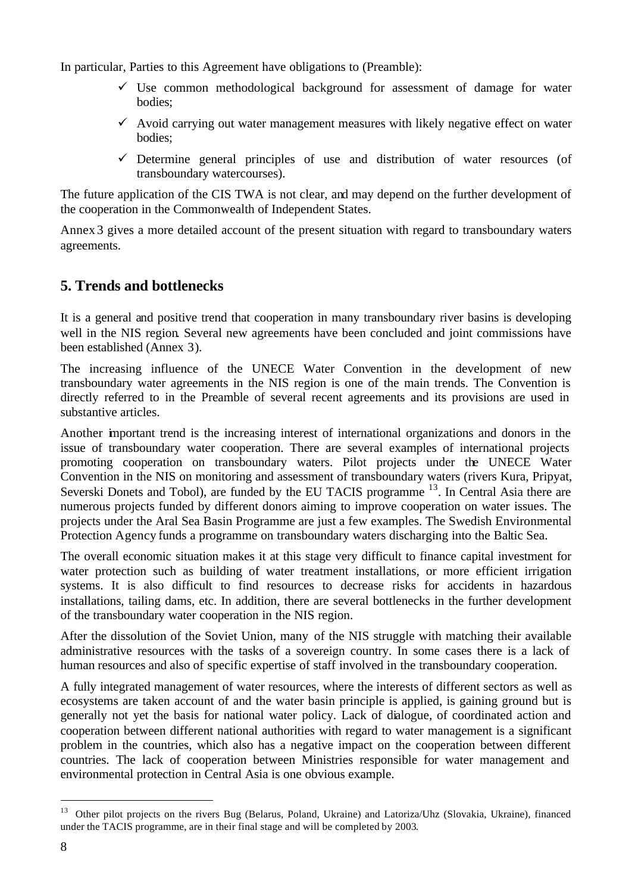In particular, Parties to this Agreement have obligations to (Preamble):

- $\checkmark$  Use common methodological background for assessment of damage for water bodies;
- $\checkmark$  Avoid carrying out water management measures with likely negative effect on water bodies;
- $\checkmark$  Determine general principles of use and distribution of water resources (of transboundary watercourses).

The future application of the CIS TWA is not clear, and may depend on the further development of the cooperation in the Commonwealth of Independent States.

Annex 3 gives a more detailed account of the present situation with regard to transboundary waters agreements.

# **5. Trends and bottlenecks**

It is a general and positive trend that cooperation in many transboundary river basins is developing well in the NIS region. Several new agreements have been concluded and joint commissions have been established (Annex 3).

The increasing influence of the UNECE Water Convention in the development of new transboundary water agreements in the NIS region is one of the main trends. The Convention is directly referred to in the Preamble of several recent agreements and its provisions are used in substantive articles.

Another important trend is the increasing interest of international organizations and donors in the issue of transboundary water cooperation. There are several examples of international projects promoting cooperation on transboundary waters. Pilot projects under the UNECE Water Convention in the NIS on monitoring and assessment of transboundary waters (rivers Kura, Pripyat, Severski Donets and Tobol), are funded by the EU TACIS programme <sup>13</sup>. In Central Asia there are numerous projects funded by different donors aiming to improve cooperation on water issues. The projects under the Aral Sea Basin Programme are just a few examples. The Swedish Environmental Protection Agency funds a programme on transboundary waters discharging into the Baltic Sea.

The overall economic situation makes it at this stage very difficult to finance capital investment for water protection such as building of water treatment installations, or more efficient irrigation systems. It is also difficult to find resources to decrease risks for accidents in hazardous installations, tailing dams, etc. In addition, there are several bottlenecks in the further development of the transboundary water cooperation in the NIS region.

After the dissolution of the Soviet Union, many of the NIS struggle with matching their available administrative resources with the tasks of a sovereign country. In some cases there is a lack of human resources and also of specific expertise of staff involved in the transboundary cooperation.

A fully integrated management of water resources, where the interests of different sectors as well as ecosystems are taken account of and the water basin principle is applied, is gaining ground but is generally not yet the basis for national water policy. Lack of dialogue, of coordinated action and cooperation between different national authorities with regard to water management is a significant problem in the countries, which also has a negative impact on the cooperation between different countries. The lack of cooperation between Ministries responsible for water management and environmental protection in Central Asia is one obvious example.

 $\overline{a}$ 

<sup>&</sup>lt;sup>13</sup> Other pilot projects on the rivers Bug (Belarus, Poland, Ukraine) and Latoriza/Uhz (Slovakia, Ukraine), financed under the TACIS programme, are in their final stage and will be completed by 2003.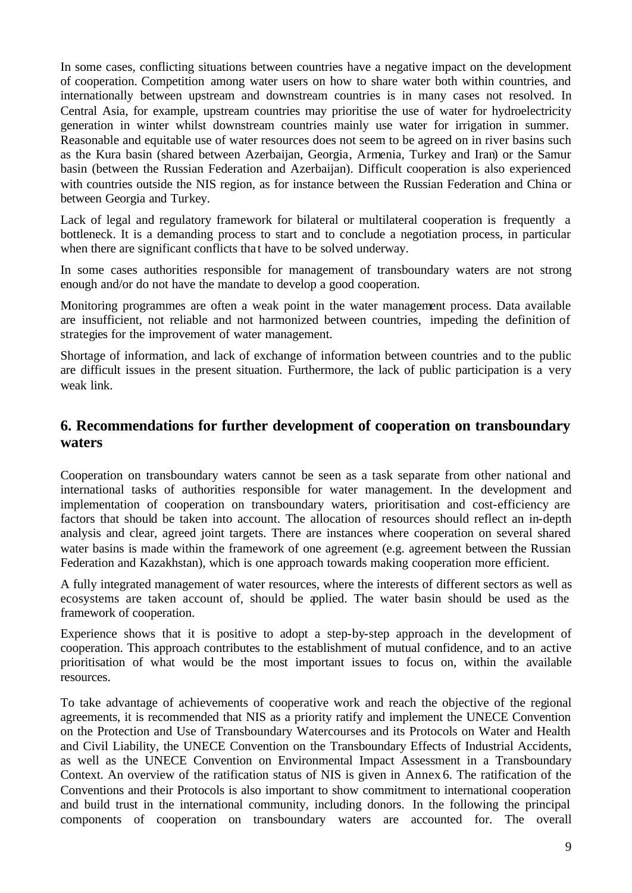In some cases, conflicting situations between countries have a negative impact on the development of cooperation. Competition among water users on how to share water both within countries, and internationally between upstream and downstream countries is in many cases not resolved. In Central Asia, for example, upstream countries may prioritise the use of water for hydroelectricity generation in winter whilst downstream countries mainly use water for irrigation in summer. Reasonable and equitable use of water resources does not seem to be agreed on in river basins such as the Kura basin (shared between Azerbaijan, Georgia, Armenia, Turkey and Iran) or the Samur basin (between the Russian Federation and Azerbaijan). Difficult cooperation is also experienced with countries outside the NIS region, as for instance between the Russian Federation and China or between Georgia and Turkey.

Lack of legal and regulatory framework for bilateral or multilateral cooperation is frequently a bottleneck. It is a demanding process to start and to conclude a negotiation process, in particular when there are significant conflicts that have to be solved underway.

In some cases authorities responsible for management of transboundary waters are not strong enough and/or do not have the mandate to develop a good cooperation.

Monitoring programmes are often a weak point in the water management process. Data available are insufficient, not reliable and not harmonized between countries, impeding the definition of strategies for the improvement of water management.

Shortage of information, and lack of exchange of information between countries and to the public are difficult issues in the present situation. Furthermore, the lack of public participation is a very weak link.

# **6. Recommendations for further development of cooperation on transboundary waters**

Cooperation on transboundary waters cannot be seen as a task separate from other national and international tasks of authorities responsible for water management. In the development and implementation of cooperation on transboundary waters, prioritisation and cost-efficiency are factors that should be taken into account. The allocation of resources should reflect an in-depth analysis and clear, agreed joint targets. There are instances where cooperation on several shared water basins is made within the framework of one agreement (e.g. agreement between the Russian Federation and Kazakhstan), which is one approach towards making cooperation more efficient.

A fully integrated management of water resources, where the interests of different sectors as well as ecosystems are taken account of, should be applied. The water basin should be used as the framework of cooperation.

Experience shows that it is positive to adopt a step-by-step approach in the development of cooperation. This approach contributes to the establishment of mutual confidence, and to an active prioritisation of what would be the most important issues to focus on, within the available resources.

To take advantage of achievements of cooperative work and reach the objective of the regional agreements, it is recommended that NIS as a priority ratify and implement the UNECE Convention on the Protection and Use of Transboundary Watercourses and its Protocols on Water and Health and Civil Liability, the UNECE Convention on the Transboundary Effects of Industrial Accidents, as well as the UNECE Convention on Environmental Impact Assessment in a Transboundary Context. An overview of the ratification status of NIS is given in Annex 6. The ratification of the Conventions and their Protocols is also important to show commitment to international cooperation and build trust in the international community, including donors. In the following the principal components of cooperation on transboundary waters are accounted for. The overall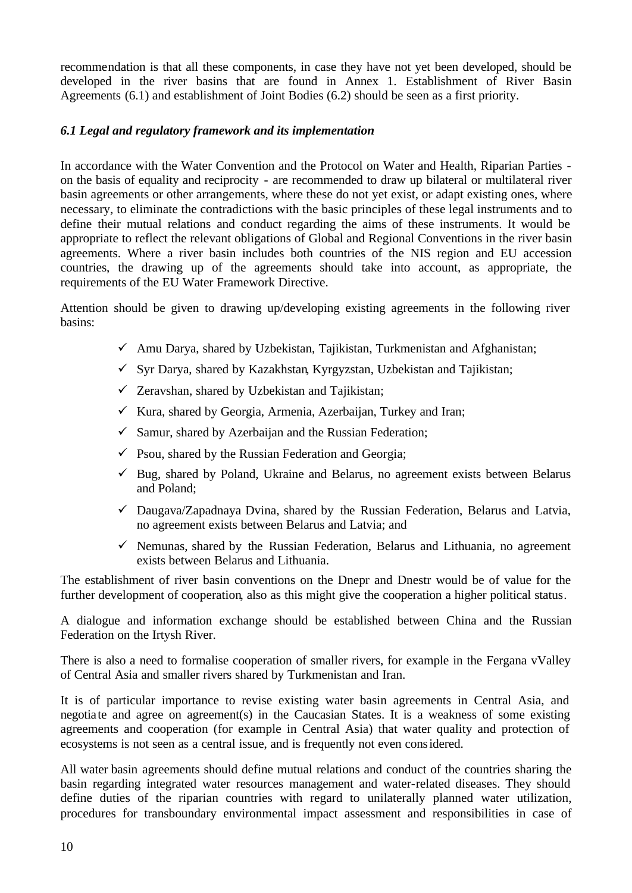recommendation is that all these components, in case they have not yet been developed, should be developed in the river basins that are found in Annex 1. Establishment of River Basin Agreements (6.1) and establishment of Joint Bodies (6.2) should be seen as a first priority.

### *6.1 Legal and regulatory framework and its implementation*

In accordance with the Water Convention and the Protocol on Water and Health, Riparian Parties on the basis of equality and reciprocity - are recommended to draw up bilateral or multilateral river basin agreements or other arrangements, where these do not yet exist, or adapt existing ones, where necessary, to eliminate the contradictions with the basic principles of these legal instruments and to define their mutual relations and conduct regarding the aims of these instruments. It would be appropriate to reflect the relevant obligations of Global and Regional Conventions in the river basin agreements. Where a river basin includes both countries of the NIS region and EU accession countries, the drawing up of the agreements should take into account, as appropriate, the requirements of the EU Water Framework Directive.

Attention should be given to drawing up/developing existing agreements in the following river basins:

- $\checkmark$  Amu Darya, shared by Uzbekistan, Tajikistan, Turkmenistan and Afghanistan;
- $\checkmark$  Syr Darya, shared by Kazakhstan, Kyrgyzstan, Uzbekistan and Tajikistan;
- $\checkmark$  Zeravshan, shared by Uzbekistan and Tajikistan;
- $\checkmark$  Kura, shared by Georgia, Armenia, Azerbaijan, Turkey and Iran;
- $\checkmark$  Samur, shared by Azerbaijan and the Russian Federation;
- $\checkmark$  Psou, shared by the Russian Federation and Georgia;
- $\checkmark$  Bug, shared by Poland, Ukraine and Belarus, no agreement exists between Belarus and Poland;
- $\checkmark$  Daugava/Zapadnaya Dvina, shared by the Russian Federation, Belarus and Latvia, no agreement exists between Belarus and Latvia; and
- $\checkmark$  Nemunas, shared by the Russian Federation, Belarus and Lithuania, no agreement exists between Belarus and Lithuania.

The establishment of river basin conventions on the Dnepr and Dnestr would be of value for the further development of cooperation, also as this might give the cooperation a higher political status.

A dialogue and information exchange should be established between China and the Russian Federation on the Irtysh River.

There is also a need to formalise cooperation of smaller rivers, for example in the Fergana vValley of Central Asia and smaller rivers shared by Turkmenistan and Iran.

It is of particular importance to revise existing water basin agreements in Central Asia, and negotiate and agree on agreement(s) in the Caucasian States. It is a weakness of some existing agreements and cooperation (for example in Central Asia) that water quality and protection of ecosystems is not seen as a central issue, and is frequently not even considered.

All water basin agreements should define mutual relations and conduct of the countries sharing the basin regarding integrated water resources management and water-related diseases. They should define duties of the riparian countries with regard to unilaterally planned water utilization, procedures for transboundary environmental impact assessment and responsibilities in case of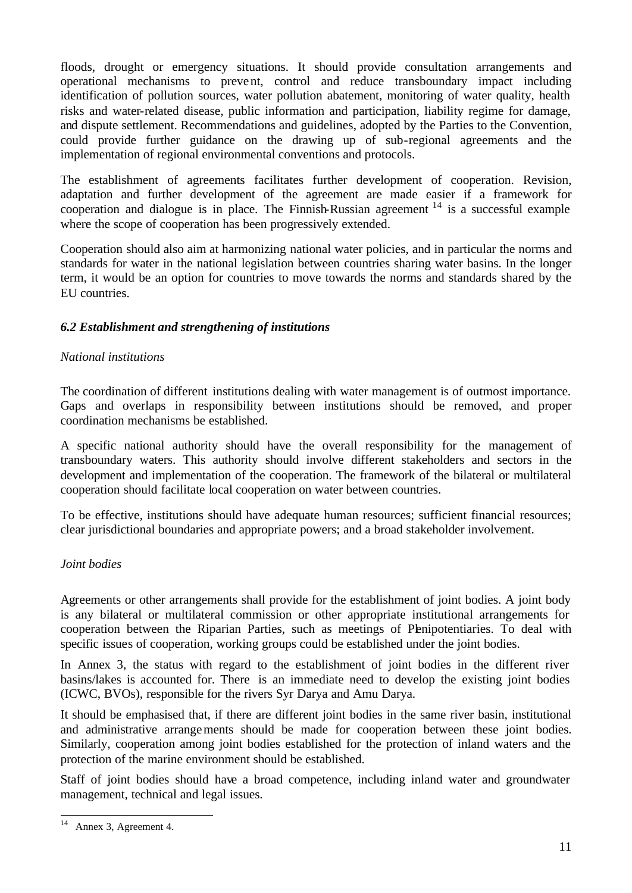floods, drought or emergency situations. It should provide consultation arrangements and operational mechanisms to prevent, control and reduce transboundary impact including identification of pollution sources, water pollution abatement, monitoring of water quality, health risks and water-related disease, public information and participation, liability regime for damage, and dispute settlement. Recommendations and guidelines, adopted by the Parties to the Convention, could provide further guidance on the drawing up of sub-regional agreements and the implementation of regional environmental conventions and protocols.

The establishment of agreements facilitates further development of cooperation. Revision, adaptation and further development of the agreement are made easier if a framework for cooperation and dialogue is in place. The Finnish-Russian agreement  $14$  is a successful example where the scope of cooperation has been progressively extended.

Cooperation should also aim at harmonizing national water policies, and in particular the norms and standards for water in the national legislation between countries sharing water basins. In the longer term, it would be an option for countries to move towards the norms and standards shared by the EU countries.

# *6.2 Establishment and strengthening of institutions*

### *National institutions*

The coordination of different institutions dealing with water management is of outmost importance. Gaps and overlaps in responsibility between institutions should be removed, and proper coordination mechanisms be established.

A specific national authority should have the overall responsibility for the management of transboundary waters. This authority should involve different stakeholders and sectors in the development and implementation of the cooperation. The framework of the bilateral or multilateral cooperation should facilitate local cooperation on water between countries.

To be effective, institutions should have adequate human resources; sufficient financial resources; clear jurisdictional boundaries and appropriate powers; and a broad stakeholder involvement.

#### *Joint bodies*

Agreements or other arrangements shall provide for the establishment of joint bodies. A joint body is any bilateral or multilateral commission or other appropriate institutional arrangements for cooperation between the Riparian Parties, such as meetings of Penipotentiaries. To deal with specific issues of cooperation, working groups could be established under the joint bodies.

In Annex 3, the status with regard to the establishment of joint bodies in the different river basins/lakes is accounted for. There is an immediate need to develop the existing joint bodies (ICWC, BVOs), responsible for the rivers Syr Darya and Amu Darya.

It should be emphasised that, if there are different joint bodies in the same river basin, institutional and administrative arrangements should be made for cooperation between these joint bodies. Similarly, cooperation among joint bodies established for the protection of inland waters and the protection of the marine environment should be established.

Staff of joint bodies should have a broad competence, including inland water and groundwater management, technical and legal issues.

 $14$  Annex 3, Agreement 4.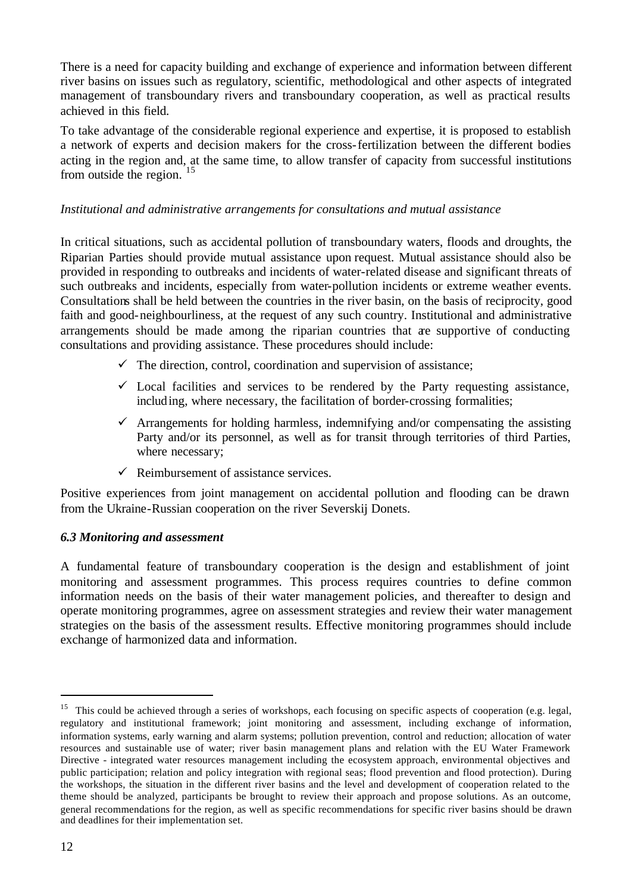There is a need for capacity building and exchange of experience and information between different river basins on issues such as regulatory, scientific, methodological and other aspects of integrated management of transboundary rivers and transboundary cooperation, as well as practical results achieved in this field.

To take advantage of the considerable regional experience and expertise, it is proposed to establish a network of experts and decision makers for the cross-fertilization between the different bodies acting in the region and, at the same time, to allow transfer of capacity from successful institutions from outside the region. <sup>15</sup>

#### *Institutional and administrative arrangements for consultations and mutual assistance*

In critical situations, such as accidental pollution of transboundary waters, floods and droughts, the Riparian Parties should provide mutual assistance upon request. Mutual assistance should also be provided in responding to outbreaks and incidents of water-related disease and significant threats of such outbreaks and incidents, especially from water-pollution incidents or extreme weather events. Consultations shall be held between the countries in the river basin, on the basis of reciprocity, good faith and good-neighbourliness, at the request of any such country. Institutional and administrative arrangements should be made among the riparian countries that are supportive of conducting consultations and providing assistance. These procedures should include:

- $\checkmark$  The direction, control, coordination and supervision of assistance;
- $\checkmark$  Local facilities and services to be rendered by the Party requesting assistance, including, where necessary, the facilitation of border-crossing formalities;
- $\checkmark$  Arrangements for holding harmless, indemnifying and/or compensating the assisting Party and/or its personnel, as well as for transit through territories of third Parties, where necessary;
- $\checkmark$  Reimbursement of assistance services.

Positive experiences from joint management on accidental pollution and flooding can be drawn from the Ukraine-Russian cooperation on the river Severskij Donets.

### *6.3 Monitoring and assessment*

A fundamental feature of transboundary cooperation is the design and establishment of joint monitoring and assessment programmes. This process requires countries to define common information needs on the basis of their water management policies, and thereafter to design and operate monitoring programmes, agree on assessment strategies and review their water management strategies on the basis of the assessment results. Effective monitoring programmes should include exchange of harmonized data and information.

<sup>&</sup>lt;sup>15</sup> This could be achieved through a series of workshops, each focusing on specific aspects of cooperation (e.g. legal, regulatory and institutional framework; joint monitoring and assessment, including exchange of information, information systems, early warning and alarm systems; pollution prevention, control and reduction; allocation of water resources and sustainable use of water; river basin management plans and relation with the EU Water Framework Directive - integrated water resources management including the ecosystem approach, environmental objectives and public participation; relation and policy integration with regional seas; flood prevention and flood protection). During the workshops, the situation in the different river basins and the level and development of cooperation related to the theme should be analyzed, participants be brought to review their approach and propose solutions. As an outcome, general recommendations for the region, as well as specific recommendations for specific river basins should be drawn and deadlines for their implementation set.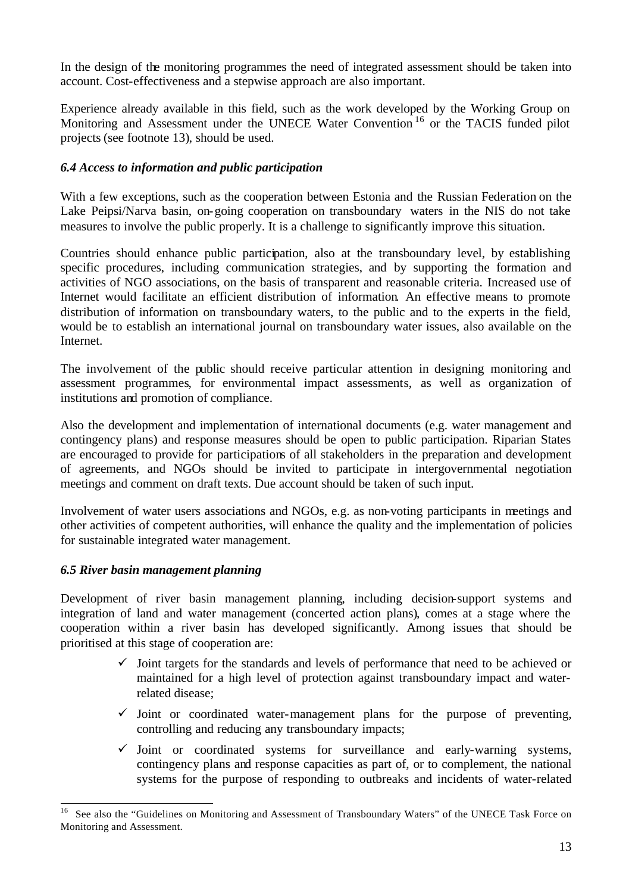In the design of the monitoring programmes the need of integrated assessment should be taken into account. Cost-effectiveness and a stepwise approach are also important.

Experience already available in this field, such as the work developed by the Working Group on Monitoring and Assessment under the UNECE Water Convention<sup>16</sup> or the TACIS funded pilot projects (see footnote 13), should be used.

# *6.4 Access to information and public participation*

With a few exceptions, such as the cooperation between Estonia and the Russian Federation on the Lake Peipsi/Narva basin, on-going cooperation on transboundary waters in the NIS do not take measures to involve the public properly. It is a challenge to significantly improve this situation.

Countries should enhance public participation, also at the transboundary level, by establishing specific procedures, including communication strategies, and by supporting the formation and activities of NGO associations, on the basis of transparent and reasonable criteria. Increased use of Internet would facilitate an efficient distribution of information. An effective means to promote distribution of information on transboundary waters, to the public and to the experts in the field, would be to establish an international journal on transboundary water issues, also available on the Internet.

The involvement of the public should receive particular attention in designing monitoring and assessment programmes, for environmental impact assessments, as well as organization of institutions and promotion of compliance.

Also the development and implementation of international documents (e.g. water management and contingency plans) and response measures should be open to public participation. Riparian States are encouraged to provide for participations of all stakeholders in the preparation and development of agreements, and NGOs should be invited to participate in intergovernmental negotiation meetings and comment on draft texts. Due account should be taken of such input.

Involvement of water users associations and NGOs, e.g. as non-voting participants in meetings and other activities of competent authorities, will enhance the quality and the implementation of policies for sustainable integrated water management.

### *6.5 River basin management planning*

Development of river basin management planning, including decision-support systems and integration of land and water management (concerted action plans), comes at a stage where the cooperation within a river basin has developed significantly. Among issues that should be prioritised at this stage of cooperation are:

- $\checkmark$  Joint targets for the standards and levels of performance that need to be achieved or maintained for a high level of protection against transboundary impact and waterrelated disease;
- $\checkmark$  Joint or coordinated water-management plans for the purpose of preventing, controlling and reducing any transboundary impacts;
- $\checkmark$  Joint or coordinated systems for surveillance and early-warning systems, contingency plans and response capacities as part of, or to complement, the national systems for the purpose of responding to outbreaks and incidents of water-related

 $16\,$ <sup>16</sup> See also the "Guidelines on Monitoring and Assessment of Transboundary Waters" of the UNECE Task Force on Monitoring and Assessment.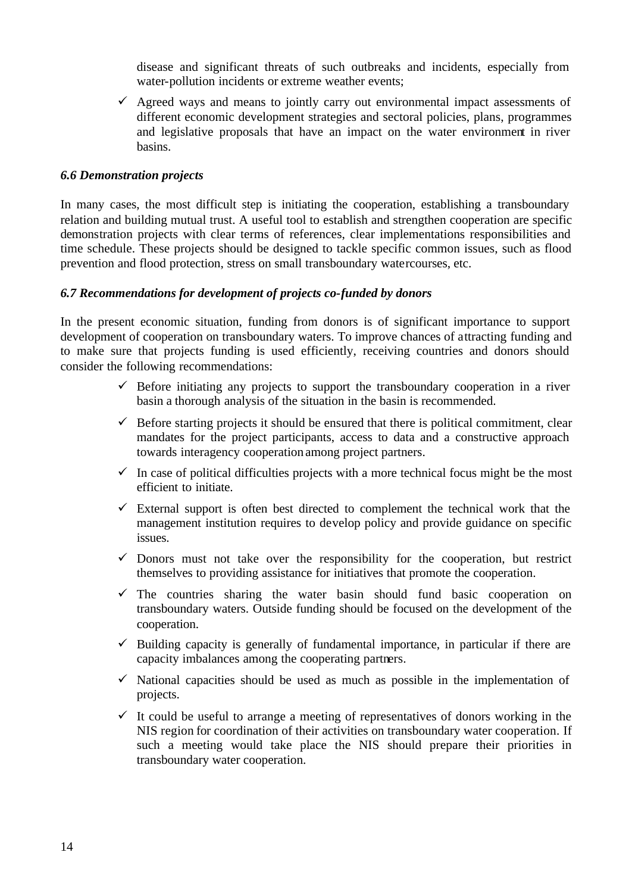disease and significant threats of such outbreaks and incidents, especially from water-pollution incidents or extreme weather events;

 $\checkmark$  Agreed ways and means to jointly carry out environmental impact assessments of different economic development strategies and sectoral policies, plans, programmes and legislative proposals that have an impact on the water environment in river basins.

#### *6.6 Demonstration projects*

In many cases, the most difficult step is initiating the cooperation, establishing a transboundary relation and building mutual trust. A useful tool to establish and strengthen cooperation are specific demonstration projects with clear terms of references, clear implementations responsibilities and time schedule. These projects should be designed to tackle specific common issues, such as flood prevention and flood protection, stress on small transboundary watercourses, etc.

#### *6.7 Recommendations for development of projects co-funded by donors*

In the present economic situation, funding from donors is of significant importance to support development of cooperation on transboundary waters. To improve chances of attracting funding and to make sure that projects funding is used efficiently, receiving countries and donors should consider the following recommendations:

- $\checkmark$  Before initiating any projects to support the transboundary cooperation in a river basin a thorough analysis of the situation in the basin is recommended.
- $\checkmark$  Before starting projects it should be ensured that there is political commitment, clear mandates for the project participants, access to data and a constructive approach towards interagency cooperation among project partners.
- $\checkmark$  In case of political difficulties projects with a more technical focus might be the most efficient to initiate.
- $\checkmark$  External support is often best directed to complement the technical work that the management institution requires to develop policy and provide guidance on specific issues.
- $\checkmark$  Donors must not take over the responsibility for the cooperation, but restrict themselves to providing assistance for initiatives that promote the cooperation.
- $\checkmark$  The countries sharing the water basin should fund basic cooperation on transboundary waters. Outside funding should be focused on the development of the cooperation.
- $\checkmark$  Building capacity is generally of fundamental importance, in particular if there are capacity imbalances among the cooperating partners.
- $\checkmark$  National capacities should be used as much as possible in the implementation of projects.
- $\checkmark$  It could be useful to arrange a meeting of representatives of donors working in the NIS region for coordination of their activities on transboundary water cooperation. If such a meeting would take place the NIS should prepare their priorities in transboundary water cooperation.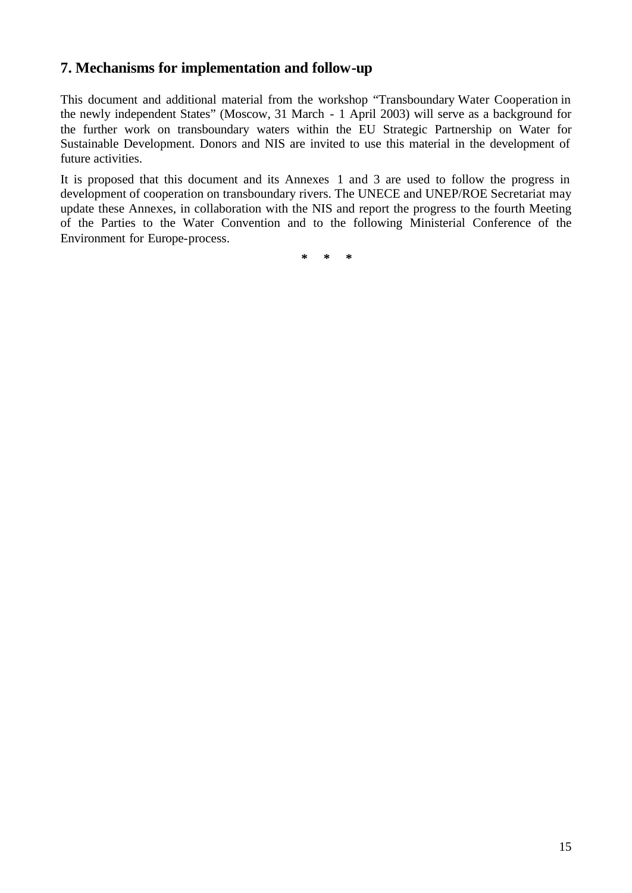# **7. Mechanisms for implementation and follow-up**

This document and additional material from the workshop "Transboundary Water Cooperation in the newly independent States" (Moscow, 31 March - 1 April 2003) will serve as a background for the further work on transboundary waters within the EU Strategic Partnership on Water for Sustainable Development. Donors and NIS are invited to use this material in the development of future activities.

It is proposed that this document and its Annexes 1 and 3 are used to follow the progress in development of cooperation on transboundary rivers. The UNECE and UNEP/ROE Secretariat may update these Annexes, in collaboration with the NIS and report the progress to the fourth Meeting of the Parties to the Water Convention and to the following Ministerial Conference of the Environment for Europe-process.

**\* \* \***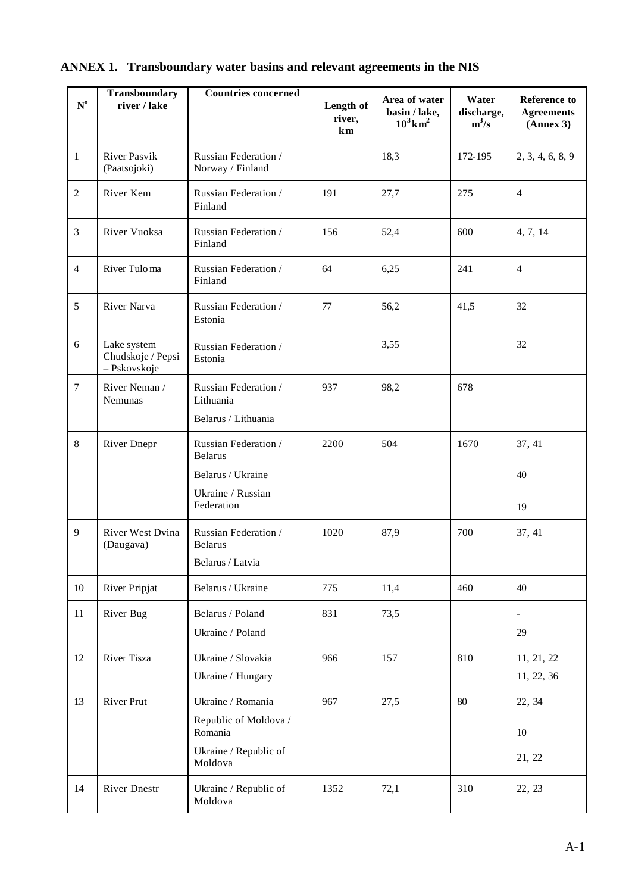| $\mathbf{N}^{\mathbf{0}}$ | <b>Transboundary</b><br>river / lake             | <b>Countries concerned</b>                                                                     | Length of<br>river,<br>km | Area of water<br>basin / lake,<br>$10^3$ km <sup>2</sup> | Water<br>discharge,<br>$m^3/s$ | <b>Reference to</b><br><b>Agreements</b><br>(Annex 3) |
|---------------------------|--------------------------------------------------|------------------------------------------------------------------------------------------------|---------------------------|----------------------------------------------------------|--------------------------------|-------------------------------------------------------|
| $\mathbf{1}$              | <b>River Pasvik</b><br>(Paatsojoki)              | Russian Federation /<br>Norway / Finland                                                       |                           | 18,3                                                     | 172-195                        | 2, 3, 4, 6, 8, 9                                      |
| $\overline{c}$            | River Kem                                        | Russian Federation /<br>Finland                                                                | 191                       | 27,7                                                     | 275                            | $\overline{4}$                                        |
| $\overline{3}$            | River Vuoksa                                     | Russian Federation /<br>Finland                                                                | 156                       | 52,4                                                     | 600                            | 4, 7, 14                                              |
| $\overline{4}$            | River Tulo ma                                    | Russian Federation /<br>Finland                                                                | 64                        | 6,25                                                     | 241                            | $\overline{4}$                                        |
| 5                         | River Narva                                      | Russian Federation /<br>Estonia                                                                | 77                        | 56,2                                                     | 41,5                           | 32                                                    |
| 6                         | Lake system<br>Chudskoje / Pepsi<br>- Pskovskoje | Russian Federation /<br>Estonia                                                                |                           | 3,55                                                     |                                | 32                                                    |
| $\tau$                    | River Neman /<br>Nemunas                         | Russian Federation /<br>Lithuania<br>Belarus / Lithuania                                       | 937                       | 98,2                                                     | 678                            |                                                       |
| 8                         | River Dnepr                                      | Russian Federation /<br><b>Belarus</b><br>Belarus / Ukraine<br>Ukraine / Russian<br>Federation | 2200                      | 504                                                      | 1670                           | 37, 41<br>40<br>19                                    |
| 9                         | <b>River West Dvina</b><br>(Daugava)             | Russian Federation /<br><b>Belarus</b><br>Belarus / Latvia                                     | 1020                      | 87,9                                                     | 700                            | 37, 41                                                |
| 10                        | <b>River Pripjat</b>                             | Belarus / Ukraine                                                                              | 775                       | 11,4                                                     | 460                            | 40                                                    |
| 11                        | River Bug                                        | Belarus / Poland<br>Ukraine / Poland                                                           | 831                       | 73,5                                                     |                                | 29                                                    |
| 12                        | <b>River Tisza</b>                               | Ukraine / Slovakia<br>Ukraine / Hungary                                                        | 966                       | 157                                                      | 810                            | 11, 21, 22<br>11, 22, 36                              |
| 13                        | <b>River Prut</b>                                | Ukraine / Romania<br>Republic of Moldova /<br>Romania<br>Ukraine / Republic of<br>Moldova      | 967                       | 27,5                                                     | 80                             | 22, 34<br>10<br>21, 22                                |
| 14                        | <b>River Dnestr</b>                              | Ukraine / Republic of<br>Moldova                                                               | 1352                      | 72,1                                                     | 310                            | 22, 23                                                |

# **ANNEX 1. Transboundary water basins and relevant agreements in the NIS**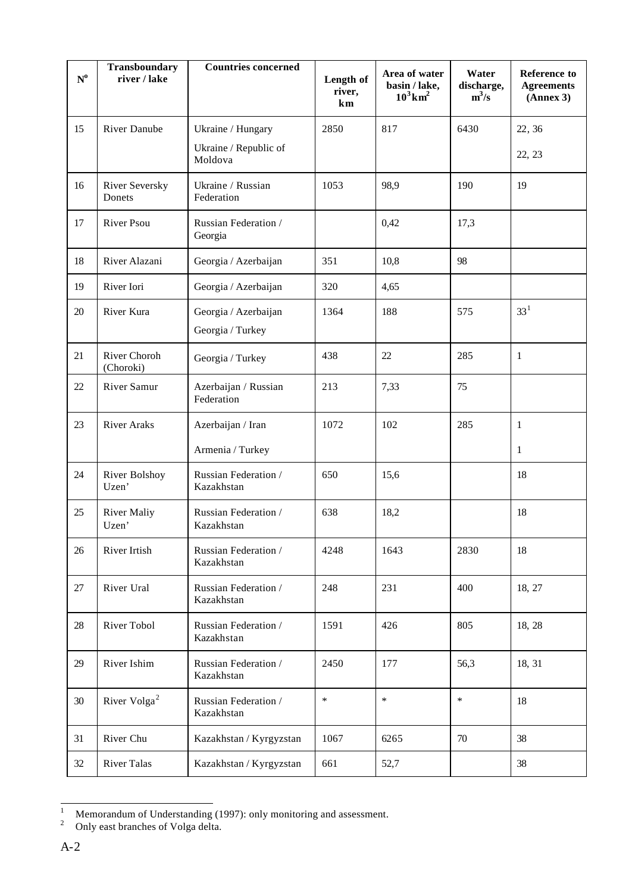| $\mathbf{N}^0$ | <b>Transboundary</b><br>river / lake | <b>Countries concerned</b>               | Length of<br>river,<br>km | Area of water<br>basin / lake,<br>$10^3$ km <sup>2</sup> | Water<br>discharge,<br>$m^3/s$ | <b>Reference to</b><br><b>Agreements</b><br>(Annex 3) |
|----------------|--------------------------------------|------------------------------------------|---------------------------|----------------------------------------------------------|--------------------------------|-------------------------------------------------------|
| 15             | River Danube                         | Ukraine / Hungary                        | 2850                      | 817                                                      | 6430                           | 22, 36                                                |
|                |                                      | Ukraine / Republic of<br>Moldova         |                           |                                                          |                                | 22, 23                                                |
| 16             | <b>River Seversky</b><br>Donets      | Ukraine / Russian<br>Federation          | 1053                      | 98,9                                                     | 190                            | 19                                                    |
| 17             | <b>River Psou</b>                    | Russian Federation /<br>Georgia          |                           | 0,42                                                     | 17,3                           |                                                       |
| 18             | River Alazani                        | Georgia / Azerbaijan                     | 351                       | 10,8                                                     | 98                             |                                                       |
| 19             | River Iori                           | Georgia / Azerbaijan                     | 320                       | 4,65                                                     |                                |                                                       |
| 20             | River Kura                           | Georgia / Azerbaijan<br>Georgia / Turkey | 1364                      | 188                                                      | 575                            | $33^{1}$                                              |
| 21             | <b>River Choroh</b><br>(Choroki)     | Georgia / Turkey                         | 438                       | 22                                                       | 285                            | $\mathbf{1}$                                          |
| 22             | <b>River Samur</b>                   | Azerbaijan / Russian<br>Federation       | 213                       | 7,33                                                     | 75                             |                                                       |
| 23             | <b>River Araks</b>                   | Azerbaijan / Iran                        | 1072                      | 102                                                      | 285                            | 1                                                     |
|                |                                      | Armenia / Turkey                         |                           |                                                          |                                | 1                                                     |
| 24             | River Bolshoy<br>Uzen'               | Russian Federation /<br>Kazakhstan       | 650                       | 15,6                                                     |                                | 18                                                    |
| 25             | <b>River Maliy</b><br>Uzen'          | Russian Federation /<br>Kazakhstan       | 638                       | 18,2                                                     |                                | 18                                                    |
| 26             | River Irtish                         | Russian Federation /<br>Kazakhstan       | 4248                      | 1643                                                     | 2830                           | 18                                                    |
| 27             | River Ural                           | Russian Federation /<br>Kazakhstan       | 248                       | 231                                                      | 400                            | 18, 27                                                |
| 28             | River Tobol                          | Russian Federation /<br>Kazakhstan       | 1591                      | 426                                                      | 805                            | 18, 28                                                |
| 29             | River Ishim                          | Russian Federation /<br>Kazakhstan       | 2450                      | 177                                                      | 56,3                           | 18, 31                                                |
| 30             | River Volga <sup>2</sup>             | Russian Federation /<br>Kazakhstan       | $\ast$                    | $\ast$                                                   | $\ast$                         | 18                                                    |
| 31             | River Chu                            | Kazakhstan / Kyrgyzstan                  | 1067                      | 6265                                                     | 70                             | 38                                                    |
| 32             | <b>River Talas</b>                   | Kazakhstan / Kyrgyzstan                  | 661                       | 52,7                                                     |                                | 38                                                    |

<sup>&</sup>lt;sup>1</sup> Memorandum of Understanding (1997): only monitoring and assessment.

 $2^{\circ}$  Only east branches of Volga delta.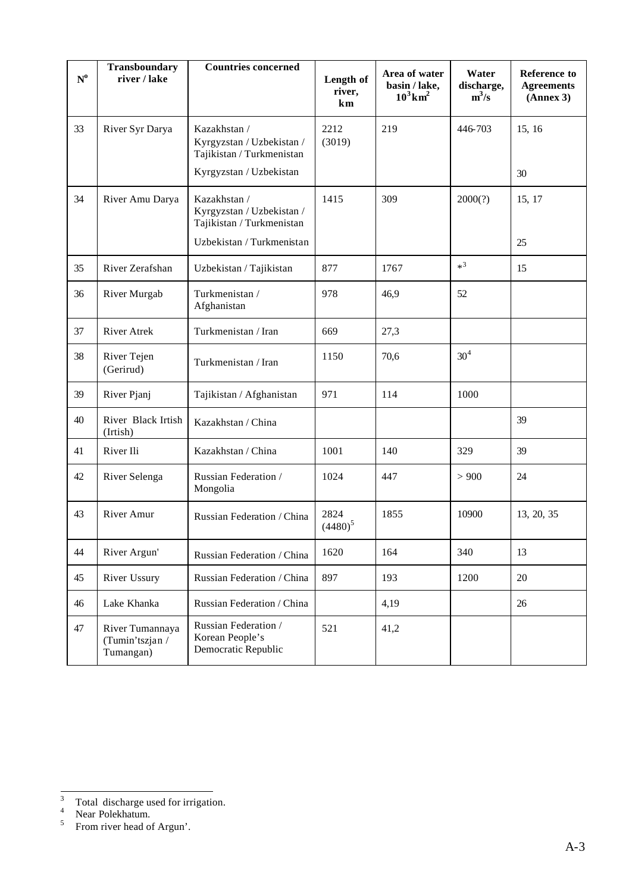| $N^0$ | Transboundary<br>river / lake                   | <b>Countries concerned</b>                                                                          | Length of<br>river,<br>km | Area of water<br>basin / lake,<br>$10^3$ km <sup>2</sup> | Water<br>discharge,<br>$m^3/s$ | <b>Reference to</b><br><b>Agreements</b><br>(Annex 3) |
|-------|-------------------------------------------------|-----------------------------------------------------------------------------------------------------|---------------------------|----------------------------------------------------------|--------------------------------|-------------------------------------------------------|
| 33    | River Syr Darya                                 | Kazakhstan /<br>Kyrgyzstan / Uzbekistan /<br>Tajikistan / Turkmenistan<br>Kyrgyzstan / Uzbekistan   | 2212<br>(3019)            | 219                                                      | 446-703                        | 15, 16<br>30                                          |
| 34    | River Amu Darya                                 | Kazakhstan /<br>Kyrgyzstan / Uzbekistan /<br>Tajikistan / Turkmenistan<br>Uzbekistan / Turkmenistan | 1415                      | 309                                                      | 2000(?)                        | 15, 17<br>25                                          |
| 35    | River Zerafshan                                 | Uzbekistan / Tajikistan                                                                             | 877                       | 1767                                                     | $*^3$                          | 15                                                    |
| 36    | River Murgab                                    | Turkmenistan /<br>Afghanistan                                                                       | 978                       | 46,9                                                     | 52                             |                                                       |
| 37    | <b>River Atrek</b>                              | Turkmenistan / Iran                                                                                 | 669                       | 27,3                                                     |                                |                                                       |
| 38    | River Tejen<br>(Gerirud)                        | Turkmenistan / Iran                                                                                 | 1150                      | 70,6                                                     | 30 <sup>4</sup>                |                                                       |
| 39    | River Pjanj                                     | Tajikistan / Afghanistan                                                                            | 971                       | 114                                                      | 1000                           |                                                       |
| 40    | River Black Irtish<br>(Irtish)                  | Kazakhstan / China                                                                                  |                           |                                                          |                                | 39                                                    |
| 41    | River Ili                                       | Kazakhstan / China                                                                                  | 1001                      | 140                                                      | 329                            | 39                                                    |
| 42    | River Selenga                                   | Russian Federation /<br>Mongolia                                                                    | 1024                      | 447                                                      | > 900                          | 24                                                    |
| 43    | River Amur                                      | Russian Federation / China                                                                          | 2824<br>$(4480)^5$        | 1855                                                     | 10900                          | 13, 20, 35                                            |
| 44    | River Argun'                                    | Russian Federation / China                                                                          | 1620                      | 164                                                      | 340                            | 13                                                    |
| 45    | River Ussury                                    | Russian Federation / China                                                                          | 897                       | 193                                                      | 1200                           | 20                                                    |
| 46    | Lake Khanka                                     | Russian Federation / China                                                                          |                           | 4,19                                                     |                                | 26                                                    |
| 47    | River Tumannaya<br>(Tumin'tszjan /<br>Tumangan) | Russian Federation /<br>Korean People's<br>Democratic Republic                                      | 521                       | 41,2                                                     |                                |                                                       |

 $\frac{1}{3}$ Total discharge used for irrigation.

<sup>4</sup> Near Polekhatum.

<sup>5</sup> From river head of Argun'.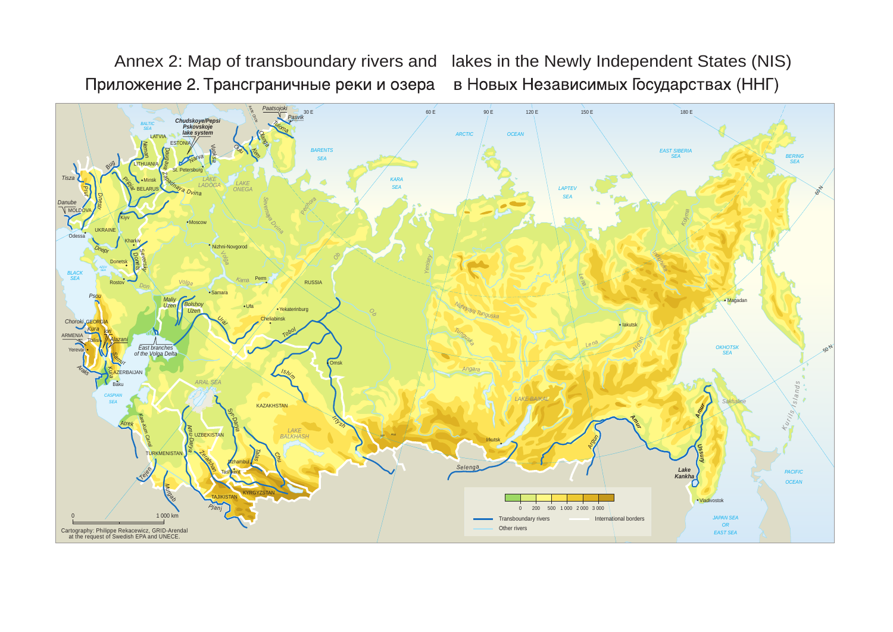Annex 2: Map of transboundary rivers and lakes in the Newly Independent States (NIS) Приложение 2. Трансграничные реки и озера в Новых Независимых Государствах (ННГ)

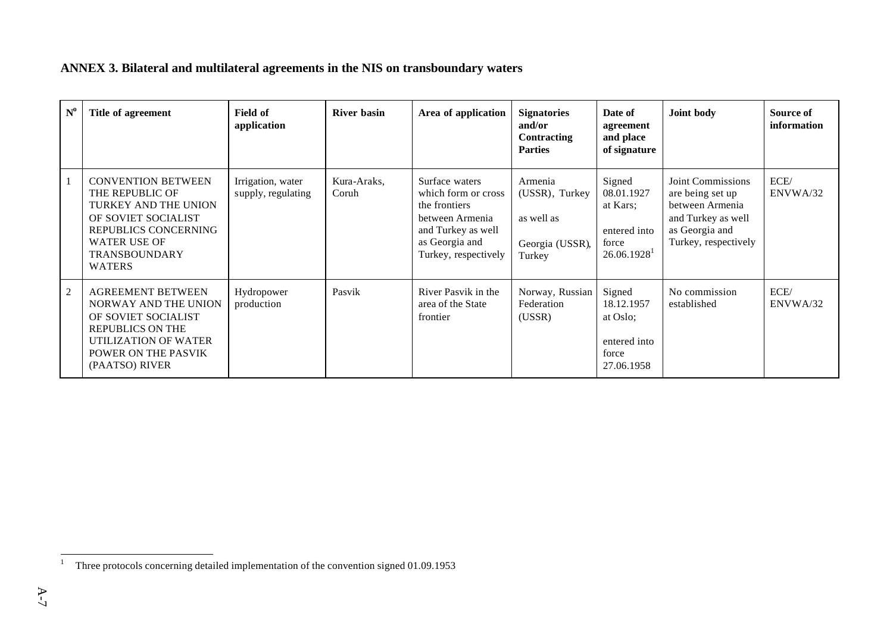# **ANNEX 3. Bilateral and multilateral agreements in the NIS on transboundary waters**

| $\mathbf{N}^{\mathrm{o}}$ | Title of agreement                                                                                                                                                           | <b>Field of</b><br>application          | <b>River basin</b>   | Area of application                                                                                                                       | <b>Signatories</b><br>and/or<br>Contracting<br><b>Parties</b>        | Date of<br>agreement<br>and place<br>of signature                                      | Joint body                                                                                                                      | Source of<br>information |
|---------------------------|------------------------------------------------------------------------------------------------------------------------------------------------------------------------------|-----------------------------------------|----------------------|-------------------------------------------------------------------------------------------------------------------------------------------|----------------------------------------------------------------------|----------------------------------------------------------------------------------------|---------------------------------------------------------------------------------------------------------------------------------|--------------------------|
|                           | <b>CONVENTION BETWEEN</b><br>THE REPUBLIC OF<br>TURKEY AND THE UNION<br>OF SOVIET SOCIALIST<br>REPUBLICS CONCERNING<br>WATER USE OF<br><b>TRANSBOUNDARY</b><br><b>WATERS</b> | Irrigation, water<br>supply, regulating | Kura-Araks,<br>Coruh | Surface waters<br>which form or cross<br>the frontiers<br>between Armenia<br>and Turkey as well<br>as Georgia and<br>Turkey, respectively | Armenia<br>(USSR), Turkey<br>as well as<br>Georgia (USSR),<br>Turkey | Signed<br>08.01.1927<br>at Kars:<br>entered into<br>force<br>$26.06.1928$ <sup>1</sup> | <b>Joint Commissions</b><br>are being set up<br>between Armenia<br>and Turkey as well<br>as Georgia and<br>Turkey, respectively | ECE/<br>ENVWA/32         |
| $\overline{c}$            | <b>AGREEMENT BETWEEN</b><br>NORWAY AND THE UNION<br>OF SOVIET SOCIALIST<br><b>REPUBLICS ON THE</b><br>UTILIZATION OF WATER<br><b>POWER ON THE PASVIK</b><br>(PAATSO) RIVER   | Hydropower<br>production                | Pasvik               | River Pasvik in the<br>area of the State<br>frontier                                                                                      | Norway, Russian<br>Federation<br>(USSR)                              | Signed<br>18.12.1957<br>at Oslo;<br>entered into<br>force<br>27.06.1958                | No commission<br>established                                                                                                    | ECE/<br>ENVWA/32         |

<sup>&</sup>lt;sup>1</sup> Three protocols concerning detailed implementation of the convention signed 01.09.1953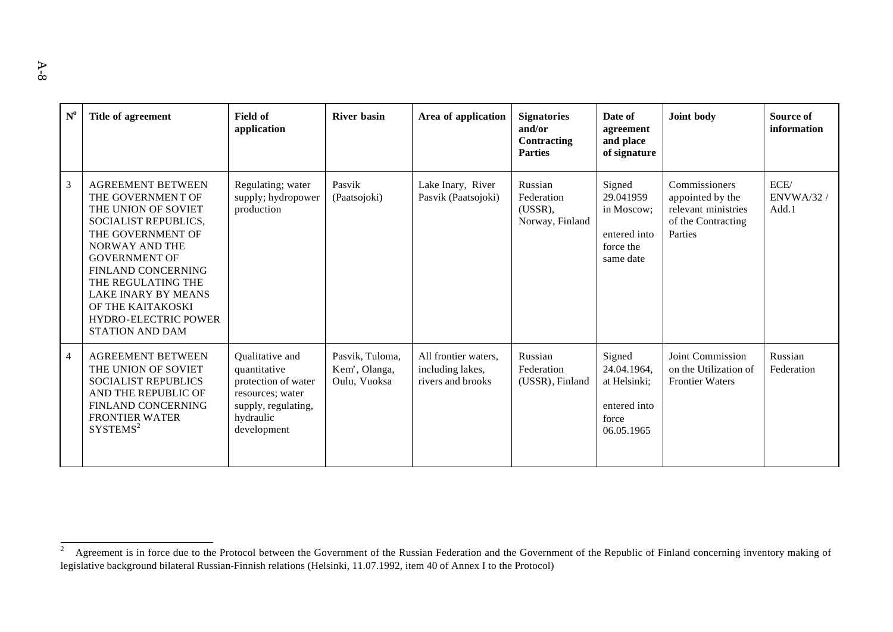| $N^0$          | Title of agreement                                                                                                                                                                                                                                                                                                  | <b>Field of</b><br>application                                                                                                | <b>River basin</b>                               | Area of application                                           | <b>Signatories</b><br>and/or<br>Contracting<br><b>Parties</b> | Date of<br>agreement<br>and place<br>of signature                            | Joint body                                                                                | Source of<br>information           |
|----------------|---------------------------------------------------------------------------------------------------------------------------------------------------------------------------------------------------------------------------------------------------------------------------------------------------------------------|-------------------------------------------------------------------------------------------------------------------------------|--------------------------------------------------|---------------------------------------------------------------|---------------------------------------------------------------|------------------------------------------------------------------------------|-------------------------------------------------------------------------------------------|------------------------------------|
| $\overline{3}$ | <b>AGREEMENT BETWEEN</b><br>THE GOVERNMENT OF<br>THE UNION OF SOVIET<br>SOCIALIST REPUBLICS,<br>THE GOVERNMENT OF<br>NORWAY AND THE<br><b>GOVERNMENT OF</b><br>FINLAND CONCERNING<br>THE REGULATING THE<br><b>LAKE INARY BY MEANS</b><br>OF THE KAITAKOSKI<br><b>HYDRO-ELECTRIC POWER</b><br><b>STATION AND DAM</b> | Regulating; water<br>supply; hydropower<br>production                                                                         | Pasvik<br>(Paatsojoki)                           | Lake Inary, River<br>Pasvik (Paatsojoki)                      | Russian<br>Federation<br>$(USSR)$ ,<br>Norway, Finland        | Signed<br>29.041959<br>in Moscow;<br>entered into<br>force the<br>same date  | Commissioners<br>appointed by the<br>relevant ministries<br>of the Contracting<br>Parties | ECE/<br><b>ENVWA/32 /</b><br>Add.1 |
| $\overline{4}$ | <b>AGREEMENT BETWEEN</b><br>THE UNION OF SOVIET<br><b>SOCIALIST REPUBLICS</b><br>AND THE REPUBLIC OF<br>FINLAND CONCERNING<br><b>FRONTIER WATER</b><br>SYSTEMS <sup>2</sup>                                                                                                                                         | Qualitative and<br>quantitative<br>protection of water<br>resources; water<br>supply, regulating,<br>hydraulic<br>development | Pasvik, Tuloma,<br>Kem', Olanga,<br>Oulu, Vuoksa | All frontier waters,<br>including lakes,<br>rivers and brooks | Russian<br>Federation<br>(USSR), Finland                      | Signed<br>24.04.1964,<br>at Helsinki:<br>entered into<br>force<br>06.05.1965 | Joint Commission<br>on the Utilization of<br><b>Frontier Waters</b>                       | Russian<br>Federation              |

 $\sqrt{2}$ Agreement is in force due to the Protocol between the Government of the Russian Federation and the Government of the Republic of Finland concerning inventory making of legislative background bilateral Russian-Finnish relations (Helsinki, 11.07.1992, item 40 of Annex I to the Protocol)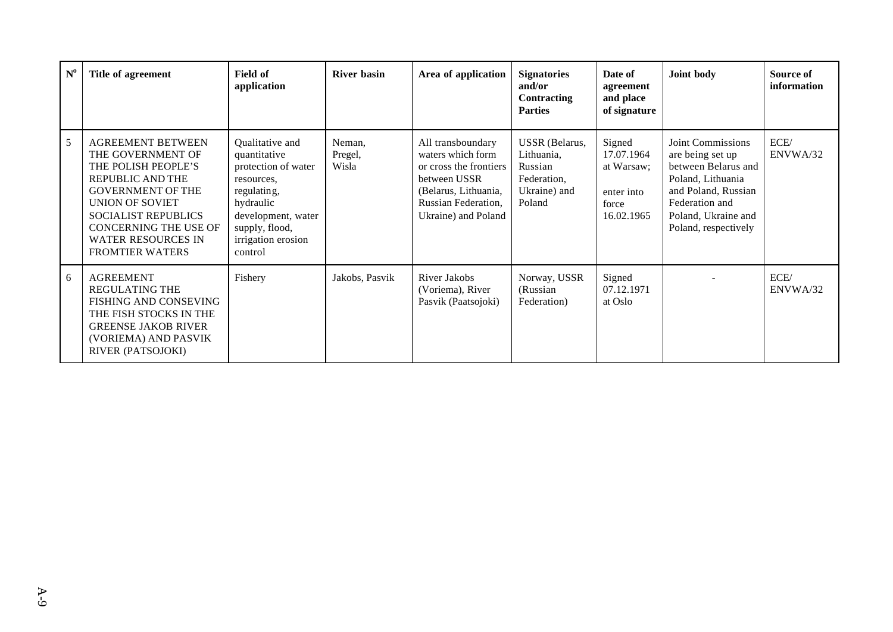| $N^0$ | Title of agreement                                                                                                                                                                                                                                           | <b>Field of</b><br>application                                                                                                                                            | <b>River basin</b>         | Area of application                                                                                                                                    | <b>Signatories</b><br>and/or<br>Contracting<br><b>Parties</b>                           | Date of<br>agreement<br>and place<br>of signature                       | Joint body                                                                                                                                                                | Source of<br>information |
|-------|--------------------------------------------------------------------------------------------------------------------------------------------------------------------------------------------------------------------------------------------------------------|---------------------------------------------------------------------------------------------------------------------------------------------------------------------------|----------------------------|--------------------------------------------------------------------------------------------------------------------------------------------------------|-----------------------------------------------------------------------------------------|-------------------------------------------------------------------------|---------------------------------------------------------------------------------------------------------------------------------------------------------------------------|--------------------------|
| 5     | <b>AGREEMENT BETWEEN</b><br>THE GOVERNMENT OF<br>THE POLISH PEOPLE'S<br><b>REPUBLIC AND THE</b><br><b>GOVERNMENT OF THE</b><br>UNION OF SOVIET<br><b>SOCIALIST REPUBLICS</b><br>CONCERNING THE USE OF<br><b>WATER RESOURCES IN</b><br><b>FROMTIER WATERS</b> | Qualitative and<br>quantitative<br>protection of water<br>resources,<br>regulating,<br>hydraulic<br>development, water<br>supply, flood,<br>irrigation erosion<br>control | Neman,<br>Pregel,<br>Wisla | All transboundary<br>waters which form<br>or cross the frontiers<br>between USSR<br>(Belarus, Lithuania,<br>Russian Federation,<br>Ukraine) and Poland | <b>USSR</b> (Belarus,<br>Lithuania,<br>Russian<br>Federation,<br>Ukraine) and<br>Poland | Signed<br>17.07.1964<br>at Warsaw;<br>enter into<br>force<br>16.02.1965 | Joint Commissions<br>are being set up<br>between Belarus and<br>Poland, Lithuania<br>and Poland, Russian<br>Federation and<br>Poland, Ukraine and<br>Poland, respectively | ECE/<br>ENVWA/32         |
| 6     | <b>AGREEMENT</b><br><b>REGULATING THE</b><br>FISHING AND CONSEVING<br>THE FISH STOCKS IN THE<br><b>GREENSE JAKOB RIVER</b><br>(VORIEMA) AND PASVIK<br>RIVER (PATSOJOKI)                                                                                      | Fishery                                                                                                                                                                   | Jakobs, Pasvik             | River Jakobs<br>(Voriema), River<br>Pasvik (Paatsojoki)                                                                                                | Norway, USSR<br>(Russian)<br>Federation)                                                | Signed<br>07.12.1971<br>at Oslo                                         |                                                                                                                                                                           | ECE/<br>ENVWA/32         |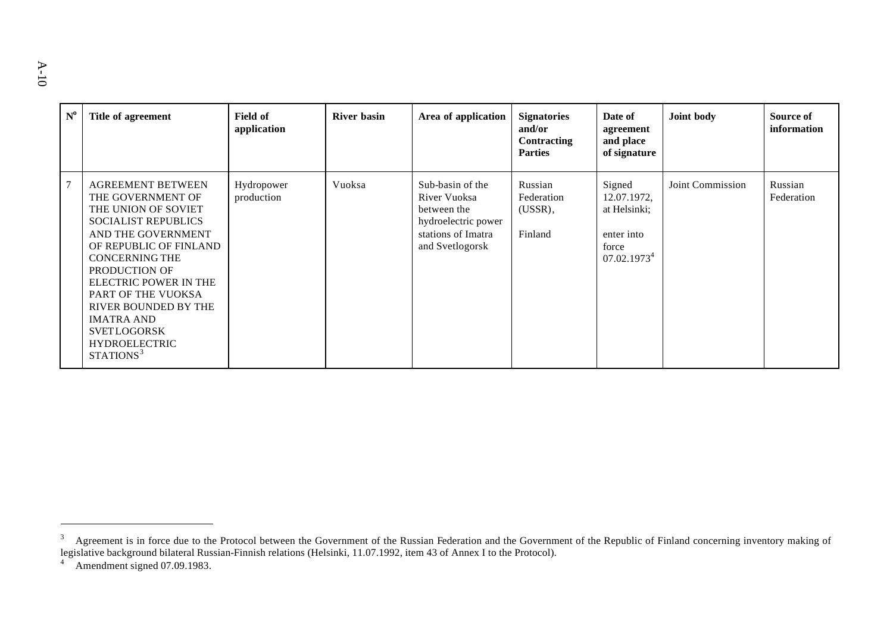| $N^{\rm o}$ | Title of agreement                                                                                                                                                                                                                                                                                                                                              | Field of<br>application  | <b>River basin</b> | Area of application                                                                                             | <b>Signatories</b><br>and/or<br>Contracting<br><b>Parties</b> | Date of<br>agreement<br>and place<br>of signature                                       | Joint body       | Source of<br>information |
|-------------|-----------------------------------------------------------------------------------------------------------------------------------------------------------------------------------------------------------------------------------------------------------------------------------------------------------------------------------------------------------------|--------------------------|--------------------|-----------------------------------------------------------------------------------------------------------------|---------------------------------------------------------------|-----------------------------------------------------------------------------------------|------------------|--------------------------|
| $\tau$      | <b>AGREEMENT BETWEEN</b><br>THE GOVERNMENT OF<br>THE UNION OF SOVIET<br><b>SOCIALIST REPUBLICS</b><br>AND THE GOVERNMENT<br>OF REPUBLIC OF FINLAND<br><b>CONCERNING THE</b><br>PRODUCTION OF<br>ELECTRIC POWER IN THE<br>PART OF THE VUOKSA<br>RIVER BOUNDED BY THE<br><b>IMATRA AND</b><br><b>SVETLOGORSK</b><br><b>HYDROELECTRIC</b><br>STATIONS <sup>3</sup> | Hydropower<br>production | Vuoksa             | Sub-basin of the<br>River Vuoksa<br>between the<br>hydroelectric power<br>stations of Imatra<br>and Svetlogorsk | Russian<br>Federation<br>$(USSR)$ ,<br>Finland                | Signed<br>12.07.1972,<br>at Helsinki;<br>enter into<br>force<br>07.02.1973 <sup>4</sup> | Joint Commission | Russian<br>Federation    |

 $3\sigma$  Agreement is in force due to the Protocol between the Government of the Russian Federation and the Government of the Republic of Finland concerning inventory making of legislative background bilateral Russian-Finnish relations (Helsinki, 11.07.1992, item 43 of Annex I to the Protocol).

Amendment signed  $07.09.1983$ .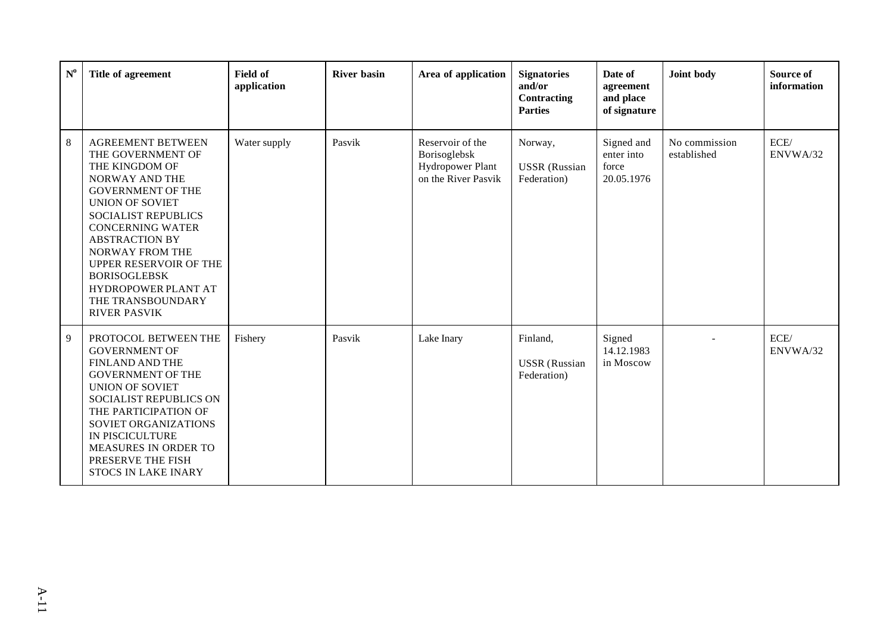| $N^0$ | Title of agreement                                                                                                                                                                                                                                                                                                                                               | Field of<br>application | <b>River basin</b> | Area of application                                                         | <b>Signatories</b><br>and/or<br>Contracting<br><b>Parties</b> | Date of<br>agreement<br>and place<br>of signature | Joint body                   | <b>Source of</b><br>information |
|-------|------------------------------------------------------------------------------------------------------------------------------------------------------------------------------------------------------------------------------------------------------------------------------------------------------------------------------------------------------------------|-------------------------|--------------------|-----------------------------------------------------------------------------|---------------------------------------------------------------|---------------------------------------------------|------------------------------|---------------------------------|
| 8     | <b>AGREEMENT BETWEEN</b><br>THE GOVERNMENT OF<br>THE KINGDOM OF<br>NORWAY AND THE<br><b>GOVERNMENT OF THE</b><br><b>UNION OF SOVIET</b><br><b>SOCIALIST REPUBLICS</b><br><b>CONCERNING WATER</b><br><b>ABSTRACTION BY</b><br>NORWAY FROM THE<br>UPPER RESERVOIR OF THE<br><b>BORISOGLEBSK</b><br>HYDROPOWER PLANT AT<br>THE TRANSBOUNDARY<br><b>RIVER PASVIK</b> | Water supply            | Pasvik             | Reservoir of the<br>Borisoglebsk<br>Hydropower Plant<br>on the River Pasvik | Norway,<br><b>USSR</b> (Russian<br>Federation)                | Signed and<br>enter into<br>force<br>20.05.1976   | No commission<br>established | ECE/<br>ENVWA/32                |
| 9     | PROTOCOL BETWEEN THE<br><b>GOVERNMENT OF</b><br><b>FINLAND AND THE</b><br><b>GOVERNMENT OF THE</b><br><b>UNION OF SOVIET</b><br>SOCIALIST REPUBLICS ON<br>THE PARTICIPATION OF<br>SOVIET ORGANIZATIONS<br>IN PISCICULTURE<br>MEASURES IN ORDER TO<br>PRESERVE THE FISH<br>STOCS IN LAKE INARY                                                                    | Fishery                 | Pasvik             | Lake Inary                                                                  | Finland,<br><b>USSR</b> (Russian<br>Federation)               | Signed<br>14.12.1983<br>in Moscow                 |                              | ECE/<br>ENVWA/32                |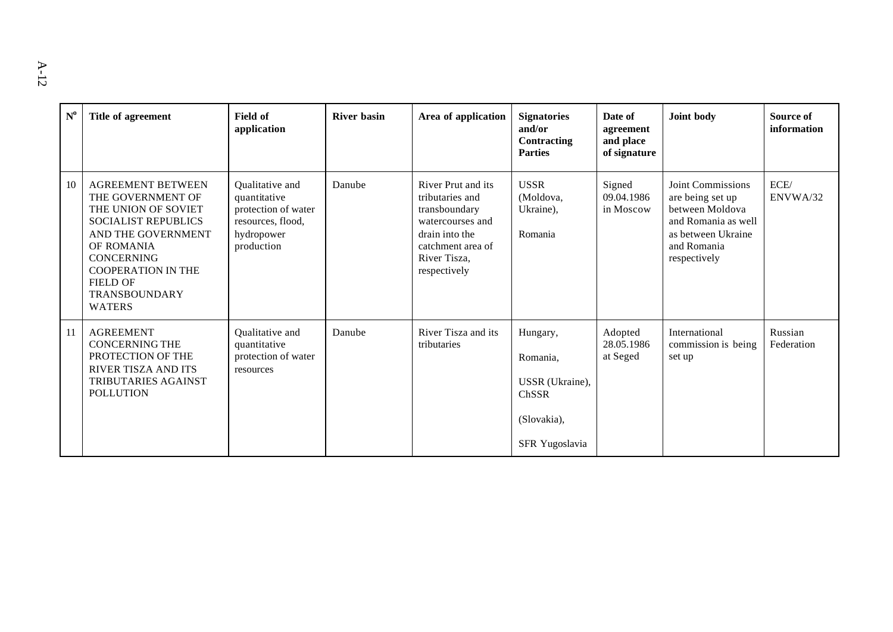| $\mathbf{N}^{\mathrm{o}}$ | Title of agreement                                                                                                                                                                                                                            | <b>Field of</b><br>application                                                                          | <b>River basin</b> | Area of application                                                                                                                               | <b>Signatories</b><br>and/or<br>Contracting<br><b>Parties</b>                            | Date of<br>agreement<br>and place<br>of signature | Joint body                                                                                                                           | Source of<br>information |
|---------------------------|-----------------------------------------------------------------------------------------------------------------------------------------------------------------------------------------------------------------------------------------------|---------------------------------------------------------------------------------------------------------|--------------------|---------------------------------------------------------------------------------------------------------------------------------------------------|------------------------------------------------------------------------------------------|---------------------------------------------------|--------------------------------------------------------------------------------------------------------------------------------------|--------------------------|
| 10                        | <b>AGREEMENT BETWEEN</b><br>THE GOVERNMENT OF<br>THE UNION OF SOVIET<br><b>SOCIALIST REPUBLICS</b><br>AND THE GOVERNMENT<br>OF ROMANIA<br><b>CONCERNING</b><br><b>COOPERATION IN THE</b><br>FIELD OF<br><b>TRANSBOUNDARY</b><br><b>WATERS</b> | Qualitative and<br>quantitative<br>protection of water<br>resources, flood,<br>hydropower<br>production | Danube             | River Prut and its<br>tributaries and<br>transboundary<br>watercourses and<br>drain into the<br>catchment area of<br>River Tisza.<br>respectively | <b>USSR</b><br>(Moldova,<br>Ukraine),<br>Romania                                         | Signed<br>09.04.1986<br>in Moscow                 | Joint Commissions<br>are being set up<br>between Moldova<br>and Romania as well<br>as between Ukraine<br>and Romania<br>respectively | ECE/<br>ENVWA/32         |
| 11                        | <b>AGREEMENT</b><br><b>CONCERNING THE</b><br>PROTECTION OF THE<br><b>RIVER TISZA AND ITS</b><br>TRIBUTARIES AGAINST<br><b>POLLUTION</b>                                                                                                       | Qualitative and<br>quantitative<br>protection of water<br>resources                                     | Danube             | River Tisza and its<br>tributaries                                                                                                                | Hungary,<br>Romania,<br>USSR (Ukraine),<br><b>ChSSR</b><br>(Slovakia),<br>SFR Yugoslavia | Adopted<br>28.05.1986<br>at Seged                 | International<br>commission is being<br>set up                                                                                       | Russian<br>Federation    |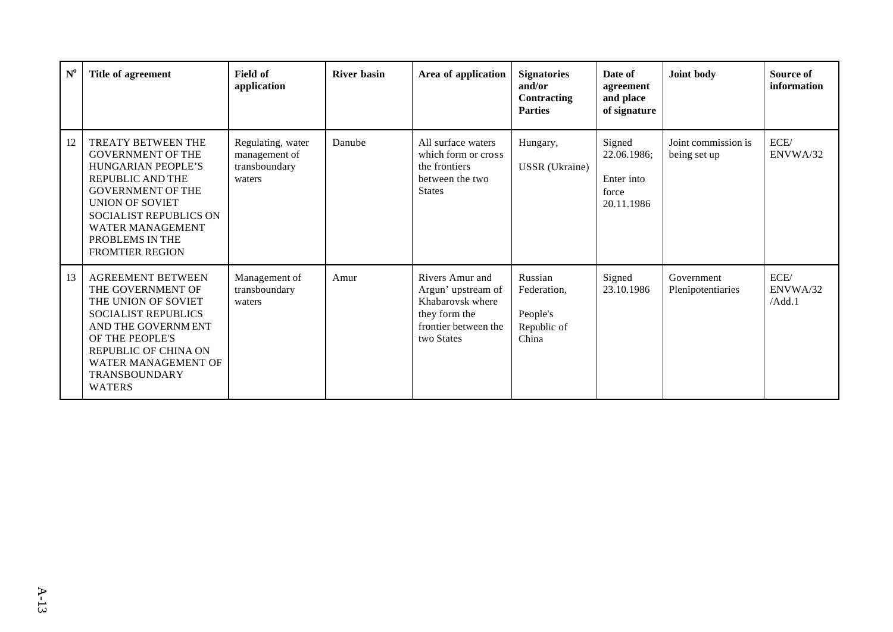| $N^0$ | Title of agreement                                                                                                                                                                                                                                      | <b>Field of</b><br>application                                | <b>River basin</b> | Area of application                                                                                              | <b>Signatories</b><br>and/or<br>Contracting<br><b>Parties</b> | Date of<br>agreement<br>and place<br>of signature          | Joint body                          | Source of<br>information   |
|-------|---------------------------------------------------------------------------------------------------------------------------------------------------------------------------------------------------------------------------------------------------------|---------------------------------------------------------------|--------------------|------------------------------------------------------------------------------------------------------------------|---------------------------------------------------------------|------------------------------------------------------------|-------------------------------------|----------------------------|
| 12    | <b>TREATY BETWEEN THE</b><br><b>GOVERNMENT OF THE</b><br>HUNGARIAN PEOPLE'S<br>REPUBLIC AND THE<br><b>GOVERNMENT OF THE</b><br><b>UNION OF SOVIET</b><br>SOCIALIST REPUBLICS ON<br><b>WATER MANAGEMENT</b><br>PROBLEMS IN THE<br><b>FROMTIER REGION</b> | Regulating, water<br>management of<br>transboundary<br>waters | Danube             | All surface waters<br>which form or cross<br>the frontiers<br>between the two<br><b>States</b>                   | Hungary,<br>USSR (Ukraine)                                    | Signed<br>22.06.1986;<br>Enter into<br>force<br>20.11.1986 | Joint commission is<br>being set up | ECE/<br>ENVWA/32           |
| 13    | <b>AGREEMENT BETWEEN</b><br>THE GOVERNMENT OF<br>THE UNION OF SOVIET<br><b>SOCIALIST REPUBLICS</b><br>AND THE GOVERNM ENT<br>OF THE PEOPLE'S<br>REPUBLIC OF CHINA ON<br>WATER MANAGEMENT OF<br><b>TRANSBOUNDARY</b><br><b>WATERS</b>                    | Management of<br>transboundary<br>waters                      | Amur               | Rivers Amur and<br>Argun' upstream of<br>Khabarovsk where<br>they form the<br>frontier between the<br>two States | Russian<br>Federation,<br>People's<br>Republic of<br>China    | Signed<br>23.10.1986                                       | Government<br>Plenipotentiaries     | ECE/<br>ENVWA/32<br>/Add.1 |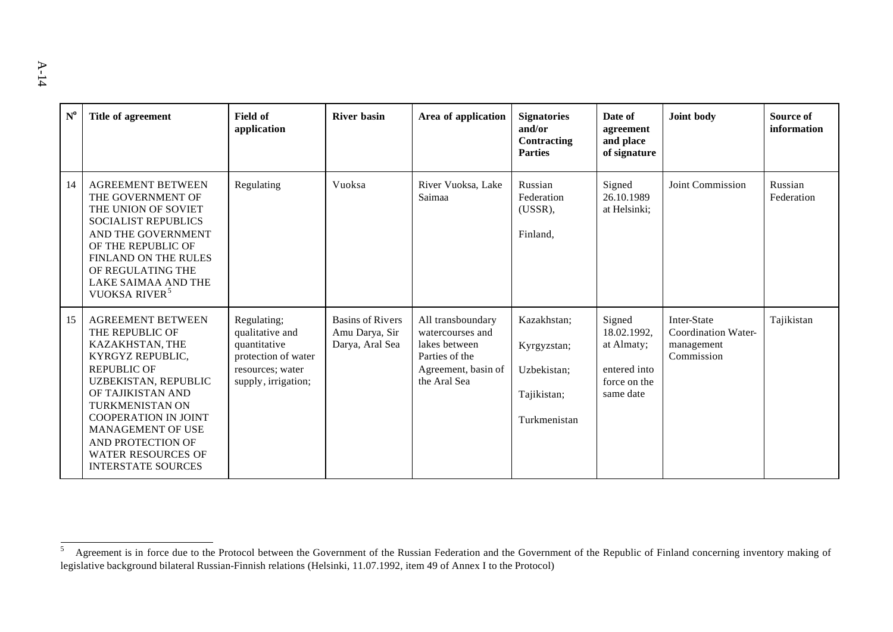| $\mathbf{N}^{\mathbf{o}}$ | Title of agreement                                                                                                                                                                                                                                                                                                        | <b>Field of</b><br>application                                                                                   | <b>River basin</b>                                           | Area of application                                                                                             | <b>Signatories</b><br>and/or<br>Contracting<br><b>Parties</b>            | Date of<br>agreement<br>and place<br>of signature                                | Joint body                                                     | Source of<br>information |
|---------------------------|---------------------------------------------------------------------------------------------------------------------------------------------------------------------------------------------------------------------------------------------------------------------------------------------------------------------------|------------------------------------------------------------------------------------------------------------------|--------------------------------------------------------------|-----------------------------------------------------------------------------------------------------------------|--------------------------------------------------------------------------|----------------------------------------------------------------------------------|----------------------------------------------------------------|--------------------------|
| 14                        | <b>AGREEMENT BETWEEN</b><br>THE GOVERNMENT OF<br>THE UNION OF SOVIET<br><b>SOCIALIST REPUBLICS</b><br>AND THE GOVERNMENT<br>OF THE REPUBLIC OF<br>FINLAND ON THE RULES<br>OF REGULATING THE<br>LAKE SAIMAA AND THE<br>VUOKSA RIVER <sup>5</sup>                                                                           | Regulating                                                                                                       | Vuoksa                                                       | River Vuoksa, Lake<br>Saimaa                                                                                    | Russian<br>Federation<br>$(USSR)$ ,<br>Finland,                          | Signed<br>26.10.1989<br>at Helsinki;                                             | Joint Commission                                               | Russian<br>Federation    |
| 15                        | <b>AGREEMENT BETWEEN</b><br>THE REPUBLIC OF<br>KAZAKHSTAN, THE<br>KYRGYZ REPUBLIC,<br><b>REPUBLIC OF</b><br>UZBEKISTAN, REPUBLIC<br>OF TAJIKISTAN AND<br><b>TURKMENISTAN ON</b><br><b>COOPERATION IN JOINT</b><br><b>MANAGEMENT OF USE</b><br>AND PROTECTION OF<br><b>WATER RESOURCES OF</b><br><b>INTERSTATE SOURCES</b> | Regulating;<br>qualitative and<br>quantitative<br>protection of water<br>resources; water<br>supply, irrigation; | <b>Basins of Rivers</b><br>Amu Darya, Sir<br>Darya, Aral Sea | All transboundary<br>watercourses and<br>lakes between<br>Parties of the<br>Agreement, basin of<br>the Aral Sea | Kazakhstan;<br>Kyrgyzstan;<br>Uzbekistan;<br>Tajikistan;<br>Turkmenistan | Signed<br>18.02.1992,<br>at Almaty;<br>entered into<br>force on the<br>same date | Inter-State<br>Coordination Water-<br>management<br>Commission | Tajikistan               |

 $\sqrt{5}$ Agreement is in force due to the Protocol between the Government of the Russian Federation and the Government of the Republic of Finland concerning inventory making of legislative background bilateral Russian-Finnish relations (Helsinki, 11.07.1992, item 49 of Annex I to the Protocol)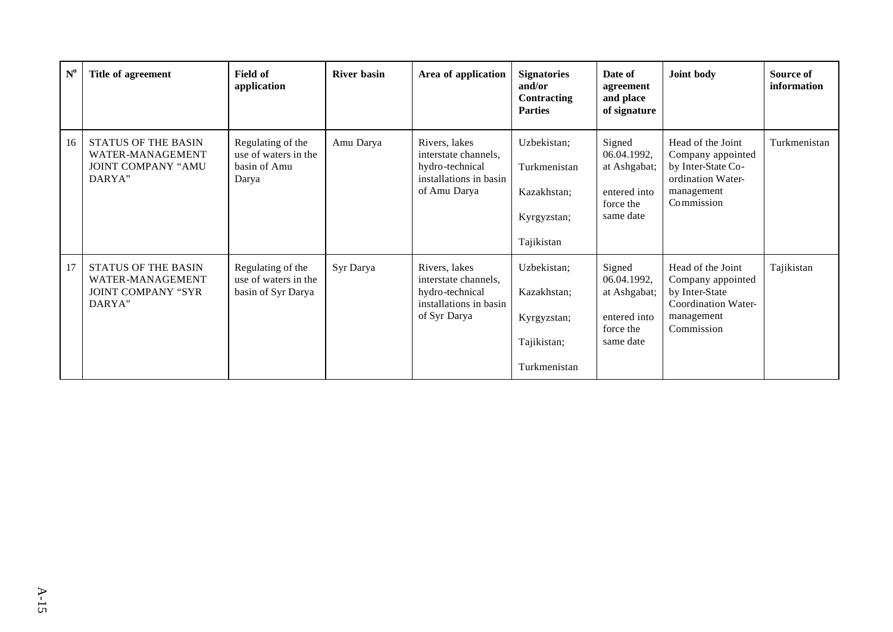| $\mathbf{N}^{\mathrm{o}}$ | Title of agreement                                                             | <b>Field of</b><br>application                                     | <b>River basin</b> | Area of application                                                                                | <b>Signatories</b><br>and/or<br>Contracting<br><b>Parties</b>            | Date of<br>agreement<br>and place<br>of signature                               | Joint body                                                                                                         | Source of<br>information |
|---------------------------|--------------------------------------------------------------------------------|--------------------------------------------------------------------|--------------------|----------------------------------------------------------------------------------------------------|--------------------------------------------------------------------------|---------------------------------------------------------------------------------|--------------------------------------------------------------------------------------------------------------------|--------------------------|
| 16                        | STATUS OF THE BASIN<br>WATER-MANAGEMENT<br><b>JOINT COMPANY "AMU</b><br>DARYA" | Regulating of the<br>use of waters in the<br>basin of Amu<br>Darya | Amu Darya          | Rivers, lakes<br>interstate channels.<br>hydro-technical<br>installations in basin<br>of Amu Darya | Uzbekistan;<br>Turkmenistan<br>Kazakhstan;<br>Kyrgyzstan;<br>Tajikistan  | Signed<br>06.04.1992,<br>at Ashgabat;<br>entered into<br>force the<br>same date | Head of the Joint<br>Company appointed<br>by Inter-State Co-<br>ordination Water-<br>management<br>Commission      | Turkmenistan             |
| 17                        | STATUS OF THE BASIN<br>WATER-MANAGEMENT<br><b>JOINT COMPANY "SYR</b><br>DARYA" | Regulating of the<br>use of waters in the<br>basin of Syr Darya    | Syr Darya          | Rivers, lakes<br>interstate channels,<br>hydro-technical<br>installations in basin<br>of Syr Darya | Uzbekistan;<br>Kazakhstan;<br>Kyrgyzstan;<br>Tajikistan;<br>Turkmenistan | Signed<br>06.04.1992,<br>at Ashgabat;<br>entered into<br>force the<br>same date | Head of the Joint<br>Company appointed<br>by Inter-State<br><b>Coordination Water-</b><br>management<br>Commission | Tajikistan               |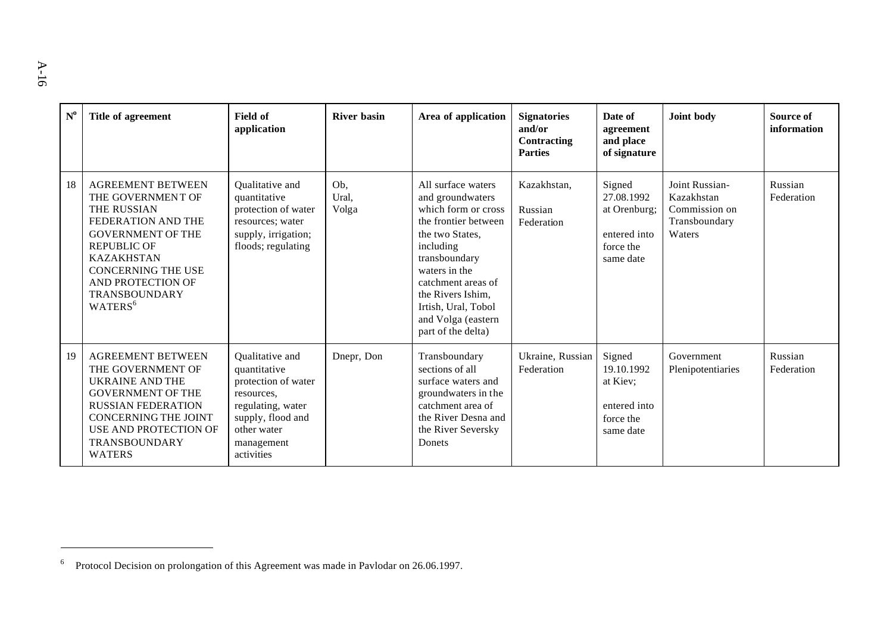| $N^0$ | Title of agreement                                                                                                                                                                                                                                         | <b>Field of</b><br>application                                                                                                                            | <b>River basin</b>    | Area of application                                                                                                                                                                                                                                                   | <b>Signatories</b><br>and/or<br>Contracting<br><b>Parties</b> | Date of<br>agreement<br>and place<br>of signature                              | Joint body                                                               | Source of<br>information |
|-------|------------------------------------------------------------------------------------------------------------------------------------------------------------------------------------------------------------------------------------------------------------|-----------------------------------------------------------------------------------------------------------------------------------------------------------|-----------------------|-----------------------------------------------------------------------------------------------------------------------------------------------------------------------------------------------------------------------------------------------------------------------|---------------------------------------------------------------|--------------------------------------------------------------------------------|--------------------------------------------------------------------------|--------------------------|
| 18    | <b>AGREEMENT BETWEEN</b><br>THE GOVERNMENT OF<br><b>THE RUSSIAN</b><br>FEDERATION AND THE<br><b>GOVERNMENT OF THE</b><br><b>REPUBLIC OF</b><br><b>KAZAKHSTAN</b><br><b>CONCERNING THE USE</b><br>AND PROTECTION OF<br>TRANSBOUNDARY<br>WATERS <sup>6</sup> | Qualitative and<br>quantitative<br>protection of water<br>resources; water<br>supply, irrigation;<br>floods; regulating                                   | Ob.<br>Ural,<br>Volga | All surface waters<br>and groundwaters<br>which form or cross<br>the frontier between<br>the two States,<br>including<br>transboundary<br>waters in the<br>catchment areas of<br>the Rivers Ishim,<br>Irtish, Ural, Tobol<br>and Volga (eastern<br>part of the delta) | Kazakhstan,<br>Russian<br>Federation                          | Signed<br>27.08.1992<br>at Orenburg;<br>entered into<br>force the<br>same date | Joint Russian-<br>Kazakhstan<br>Commission on<br>Transboundary<br>Waters | Russian<br>Federation    |
| 19    | <b>AGREEMENT BETWEEN</b><br>THE GOVERNMENT OF<br><b>UKRAINE AND THE</b><br><b>GOVERNMENT OF THE</b><br><b>RUSSIAN FEDERATION</b><br><b>CONCERNING THE JOINT</b><br>USE AND PROTECTION OF<br><b>TRANSBOUNDARY</b><br><b>WATERS</b>                          | Qualitative and<br>quantitative<br>protection of water<br>resources,<br>regulating, water<br>supply, flood and<br>other water<br>management<br>activities | Dnepr, Don            | Transboundary<br>sections of all<br>surface waters and<br>groundwaters in the<br>catchment area of<br>the River Desna and<br>the River Seversky<br>Donets                                                                                                             | Ukraine, Russian<br>Federation                                | Signed<br>19.10.1992<br>at Kiev;<br>entered into<br>force the<br>same date     | Government<br>Plenipotentiaries                                          | Russian<br>Federation    |

 $6$  Protocol Decision on prolongation of this Agreement was made in Pavlodar on 26.06.1997.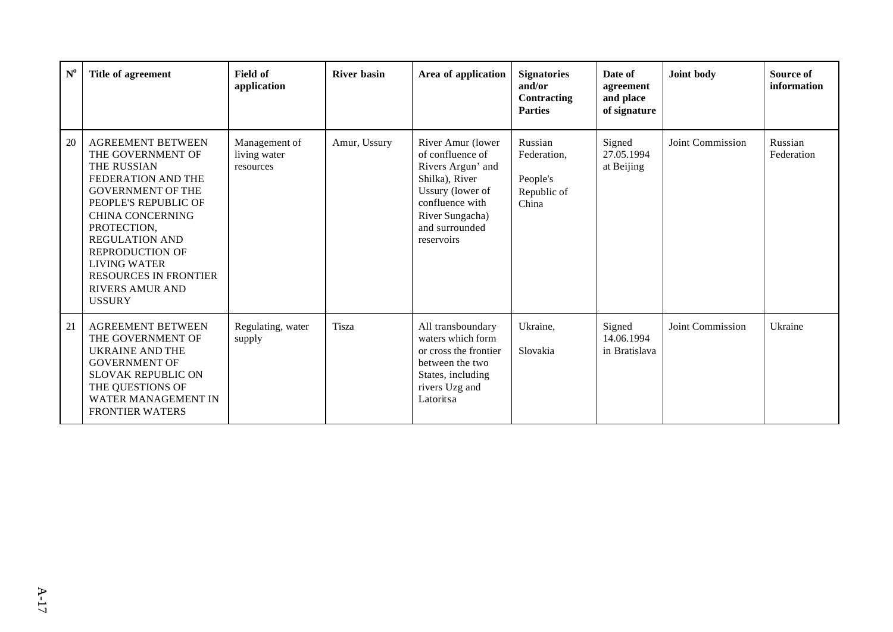| $\mathbf{N}^{\mathrm{o}}$ | Title of agreement                                                                                                                                                                                                                                                                                                                    | <b>Field of</b><br>application             | <b>River basin</b> | Area of application                                                                                                                                                    | <b>Signatories</b><br>and/or<br>Contracting<br><b>Parties</b> | Date of<br>agreement<br>and place<br>of signature | Joint body       | Source of<br>information |
|---------------------------|---------------------------------------------------------------------------------------------------------------------------------------------------------------------------------------------------------------------------------------------------------------------------------------------------------------------------------------|--------------------------------------------|--------------------|------------------------------------------------------------------------------------------------------------------------------------------------------------------------|---------------------------------------------------------------|---------------------------------------------------|------------------|--------------------------|
| 20                        | <b>AGREEMENT BETWEEN</b><br>THE GOVERNMENT OF<br>THE RUSSIAN<br>FEDERATION AND THE<br><b>GOVERNMENT OF THE</b><br>PEOPLE'S REPUBLIC OF<br><b>CHINA CONCERNING</b><br>PROTECTION,<br><b>REGULATION AND</b><br><b>REPRODUCTION OF</b><br><b>LIVING WATER</b><br><b>RESOURCES IN FRONTIER</b><br><b>RIVERS AMUR AND</b><br><b>USSURY</b> | Management of<br>living water<br>resources | Amur, Ussury       | River Amur (lower<br>of confluence of<br>Rivers Argun' and<br>Shilka), River<br>Ussury (lower of<br>confluence with<br>River Sungacha)<br>and surrounded<br>reservoirs | Russian<br>Federation,<br>People's<br>Republic of<br>China    | Signed<br>27.05.1994<br>at Beijing                | Joint Commission | Russian<br>Federation    |
| 21                        | <b>AGREEMENT BETWEEN</b><br>THE GOVERNMENT OF<br>UKRAINE AND THE<br><b>GOVERNMENT OF</b><br><b>SLOVAK REPUBLIC ON</b><br>THE QUESTIONS OF<br>WATER MANAGEMENT IN<br><b>FRONTIER WATERS</b>                                                                                                                                            | Regulating, water<br>supply                | Tisza              | All transboundary<br>waters which form<br>or cross the frontier<br>between the two<br>States, including<br>rivers Uzg and<br>Latoritsa                                 | Ukraine,<br>Slovakia                                          | Signed<br>14.06.1994<br>in Bratislava             | Joint Commission | Ukraine                  |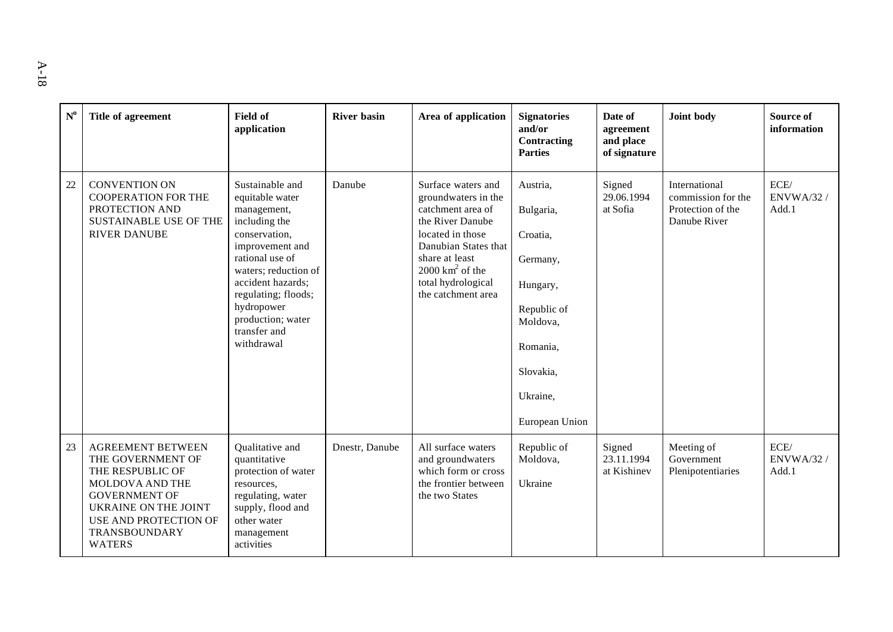| $\mathbf{N}^{\mathrm{o}}$ | Title of agreement                                                                                                                                                                                            | <b>Field of</b><br>application                                                                                                                                                                                                                                 | <b>River basin</b> | Area of application                                                                                                                                                                                                        | <b>Signatories</b><br>and/or<br>Contracting<br><b>Parties</b>                                                                               | Date of<br>agreement<br>and place<br>of signature | Joint body                                                               | Source of<br>information          |
|---------------------------|---------------------------------------------------------------------------------------------------------------------------------------------------------------------------------------------------------------|----------------------------------------------------------------------------------------------------------------------------------------------------------------------------------------------------------------------------------------------------------------|--------------------|----------------------------------------------------------------------------------------------------------------------------------------------------------------------------------------------------------------------------|---------------------------------------------------------------------------------------------------------------------------------------------|---------------------------------------------------|--------------------------------------------------------------------------|-----------------------------------|
| 22                        | <b>CONVENTION ON</b><br><b>COOPERATION FOR THE</b><br>PROTECTION AND<br><b>SUSTAINABLE USE OF THE</b><br><b>RIVER DANUBE</b>                                                                                  | Sustainable and<br>equitable water<br>management,<br>including the<br>conservation,<br>improvement and<br>rational use of<br>waters; reduction of<br>accident hazards;<br>regulating; floods;<br>hydropower<br>production; water<br>transfer and<br>withdrawal | Danube             | Surface waters and<br>groundwaters in the<br>catchment area of<br>the River Danube<br>located in those<br>Danubian States that<br>share at least<br>$2000 \text{ km}^2$ of the<br>total hydrological<br>the catchment area | Austria,<br>Bulgaria,<br>Croatia,<br>Germany,<br>Hungary,<br>Republic of<br>Moldova,<br>Romania,<br>Slovakia,<br>Ukraine,<br>European Union | Signed<br>29.06.1994<br>at Sofia                  | International<br>commission for the<br>Protection of the<br>Danube River | ECE/<br><b>ENVWA/32/</b><br>Add.1 |
| 23                        | <b>AGREEMENT BETWEEN</b><br>THE GOVERNMENT OF<br>THE RESPUBLIC OF<br>MOLDOVA AND THE<br><b>GOVERNMENT OF</b><br><b>UKRAINE ON THE JOINT</b><br>USE AND PROTECTION OF<br><b>TRANSBOUNDARY</b><br><b>WATERS</b> | Qualitative and<br>quantitative<br>protection of water<br>resources,<br>regulating, water<br>supply, flood and<br>other water<br>management<br>activities                                                                                                      | Dnestr, Danube     | All surface waters<br>and groundwaters<br>which form or cross<br>the frontier between<br>the two States                                                                                                                    | Republic of<br>Moldova,<br>Ukraine                                                                                                          | Signed<br>23.11.1994<br>at Kishinev               | Meeting of<br>Government<br>Plenipotentiaries                            | ECE/<br>ENVWA/32 /<br>Add.1       |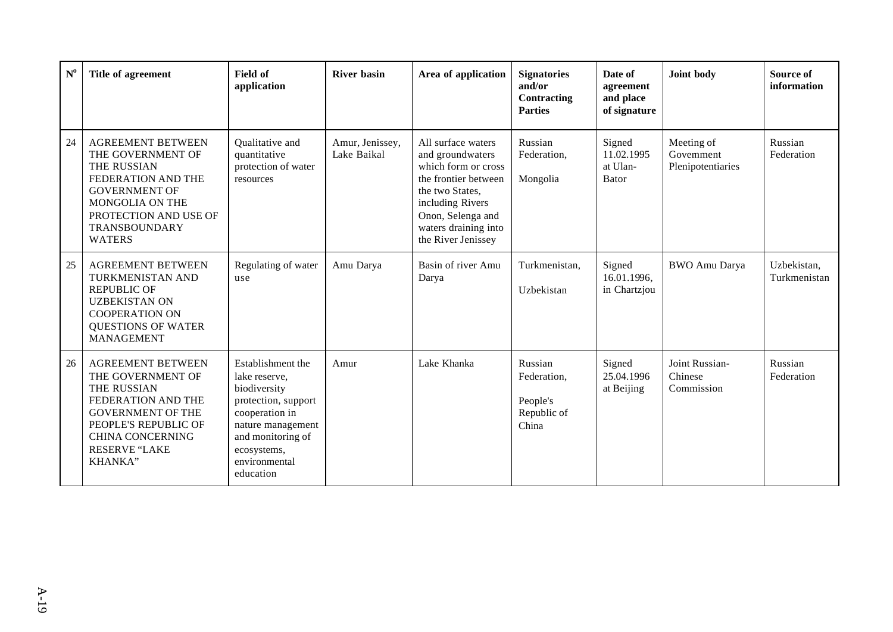| $\mathbf{N}^{\mathrm{o}}$ | Title of agreement                                                                                                                                                                                          | <b>Field of</b><br>application                                                                                                                                                     | <b>River basin</b>             | Area of application                                                                                                                                                                             | <b>Signatories</b><br>and/or<br>Contracting<br><b>Parties</b> | Date of<br>agreement<br>and place<br>of signature | Joint body                                    | Source of<br>information    |
|---------------------------|-------------------------------------------------------------------------------------------------------------------------------------------------------------------------------------------------------------|------------------------------------------------------------------------------------------------------------------------------------------------------------------------------------|--------------------------------|-------------------------------------------------------------------------------------------------------------------------------------------------------------------------------------------------|---------------------------------------------------------------|---------------------------------------------------|-----------------------------------------------|-----------------------------|
| 24                        | <b>AGREEMENT BETWEEN</b><br>THE GOVERNMENT OF<br>THE RUSSIAN<br>FEDERATION AND THE<br><b>GOVERNMENT OF</b><br>MONGOLIA ON THE<br>PROTECTION AND USE OF<br><b>TRANSBOUNDARY</b><br><b>WATERS</b>             | Qualitative and<br>quantitative<br>protection of water<br>resources                                                                                                                | Amur, Jenissey,<br>Lake Baikal | All surface waters<br>and groundwaters<br>which form or cross<br>the frontier between<br>the two States,<br>including Rivers<br>Onon, Selenga and<br>waters draining into<br>the River Jenissey | Russian<br>Federation,<br>Mongolia                            | Signed<br>11.02.1995<br>at Ulan-<br><b>Bator</b>  | Meeting of<br>Government<br>Plenipotentiaries | Russian<br>Federation       |
| 25                        | <b>AGREEMENT BETWEEN</b><br>TURKMENISTAN AND<br><b>REPUBLIC OF</b><br><b>UZBEKISTAN ON</b><br><b>COOPERATION ON</b><br><b>QUESTIONS OF WATER</b><br><b>MANAGEMENT</b>                                       | Regulating of water<br>use                                                                                                                                                         | Amu Darya                      | Basin of river Amu<br>Darya                                                                                                                                                                     | Turkmenistan,<br>Uzbekistan                                   | Signed<br>16.01.1996.<br>in Chartzjou             | <b>BWO</b> Amu Darya                          | Uzbekistan,<br>Turkmenistan |
| 26                        | <b>AGREEMENT BETWEEN</b><br>THE GOVERNMENT OF<br>THE RUSSIAN<br><b>FEDERATION AND THE</b><br><b>GOVERNMENT OF THE</b><br>PEOPLE'S REPUBLIC OF<br><b>CHINA CONCERNING</b><br><b>RESERVE "LAKE</b><br>KHANKA" | Establishment the<br>lake reserve,<br>biodiversity<br>protection, support<br>cooperation in<br>nature management<br>and monitoring of<br>ecosystems,<br>environmental<br>education | Amur                           | Lake Khanka                                                                                                                                                                                     | Russian<br>Federation,<br>People's<br>Republic of<br>China    | Signed<br>25.04.1996<br>at Beijing                | Joint Russian-<br>Chinese<br>Commission       | Russian<br>Federation       |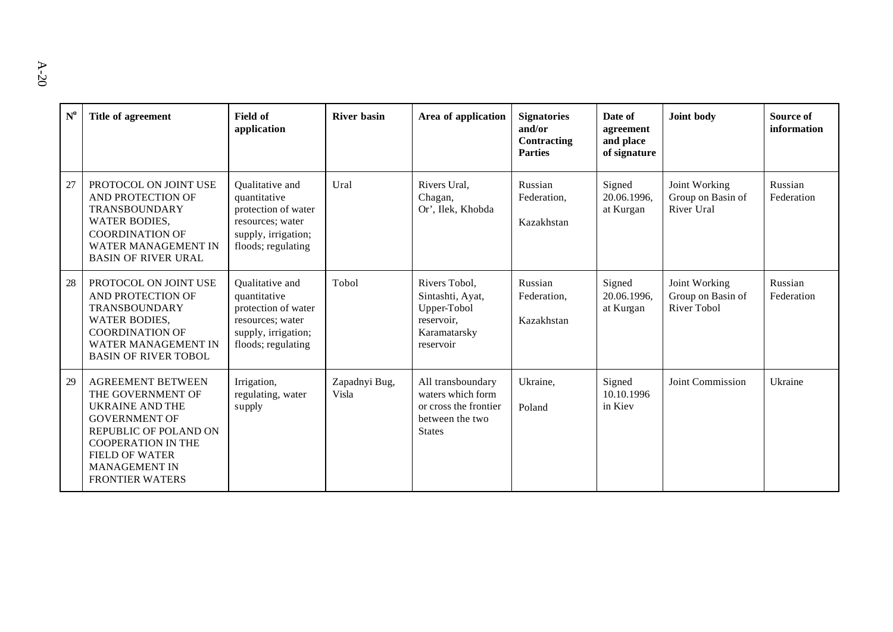| $N^{\rm o}$ | Title of agreement                                                                                                                                                                                                               | <b>Field of</b><br>application                                                                                          | <b>River basin</b>     | Area of application                                                                                 | <b>Signatories</b><br>and/or<br>Contracting<br><b>Parties</b> | Date of<br>agreement<br>and place<br>of signature | Joint body                                        | Source of<br>information |
|-------------|----------------------------------------------------------------------------------------------------------------------------------------------------------------------------------------------------------------------------------|-------------------------------------------------------------------------------------------------------------------------|------------------------|-----------------------------------------------------------------------------------------------------|---------------------------------------------------------------|---------------------------------------------------|---------------------------------------------------|--------------------------|
| 27          | PROTOCOL ON JOINT USE<br>AND PROTECTION OF<br><b>TRANSBOUNDARY</b><br><b>WATER BODIES,</b><br><b>COORDINATION OF</b><br><b>WATER MANAGEMENT IN</b><br><b>BASIN OF RIVER URAL</b>                                                 | Qualitative and<br>quantitative<br>protection of water<br>resources; water<br>supply, irrigation;<br>floods; regulating | Ural                   | Rivers Ural,<br>Chagan,<br>Or', Ilek, Khobda                                                        | Russian<br>Federation,<br>Kazakhstan                          | Signed<br>20.06.1996,<br>at Kurgan                | Joint Working<br>Group on Basin of<br>River Ural  | Russian<br>Federation    |
| 28          | PROTOCOL ON JOINT USE<br>AND PROTECTION OF<br><b>TRANSBOUNDARY</b><br><b>WATER BODIES,</b><br><b>COORDINATION OF</b><br>WATER MANAGEMENT IN<br><b>BASIN OF RIVER TOBOL</b>                                                       | Qualitative and<br>quantitative<br>protection of water<br>resources; water<br>supply, irrigation;<br>floods; regulating | Tobol                  | Rivers Tobol.<br>Sintashti, Ayat,<br>Upper-Tobol<br>reservoir,<br>Karamatarsky<br>reservoir         | Russian<br>Federation,<br>Kazakhstan                          | Signed<br>20.06.1996.<br>at Kurgan                | Joint Working<br>Group on Basin of<br>River Tobol | Russian<br>Federation    |
| 29          | <b>AGREEMENT BETWEEN</b><br>THE GOVERNMENT OF<br><b>UKRAINE AND THE</b><br><b>GOVERNMENT OF</b><br>REPUBLIC OF POLAND ON<br><b>COOPERATION IN THE</b><br><b>FIELD OF WATER</b><br><b>MANAGEMENT IN</b><br><b>FRONTIER WATERS</b> | Irrigation,<br>regulating, water<br>supply                                                                              | Zapadnyi Bug,<br>Visla | All transboundary<br>waters which form<br>or cross the frontier<br>between the two<br><b>States</b> | Ukraine,<br>Poland                                            | Signed<br>10.10.1996<br>in Kiev                   | Joint Commission                                  | Ukraine                  |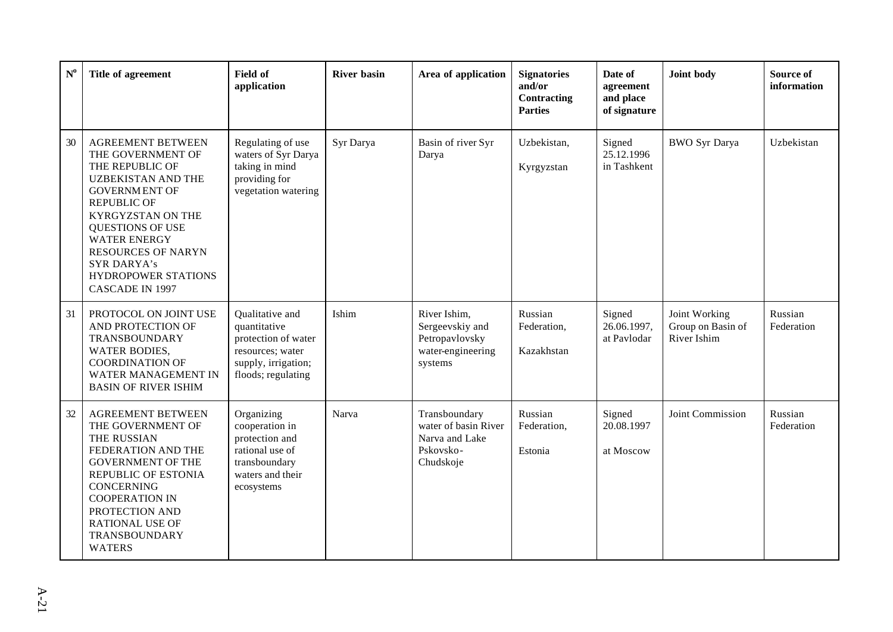| $\mathbf{N}^{\mathrm{o}}$ | Title of agreement                                                                                                                                                                                                                                                                                                            | <b>Field of</b><br>application                                                                                          | <b>River basin</b> | Area of application                                                               | <b>Signatories</b><br>and/or<br>Contracting<br><b>Parties</b> | Date of<br>agreement<br>and place<br>of signature | Joint body                                        | Source of<br>information |
|---------------------------|-------------------------------------------------------------------------------------------------------------------------------------------------------------------------------------------------------------------------------------------------------------------------------------------------------------------------------|-------------------------------------------------------------------------------------------------------------------------|--------------------|-----------------------------------------------------------------------------------|---------------------------------------------------------------|---------------------------------------------------|---------------------------------------------------|--------------------------|
| 30                        | <b>AGREEMENT BETWEEN</b><br>THE GOVERNMENT OF<br>THE REPUBLIC OF<br><b>UZBEKISTAN AND THE</b><br><b>GOVERNMENT OF</b><br><b>REPUBLIC OF</b><br><b>KYRGYZSTAN ON THE</b><br><b>QUESTIONS OF USE</b><br><b>WATER ENERGY</b><br><b>RESOURCES OF NARYN</b><br><b>SYR DARYA's</b><br>HYDROPOWER STATIONS<br><b>CASCADE IN 1997</b> | Regulating of use<br>waters of Syr Darya<br>taking in mind<br>providing for<br>vegetation watering                      | Syr Darya          | Basin of river Syr<br>Darya                                                       | Uzbekistan,<br>Kyrgyzstan                                     | Signed<br>25.12.1996<br>in Tashkent               | <b>BWO</b> Syr Darya                              | Uzbekistan               |
| 31                        | PROTOCOL ON JOINT USE<br>AND PROTECTION OF<br><b>TRANSBOUNDARY</b><br><b>WATER BODIES,</b><br><b>COORDINATION OF</b><br>WATER MANAGEMENT IN<br><b>BASIN OF RIVER ISHIM</b>                                                                                                                                                    | Qualitative and<br>quantitative<br>protection of water<br>resources; water<br>supply, irrigation;<br>floods; regulating | Ishim              | River Ishim,<br>Sergeevskiy and<br>Petropavlovsky<br>water-engineering<br>systems | Russian<br>Federation,<br>Kazakhstan                          | Signed<br>26.06.1997,<br>at Pavlodar              | Joint Working<br>Group on Basin of<br>River Ishim | Russian<br>Federation    |
| 32                        | <b>AGREEMENT BETWEEN</b><br>THE GOVERNMENT OF<br>THE RUSSIAN<br>FEDERATION AND THE<br><b>GOVERNMENT OF THE</b><br>REPUBLIC OF ESTONIA<br><b>CONCERNING</b><br><b>COOPERATION IN</b><br>PROTECTION AND<br><b>RATIONAL USE OF</b><br><b>TRANSBOUNDARY</b><br><b>WATERS</b>                                                      | Organizing<br>cooperation in<br>protection and<br>rational use of<br>transboundary<br>waters and their<br>ecosystems    | Narva              | Transboundary<br>water of basin River<br>Narva and Lake<br>Pskovsko-<br>Chudskoje | Russian<br>Federation,<br>Estonia                             | Signed<br>20.08.1997<br>at Moscow                 | Joint Commission                                  | Russian<br>Federation    |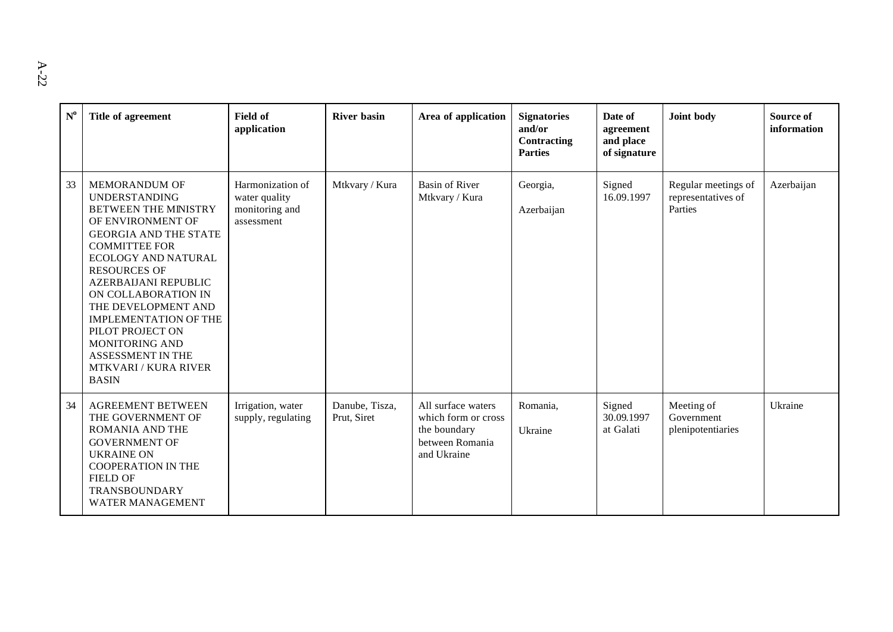| $\mathbf{N}^{\mathrm{o}}$ | Title of agreement                                                                                                                                                                                                                                                                                                                                                                                                            | Field of<br>application                                           | <b>River basin</b>            | Area of application                                                                         | <b>Signatories</b><br>and/or<br>Contracting<br><b>Parties</b> | Date of<br>agreement<br>and place<br>of signature | Joint body                                           | Source of<br>information |
|---------------------------|-------------------------------------------------------------------------------------------------------------------------------------------------------------------------------------------------------------------------------------------------------------------------------------------------------------------------------------------------------------------------------------------------------------------------------|-------------------------------------------------------------------|-------------------------------|---------------------------------------------------------------------------------------------|---------------------------------------------------------------|---------------------------------------------------|------------------------------------------------------|--------------------------|
| 33                        | MEMORANDUM OF<br><b>UNDERSTANDING</b><br>BETWEEN THE MINISTRY<br>OF ENVIRONMENT OF<br><b>GEORGIA AND THE STATE</b><br><b>COMMITTEE FOR</b><br><b>ECOLOGY AND NATURAL</b><br><b>RESOURCES OF</b><br><b>AZERBAIJANI REPUBLIC</b><br>ON COLLABORATION IN<br>THE DEVELOPMENT AND<br><b>IMPLEMENTATION OF THE</b><br>PILOT PROJECT ON<br>MONITORING AND<br><b>ASSESSMENT IN THE</b><br><b>MTKVARI / KURA RIVER</b><br><b>BASIN</b> | Harmonization of<br>water quality<br>monitoring and<br>assessment | Mtkvary / Kura                | Basin of River<br>Mtkvary / Kura                                                            | Georgia,<br>Azerbaijan                                        | Signed<br>16.09.1997                              | Regular meetings of<br>representatives of<br>Parties | Azerbaijan               |
| 34                        | <b>AGREEMENT BETWEEN</b><br>THE GOVERNMENT OF<br><b>ROMANIA AND THE</b><br><b>GOVERNMENT OF</b><br><b>UKRAINE ON</b><br><b>COOPERATION IN THE</b><br><b>FIELD OF</b><br><b>TRANSBOUNDARY</b><br><b>WATER MANAGEMENT</b>                                                                                                                                                                                                       | Irrigation, water<br>supply, regulating                           | Danube, Tisza,<br>Prut, Siret | All surface waters<br>which form or cross<br>the boundary<br>between Romania<br>and Ukraine | Romania,<br>Ukraine                                           | Signed<br>30.09.1997<br>at Galati                 | Meeting of<br>Government<br>plenipotentiaries        | Ukraine                  |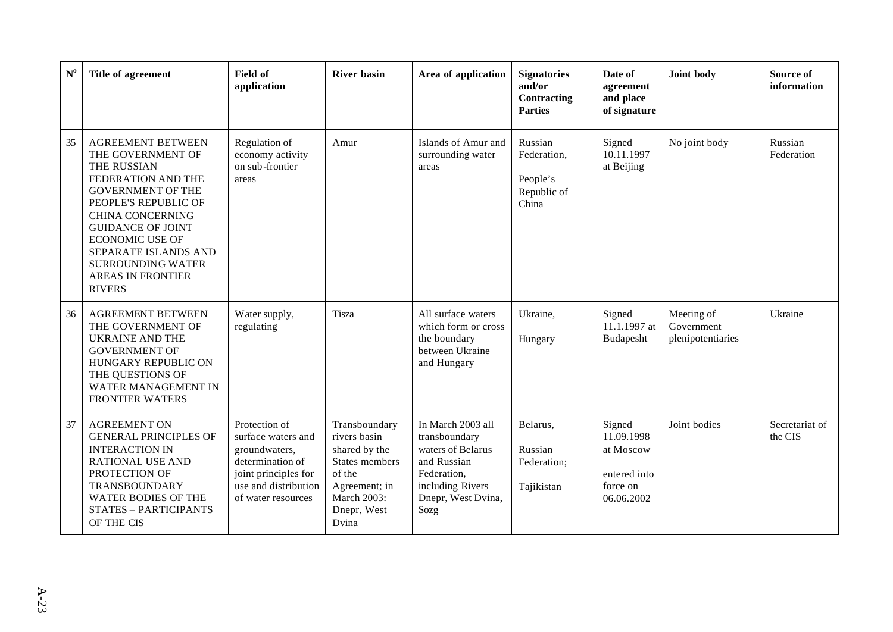| $N^{\rm o}$ | Title of agreement                                                                                                                                                                                                                                                                                                       | <b>Field of</b><br>application                                                                                                                 | <b>River basin</b>                                                                                                                 | Area of application                                                                                                                     | <b>Signatories</b><br>and/or<br>Contracting<br><b>Parties</b> | Date of<br>agreement<br>and place<br>of signature                           | Joint body                                    | <b>Source of</b><br>information |
|-------------|--------------------------------------------------------------------------------------------------------------------------------------------------------------------------------------------------------------------------------------------------------------------------------------------------------------------------|------------------------------------------------------------------------------------------------------------------------------------------------|------------------------------------------------------------------------------------------------------------------------------------|-----------------------------------------------------------------------------------------------------------------------------------------|---------------------------------------------------------------|-----------------------------------------------------------------------------|-----------------------------------------------|---------------------------------|
| 35          | <b>AGREEMENT BETWEEN</b><br>THE GOVERNMENT OF<br>THE RUSSIAN<br>FEDERATION AND THE<br><b>GOVERNMENT OF THE</b><br>PEOPLE'S REPUBLIC OF<br><b>CHINA CONCERNING</b><br><b>GUIDANCE OF JOINT</b><br><b>ECONOMIC USE OF</b><br>SEPARATE ISLANDS AND<br><b>SURROUNDING WATER</b><br><b>AREAS IN FRONTIER</b><br><b>RIVERS</b> | Regulation of<br>economy activity<br>on sub-frontier<br>areas                                                                                  | Amur                                                                                                                               | Islands of Amur and<br>surrounding water<br>areas                                                                                       | Russian<br>Federation,<br>People's<br>Republic of<br>China    | Signed<br>10.11.1997<br>at Beijing                                          | No joint body                                 | Russian<br>Federation           |
| 36          | <b>AGREEMENT BETWEEN</b><br>THE GOVERNMENT OF<br><b>UKRAINE AND THE</b><br><b>GOVERNMENT OF</b><br>HUNGARY REPUBLIC ON<br>THE QUESTIONS OF<br>WATER MANAGEMENT IN<br><b>FRONTIER WATERS</b>                                                                                                                              | Water supply,<br>regulating                                                                                                                    | Tisza                                                                                                                              | All surface waters<br>which form or cross<br>the boundary<br>between Ukraine<br>and Hungary                                             | Ukraine,<br>Hungary                                           | Signed<br>11.1.1997 at<br>Budapesht                                         | Meeting of<br>Government<br>plenipotentiaries | Ukraine                         |
| 37          | <b>AGREEMENT ON</b><br><b>GENERAL PRINCIPLES OF</b><br><b>INTERACTION IN</b><br><b>RATIONAL USE AND</b><br>PROTECTION OF<br>TRANSBOUNDARY<br>WATER BODIES OF THE<br><b>STATES - PARTICIPANTS</b><br>OF THE CIS                                                                                                           | Protection of<br>surface waters and<br>groundwaters,<br>determination of<br>joint principles for<br>use and distribution<br>of water resources | Transboundary<br>rivers basin<br>shared by the<br>States members<br>of the<br>Agreement; in<br>March 2003:<br>Dnepr, West<br>Dvina | In March 2003 all<br>transboundary<br>waters of Belarus<br>and Russian<br>Federation,<br>including Rivers<br>Dnepr, West Dvina,<br>Sozg | Belarus,<br>Russian<br>Federation;<br>Tajikistan              | Signed<br>11.09.1998<br>at Moscow<br>entered into<br>force on<br>06.06.2002 | Joint bodies                                  | Secretariat of<br>the CIS       |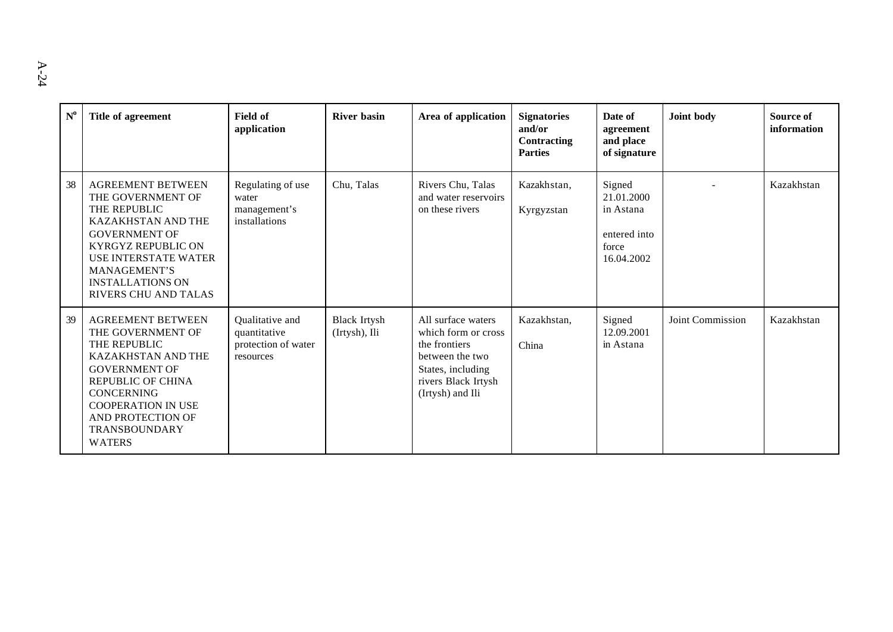| $\mathbf{N}^{\mathrm{o}}$ | Title of agreement                                                                                                                                                                                                                                             | <b>Field of</b><br>application                                      | <b>River basin</b>                   | Area of application                                                                                                                           | <b>Signatories</b><br>and/or<br>Contracting<br><b>Parties</b> | Date of<br>agreement<br>and place<br>of signature                        | Joint body       | Source of<br>information |
|---------------------------|----------------------------------------------------------------------------------------------------------------------------------------------------------------------------------------------------------------------------------------------------------------|---------------------------------------------------------------------|--------------------------------------|-----------------------------------------------------------------------------------------------------------------------------------------------|---------------------------------------------------------------|--------------------------------------------------------------------------|------------------|--------------------------|
| 38                        | <b>AGREEMENT BETWEEN</b><br>THE GOVERNMENT OF<br>THE REPUBLIC<br>KAZAKHSTAN AND THE<br><b>GOVERNMENT OF</b><br><b>KYRGYZ REPUBLIC ON</b><br><b>USE INTERSTATE WATER</b><br>MANAGEMENT'S<br><b>INSTALLATIONS ON</b><br>RIVERS CHU AND TALAS                     | Regulating of use<br>water<br>management's<br>installations         | Chu, Talas                           | Rivers Chu, Talas<br>and water reservoirs<br>on these rivers                                                                                  | Kazakhstan,<br>Kyrgyzstan                                     | Signed<br>21.01.2000<br>in Astana<br>entered into<br>force<br>16.04.2002 |                  | Kazakhstan               |
| 39                        | <b>AGREEMENT BETWEEN</b><br>THE GOVERNMENT OF<br>THE REPUBLIC<br><b>KAZAKHSTAN AND THE</b><br><b>GOVERNMENT OF</b><br><b>REPUBLIC OF CHINA</b><br><b>CONCERNING</b><br><b>COOPERATION IN USE</b><br>AND PROTECTION OF<br><b>TRANSBOUNDARY</b><br><b>WATERS</b> | Qualitative and<br>quantitative<br>protection of water<br>resources | <b>Black Irtysh</b><br>(Irtysh), Ili | All surface waters<br>which form or cross<br>the frontiers<br>between the two<br>States, including<br>rivers Black Irtysh<br>(Irtysh) and Ili | Kazakhstan,<br>China                                          | Signed<br>12.09.2001<br>in Astana                                        | Joint Commission | Kazakhstan               |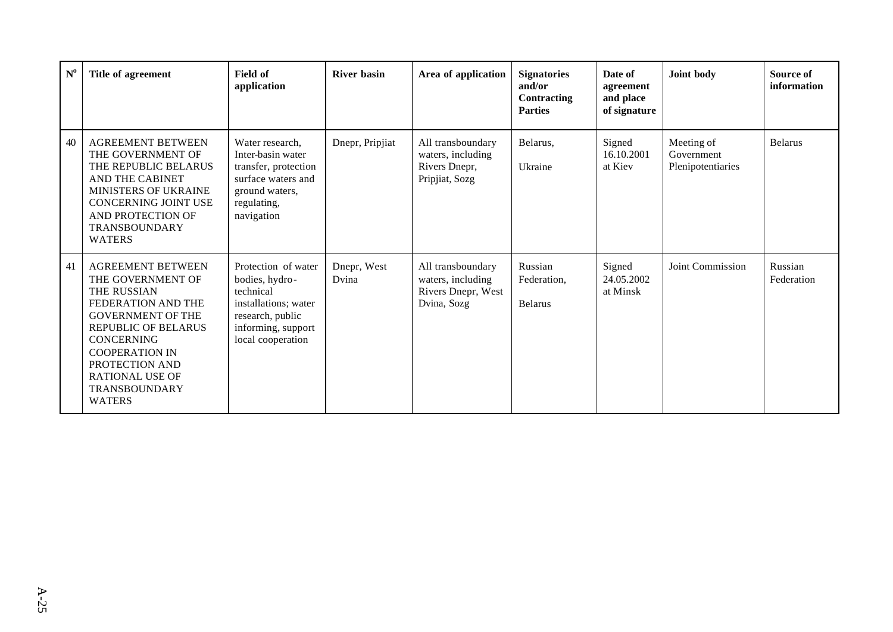| $\mathbf{N}^{\mathrm{o}}$ | Title of agreement                                                                                                                                                                                                                                                              | <b>Field of</b><br>application                                                                                                            | <b>River basin</b>   | Area of application                                                         | <b>Signatories</b><br>and/or<br>Contracting<br><b>Parties</b> | Date of<br>agreement<br>and place<br>of signature | Joint body                                    | Source of<br>information |
|---------------------------|---------------------------------------------------------------------------------------------------------------------------------------------------------------------------------------------------------------------------------------------------------------------------------|-------------------------------------------------------------------------------------------------------------------------------------------|----------------------|-----------------------------------------------------------------------------|---------------------------------------------------------------|---------------------------------------------------|-----------------------------------------------|--------------------------|
| 40                        | <b>AGREEMENT BETWEEN</b><br>THE GOVERNMENT OF<br>THE REPUBLIC BELARUS<br>AND THE CABINET<br>MINISTERS OF UKRAINE<br><b>CONCERNING JOINT USE</b><br>AND PROTECTION OF<br><b>TRANSBOUNDARY</b><br><b>WATERS</b>                                                                   | Water research,<br>Inter-basin water<br>transfer, protection<br>surface waters and<br>ground waters,<br>regulating,<br>navigation         | Dnepr, Pripjiat      | All transboundary<br>waters, including<br>Rivers Dnepr,<br>Pripjiat, Sozg   | Belarus,<br>Ukraine                                           | Signed<br>16.10.2001<br>at Kiev                   | Meeting of<br>Government<br>Plenipotentiaries | <b>Belarus</b>           |
| 41                        | <b>AGREEMENT BETWEEN</b><br>THE GOVERNMENT OF<br>THE RUSSIAN<br>FEDERATION AND THE<br><b>GOVERNMENT OF THE</b><br><b>REPUBLIC OF BELARUS</b><br><b>CONCERNING</b><br><b>COOPERATION IN</b><br>PROTECTION AND<br><b>RATIONAL USE OF</b><br><b>TRANSBOUNDARY</b><br><b>WATERS</b> | Protection of water<br>bodies, hydro-<br>technical<br>installations; water<br>research, public<br>informing, support<br>local cooperation | Dnepr, West<br>Dvina | All transboundary<br>waters, including<br>Rivers Dnepr, West<br>Dvina, Sozg | Russian<br>Federation,<br><b>Belarus</b>                      | Signed<br>24.05.2002<br>at Minsk                  | Joint Commission                              | Russian<br>Federation    |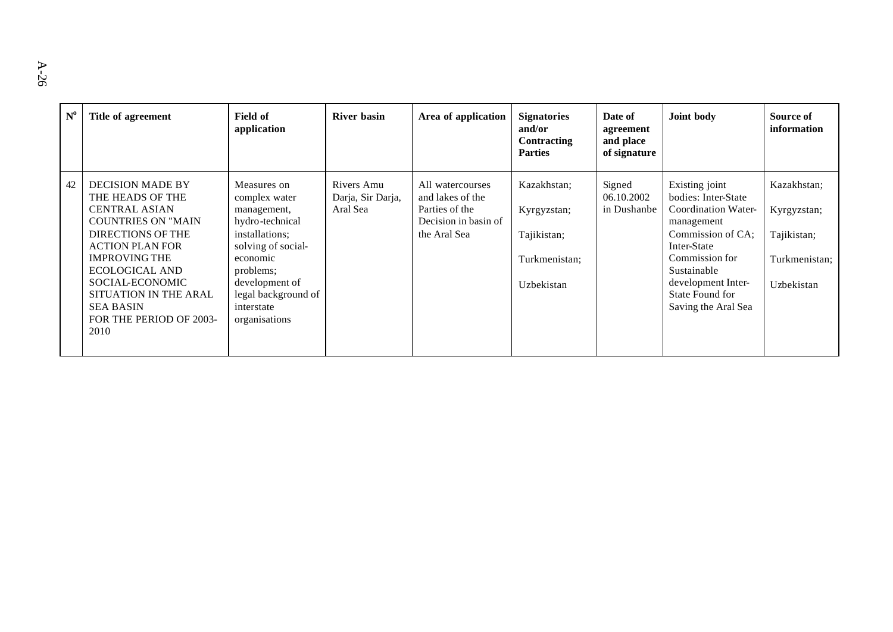| $N^{\mathrm{o}}$ | Title of agreement                                                                                                                                                                                                                                                                                         | <b>Field of</b><br>application                                                                                                                                                                          | <b>River basin</b>                          | Area of application                                                                            | <b>Signatories</b><br>and/or<br>Contracting<br><b>Parties</b>            | Date of<br>agreement<br>and place<br>of signature | Joint body                                                                                                                                                                                                      | Source of<br>information                                                 |
|------------------|------------------------------------------------------------------------------------------------------------------------------------------------------------------------------------------------------------------------------------------------------------------------------------------------------------|---------------------------------------------------------------------------------------------------------------------------------------------------------------------------------------------------------|---------------------------------------------|------------------------------------------------------------------------------------------------|--------------------------------------------------------------------------|---------------------------------------------------|-----------------------------------------------------------------------------------------------------------------------------------------------------------------------------------------------------------------|--------------------------------------------------------------------------|
| 42               | <b>DECISION MADE BY</b><br>THE HEADS OF THE<br><b>CENTRAL ASIAN</b><br><b>COUNTRIES ON "MAIN</b><br><b>DIRECTIONS OF THE</b><br><b>ACTION PLAN FOR</b><br><b>IMPROVING THE</b><br><b>ECOLOGICAL AND</b><br>SOCIAL-ECONOMIC<br>SITUATION IN THE ARAL<br><b>SEA BASIN</b><br>FOR THE PERIOD OF 2003-<br>2010 | Measures on<br>complex water<br>management,<br>hydro-technical<br>installations;<br>solving of social-<br>economic<br>problems;<br>development of<br>legal background of<br>interstate<br>organisations | Rivers Amu<br>Darja, Sir Darja,<br>Aral Sea | All watercourses<br>and lakes of the<br>Parties of the<br>Decision in basin of<br>the Aral Sea | Kazakhstan;<br>Kyrgyzstan;<br>Tajikistan;<br>Turkmenistan;<br>Uzbekistan | Signed<br>06.10.2002<br>in Dushanbe               | Existing joint<br>bodies: Inter-State<br>Coordination Water-<br>management<br>Commission of CA;<br>Inter-State<br>Commission for<br>Sustainable<br>development Inter-<br>State Found for<br>Saving the Aral Sea | Kazakhstan;<br>Kyrgyzstan;<br>Tajikistan;<br>Turkmenistan;<br>Uzbekistan |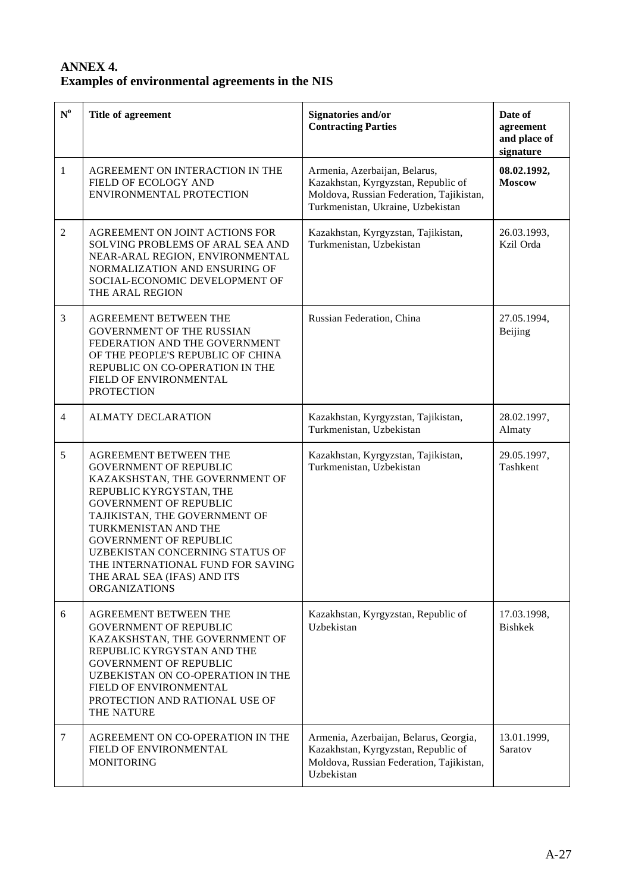# **ANNEX 4. Examples of environmental agreements in the NIS**

| $N^0$          | Title of agreement                                                                                                                                                                                                                                                                                                                                                                   | Signatories and/or<br><b>Contracting Parties</b>                                                                                                      | Date of<br>agreement<br>and place of<br>signature |
|----------------|--------------------------------------------------------------------------------------------------------------------------------------------------------------------------------------------------------------------------------------------------------------------------------------------------------------------------------------------------------------------------------------|-------------------------------------------------------------------------------------------------------------------------------------------------------|---------------------------------------------------|
| $\mathbf{1}$   | AGREEMENT ON INTERACTION IN THE<br>FIELD OF ECOLOGY AND<br>ENVIRONMENTAL PROTECTION                                                                                                                                                                                                                                                                                                  | Armenia, Azerbaijan, Belarus,<br>Kazakhstan, Kyrgyzstan, Republic of<br>Moldova, Russian Federation, Tajikistan,<br>Turkmenistan, Ukraine, Uzbekistan | 08.02.1992,<br><b>Moscow</b>                      |
| $\overline{2}$ | AGREEMENT ON JOINT ACTIONS FOR<br>SOLVING PROBLEMS OF ARAL SEA AND<br>NEAR-ARAL REGION, ENVIRONMENTAL<br>NORMALIZATION AND ENSURING OF<br>SOCIAL-ECONOMIC DEVELOPMENT OF<br>THE ARAL REGION                                                                                                                                                                                          | Kazakhstan, Kyrgyzstan, Tajikistan,<br>Turkmenistan, Uzbekistan                                                                                       | 26.03.1993,<br>Kzil Orda                          |
| 3              | <b>AGREEMENT BETWEEN THE</b><br><b>GOVERNMENT OF THE RUSSIAN</b><br>FEDERATION AND THE GOVERNMENT<br>OF THE PEOPLE'S REPUBLIC OF CHINA<br>REPUBLIC ON CO-OPERATION IN THE<br>FIELD OF ENVIRONMENTAL<br><b>PROTECTION</b>                                                                                                                                                             | Russian Federation, China                                                                                                                             | 27.05.1994,<br>Beijing                            |
| $\overline{4}$ | <b>ALMATY DECLARATION</b>                                                                                                                                                                                                                                                                                                                                                            | Kazakhstan, Kyrgyzstan, Tajikistan,<br>Turkmenistan, Uzbekistan                                                                                       | 28.02.1997,<br>Almaty                             |
| 5              | <b>AGREEMENT BETWEEN THE</b><br><b>GOVERNMENT OF REPUBLIC</b><br>KAZAKSHSTAN, THE GOVERNMENT OF<br>REPUBLIC KYRGYSTAN, THE<br><b>GOVERNMENT OF REPUBLIC</b><br>TAJIKISTAN, THE GOVERNMENT OF<br>TURKMENISTAN AND THE<br><b>GOVERNMENT OF REPUBLIC</b><br>UZBEKISTAN CONCERNING STATUS OF<br>THE INTERNATIONAL FUND FOR SAVING<br>THE ARAL SEA (IFAS) AND ITS<br><b>ORGANIZATIONS</b> | Kazakhstan, Kyrgyzstan, Tajikistan,<br>Turkmenistan, Uzbekistan                                                                                       | 29.05.1997,<br>Tashkent                           |
| 6              | <b>AGREEMENT BETWEEN THE</b><br><b>GOVERNMENT OF REPUBLIC</b><br>KAZAKSHSTAN, THE GOVERNMENT OF<br>REPUBLIC KYRGYSTAN AND THE<br><b>GOVERNMENT OF REPUBLIC</b><br>UZBEKISTAN ON CO-OPERATION IN THE<br>FIELD OF ENVIRONMENTAL<br>PROTECTION AND RATIONAL USE OF<br>THE NATURE                                                                                                        | Kazakhstan, Kyrgyzstan, Republic of<br>Uzbekistan                                                                                                     | 17.03.1998,<br><b>Bishkek</b>                     |
| 7              | AGREEMENT ON CO-OPERATION IN THE<br>FIELD OF ENVIRONMENTAL<br><b>MONITORING</b>                                                                                                                                                                                                                                                                                                      | Armenia, Azerbaijan, Belarus, Georgia,<br>Kazakhstan, Kyrgyzstan, Republic of<br>Moldova, Russian Federation, Tajikistan,<br>Uzbekistan               | 13.01.1999,<br>Saratov                            |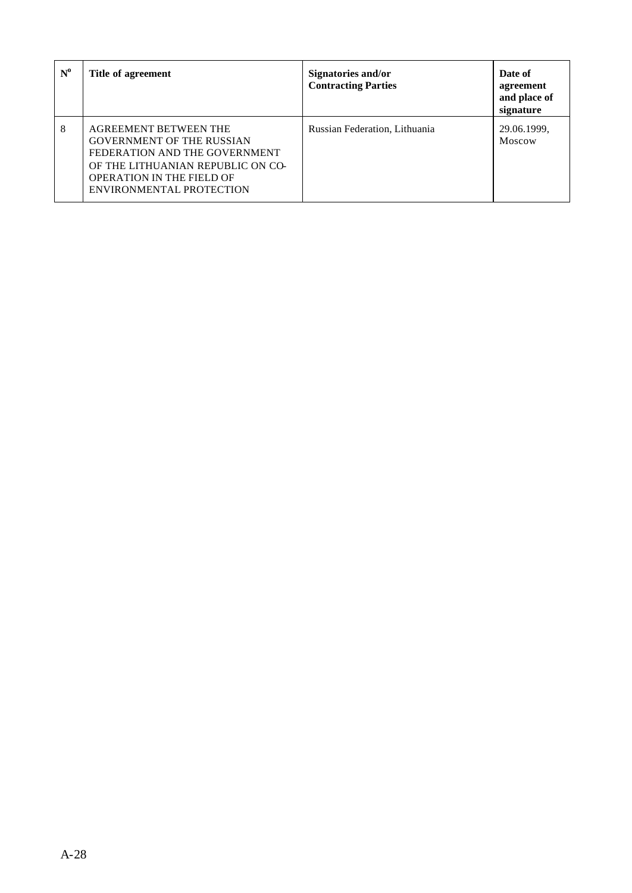| $N^{\rm o}$ | Title of agreement                                                                                                                                                                              | Signatories and/or<br><b>Contracting Parties</b> | Date of<br>agreement<br>and place of<br>signature |
|-------------|-------------------------------------------------------------------------------------------------------------------------------------------------------------------------------------------------|--------------------------------------------------|---------------------------------------------------|
| 8           | AGREEMENT BETWEEN THE<br><b>GOVERNMENT OF THE RUSSIAN</b><br>FEDERATION AND THE GOVERNMENT<br>OF THE LITHUANIAN REPUBLIC ON CO-<br><b>OPERATION IN THE FIELD OF</b><br>ENVIRONMENTAL PROTECTION | Russian Federation, Lithuania                    | 29.06.1999,<br>Moscow                             |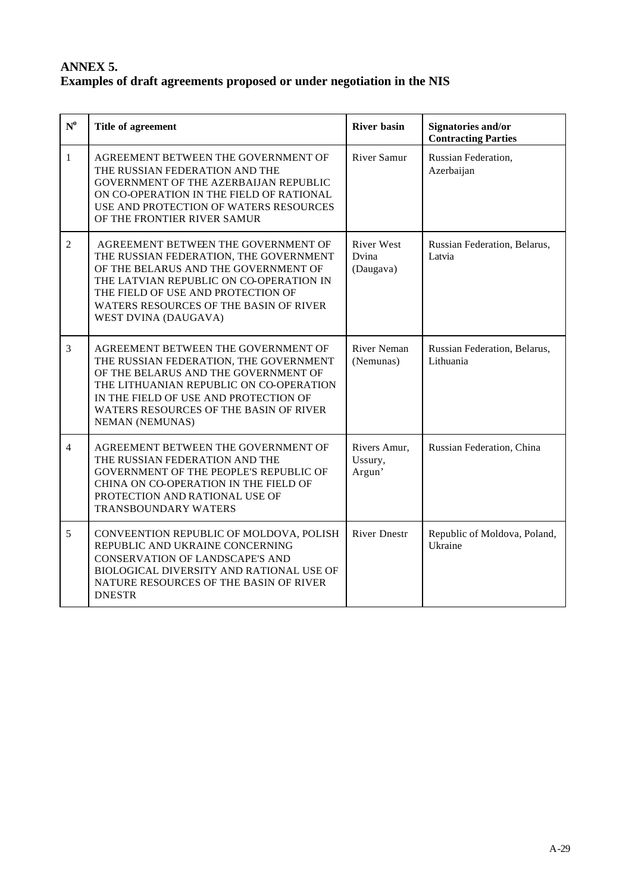# **ANNEX 5. Examples of draft agreements proposed or under negotiation in the NIS**

| $N^0$          | Title of agreement                                                                                                                                                                                                                                                       | <b>River basin</b>                      | Signatories and/or<br><b>Contracting Parties</b> |
|----------------|--------------------------------------------------------------------------------------------------------------------------------------------------------------------------------------------------------------------------------------------------------------------------|-----------------------------------------|--------------------------------------------------|
| $\mathbf{1}$   | AGREEMENT BETWEEN THE GOVERNMENT OF<br>THE RUSSIAN FEDERATION AND THE<br>GOVERNMENT OF THE AZERBAIJAN REPUBLIC<br>ON CO-OPERATION IN THE FIELD OF RATIONAL<br>USE AND PROTECTION OF WATERS RESOURCES<br>OF THE FRONTIER RIVER SAMUR                                      | <b>River Samur</b>                      | Russian Federation,<br>Azerbaijan                |
| $\overline{c}$ | AGREEMENT BETWEEN THE GOVERNMENT OF<br>THE RUSSIAN FEDERATION, THE GOVERNMENT<br>OF THE BELARUS AND THE GOVERNMENT OF<br>THE LATVIAN REPUBLIC ON CO-OPERATION IN<br>THE FIELD OF USE AND PROTECTION OF<br>WATERS RESOURCES OF THE BASIN OF RIVER<br>WEST DVINA (DAUGAVA) | <b>River West</b><br>Dvina<br>(Daugava) | Russian Federation, Belarus,<br>Latvia           |
| 3              | AGREEMENT BETWEEN THE GOVERNMENT OF<br>THE RUSSIAN FEDERATION, THE GOVERNMENT<br>OF THE BELARUS AND THE GOVERNMENT OF<br>THE LITHUANIAN REPUBLIC ON CO-OPERATION<br>IN THE FIELD OF USE AND PROTECTION OF<br>WATERS RESOURCES OF THE BASIN OF RIVER<br>NEMAN (NEMUNAS)   | River Neman<br>(Nemunas)                | Russian Federation, Belarus,<br>Lithuania        |
| $\overline{4}$ | AGREEMENT BETWEEN THE GOVERNMENT OF<br>THE RUSSIAN FEDERATION AND THE<br>GOVERNMENT OF THE PEOPLE'S REPUBLIC OF<br>CHINA ON CO-OPERATION IN THE FIELD OF<br>PROTECTION AND RATIONAL USE OF<br><b>TRANSBOUNDARY WATERS</b>                                                | Rivers Amur,<br>Ussury,<br>Argun'       | Russian Federation, China                        |
| 5              | CONVEENTION REPUBLIC OF MOLDOVA, POLISH<br>REPUBLIC AND UKRAINE CONCERNING<br><b>CONSERVATION OF LANDSCAPE'S AND</b><br>BIOLOGICAL DIVERSITY AND RATIONAL USE OF<br>NATURE RESOURCES OF THE BASIN OF RIVER<br><b>DNESTR</b>                                              | <b>River Dnestr</b>                     | Republic of Moldova, Poland,<br>Ukraine          |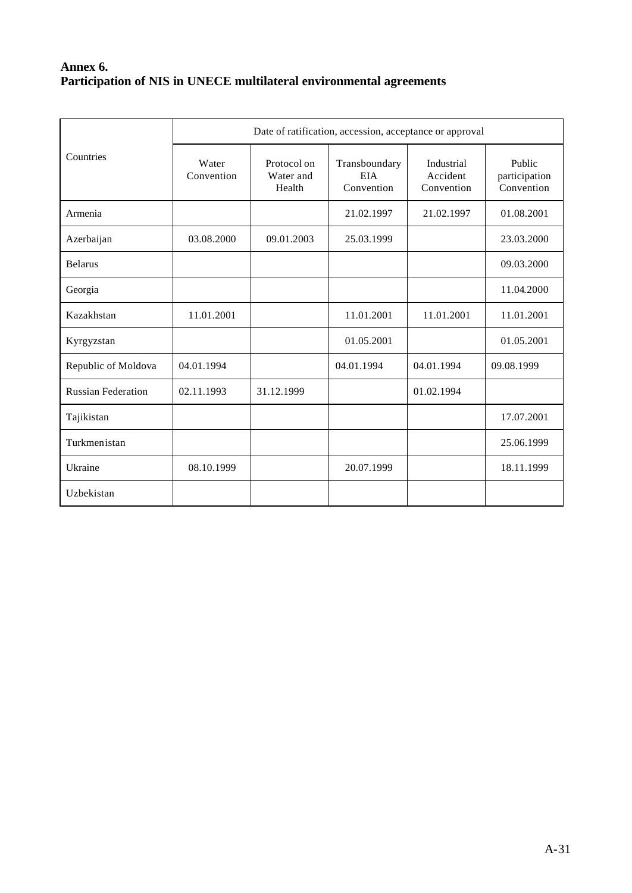# **Annex 6. Participation of NIS in UNECE multilateral environmental agreements**

|                           | Date of ratification, accession, acceptance or approval |                                    |                                           |                                      |                                       |
|---------------------------|---------------------------------------------------------|------------------------------------|-------------------------------------------|--------------------------------------|---------------------------------------|
| Countries                 | Water<br>Convention                                     | Protocol on<br>Water and<br>Health | Transboundary<br><b>EIA</b><br>Convention | Industrial<br>Accident<br>Convention | Public<br>participation<br>Convention |
| Armenia                   |                                                         |                                    | 21.02.1997                                | 21.02.1997                           | 01.08.2001                            |
| Azerbaijan                | 03.08.2000                                              | 09.01.2003                         | 25.03.1999                                |                                      | 23.03.2000                            |
| <b>Belarus</b>            |                                                         |                                    |                                           |                                      | 09.03.2000                            |
| Georgia                   |                                                         |                                    |                                           |                                      | 11.04.2000                            |
| Kazakhstan                | 11.01.2001                                              |                                    | 11.01.2001                                | 11.01.2001                           | 11.01.2001                            |
| Kyrgyzstan                |                                                         |                                    | 01.05.2001                                |                                      | 01.05.2001                            |
| Republic of Moldova       | 04.01.1994                                              |                                    | 04.01.1994                                | 04.01.1994                           | 09.08.1999                            |
| <b>Russian Federation</b> | 02.11.1993                                              | 31.12.1999                         |                                           | 01.02.1994                           |                                       |
| Tajikistan                |                                                         |                                    |                                           |                                      | 17.07.2001                            |
| Turkmenistan              |                                                         |                                    |                                           |                                      | 25.06.1999                            |
| Ukraine                   | 08.10.1999                                              |                                    | 20.07.1999                                |                                      | 18.11.1999                            |
| Uzbekistan                |                                                         |                                    |                                           |                                      |                                       |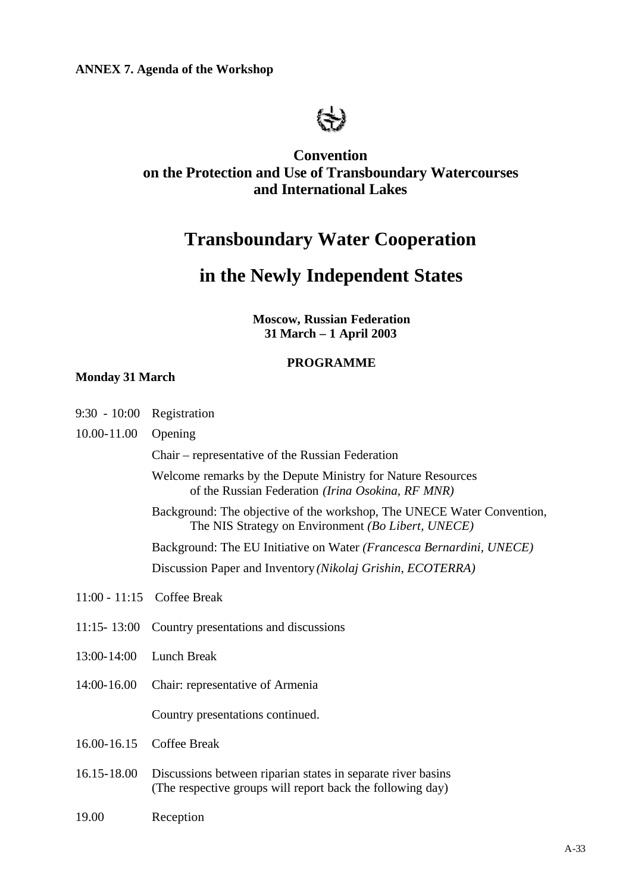**ANNEX 7. Agenda of the Workshop**

# $(\rightarrow)$

# **Convention on the Protection and Use of Transboundary Watercourses and International Lakes**

# **Transboundary Water Cooperation**

# **in the Newly Independent States**

#### **Moscow, Russian Federation 31 March – 1 April 2003**

# **PROGRAMME**

### **Monday 31 March**

| $9:30 - 10:00$ Registration |                                                                                                                              |  |  |
|-----------------------------|------------------------------------------------------------------------------------------------------------------------------|--|--|
| $10.00 - 11.00$             | Opening                                                                                                                      |  |  |
|                             | Chair – representative of the Russian Federation                                                                             |  |  |
|                             | Welcome remarks by the Depute Ministry for Nature Resources<br>of the Russian Federation (Irina Osokina, RF MNR)             |  |  |
|                             | Background: The objective of the workshop, The UNECE Water Convention,<br>The NIS Strategy on Environment (Bo Libert, UNECE) |  |  |
|                             | Background: The EU Initiative on Water (Francesca Bernardini, UNECE)                                                         |  |  |
|                             | Discussion Paper and Inventory (Nikolaj Grishin, ECOTERRA)                                                                   |  |  |
|                             | 11:00 - 11:15 Coffee Break                                                                                                   |  |  |
| $11:15 - 13:00$             | Country presentations and discussions                                                                                        |  |  |
| 13:00-14:00                 | <b>Lunch Break</b>                                                                                                           |  |  |
| 14:00-16.00                 | Chair: representative of Armenia                                                                                             |  |  |
|                             | Country presentations continued.                                                                                             |  |  |
| $16.00 - 16.15$             | <b>Coffee Break</b>                                                                                                          |  |  |
| 16.15-18.00                 | Discussions between riparian states in separate river basins<br>(The respective groups will report back the following day)   |  |  |
| 19.00                       | Reception                                                                                                                    |  |  |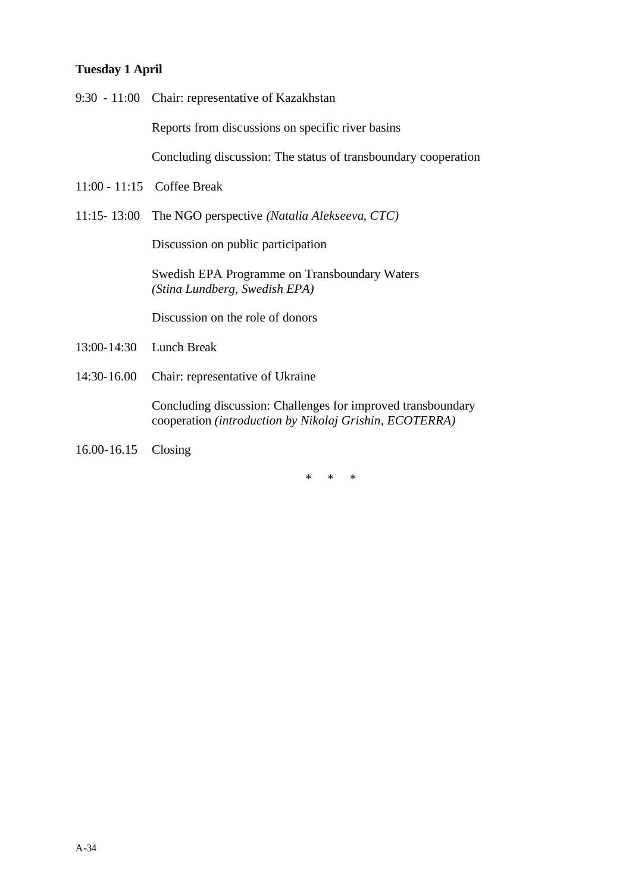#### **Tuesday 1 April**

9:30 - 11:00 Chair: representative of Kazakhstan

Reports from discussions on specific river basins

Concluding discussion: The status of transboundary cooperation

- 11:00 11:15 Coffee Break
- 11:15- 13:00 The NGO perspective *(Natalia Alekseeva, CTC)*

Discussion on public participation

Swedish EPA Programme on Transboundary Waters *(Stina Lundberg, Swedish EPA)*

Discussion on the role of donors

- 13:00-14:30 Lunch Break
- 14:30-16.00 Chair: representative of Ukraine

Concluding discussion: Challenges for improved transboundary cooperation *(introduction by Nikolaj Grishin, ECOTERRA)*

16.00-16.15 Closing

\* \* \*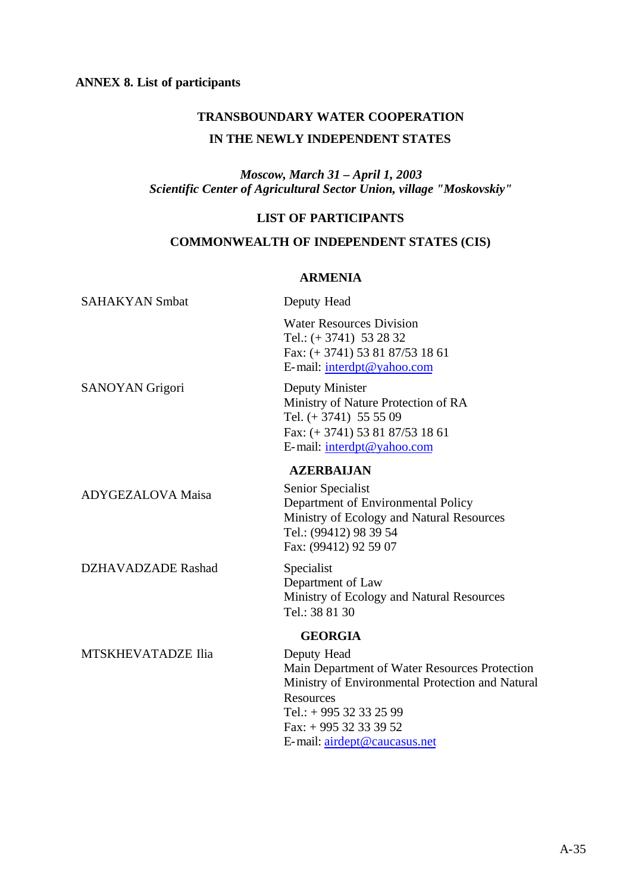# **ANNEX 8. List of participants**

# **TRANSBOUNDARY WATER COOPERATION**

### **IN THE NEWLY INDEPENDENT STATES**

*Moscow, March 31 – April 1, 2003 Scientific Center of Agricultural Sector Union, village "Moskovskiy"*

#### **LIST OF PARTICIPANTS**

# **COMMONWEALTH OF INDEPENDENT STATES (CIS)**

#### **ARMENIA**

| <b>SAHAKYAN Smbat</b>  | Deputy Head                                                                                                                                                                                                                 |
|------------------------|-----------------------------------------------------------------------------------------------------------------------------------------------------------------------------------------------------------------------------|
|                        | <b>Water Resources Division</b><br>Tel.: $(+3741)$ 53 28 32<br>Fax: (+ 3741) 53 81 87/53 18 61<br>E-mail: interdpt@yahoo.com                                                                                                |
| <b>SANOYAN</b> Grigori | Deputy Minister<br>Ministry of Nature Protection of RA<br>Tel. $(+3741)$ 55 55 09<br>Fax: (+ 3741) 53 81 87/53 18 61<br>E-mail: interdpt@yahoo.com                                                                          |
|                        | <b>AZERBAIJAN</b>                                                                                                                                                                                                           |
| ADYGEZALOVA Maisa      | Senior Specialist<br>Department of Environmental Policy<br>Ministry of Ecology and Natural Resources<br>Tel.: (99412) 98 39 54<br>Fax: (99412) 92 59 07                                                                     |
| DZHAVADZADE Rashad     | Specialist<br>Department of Law<br>Ministry of Ecology and Natural Resources<br>Tel.: 38 81 30                                                                                                                              |
|                        | <b>GEORGIA</b>                                                                                                                                                                                                              |
| MTSKHEVATADZE Ilia     | Deputy Head<br>Main Department of Water Resources Protection<br>Ministry of Environmental Protection and Natural<br><b>Resources</b><br>Tel.: $+995$ 32 33 25 99<br>Fax: $+995$ 32 33 39 52<br>E-mail: airdept@caucasus.net |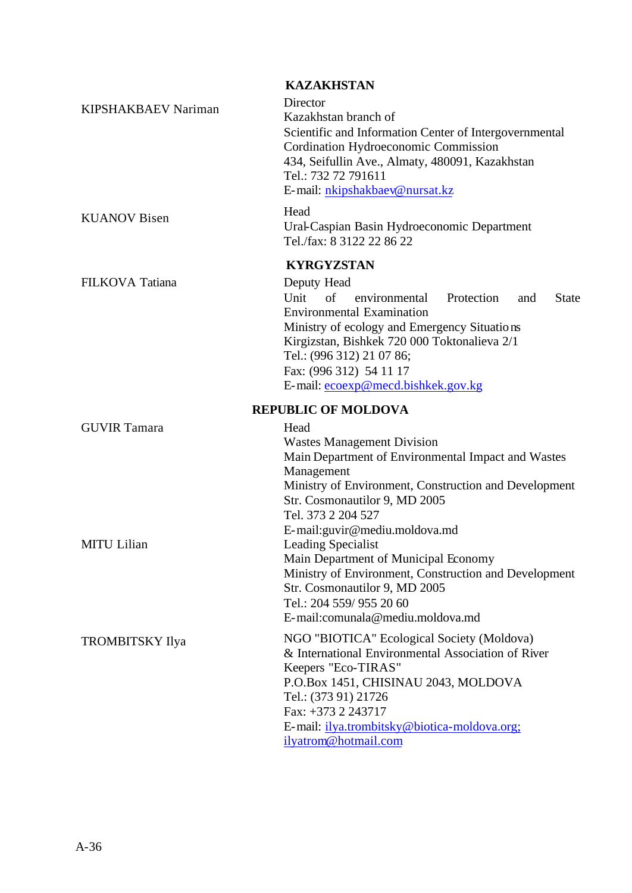|                        | <b>KAZAKHSTAN</b>                                                                                                                                                                                                                                                                                                                      |
|------------------------|----------------------------------------------------------------------------------------------------------------------------------------------------------------------------------------------------------------------------------------------------------------------------------------------------------------------------------------|
| KIPSHAKBAEV Nariman    | Director<br>Kazakhstan branch of<br>Scientific and Information Center of Intergovernmental<br>Cordination Hydroeconomic Commission<br>434, Seifullin Ave., Almaty, 480091, Kazakhstan<br>Tel.: 732 72 791611<br>E-mail: nkipshakbaev@nursat.kz                                                                                         |
| <b>KUANOV Bisen</b>    | Head<br>Ural-Caspian Basin Hydroeconomic Department<br>Tel./fax: 8 3122 22 86 22                                                                                                                                                                                                                                                       |
| FILKOVA Tatiana        | <b>KYRGYZSTAN</b><br>Deputy Head<br>Unit<br>of<br>environmental<br>Protection<br><b>State</b><br>and<br><b>Environmental Examination</b><br>Ministry of ecology and Emergency Situations<br>Kirgizstan, Bishkek 720 000 Toktonalieva 2/1<br>Tel.: (996 312) 21 07 86;<br>Fax: (996 312) 54 11 17<br>E-mail: ecoexp@mecd.bishkek.gov.kg |
|                        | <b>REPUBLIC OF MOLDOVA</b>                                                                                                                                                                                                                                                                                                             |
| <b>GUVIR Tamara</b>    | Head<br><b>Wastes Management Division</b><br>Main Department of Environmental Impact and Wastes<br>Management<br>Ministry of Environment, Construction and Development<br>Str. Cosmonautilor 9, MD 2005<br>Tel. 373 2 204 527<br>E-mail: guvir@mediu.moldova.md                                                                        |
| <b>MITU</b> Lilian     | <b>Leading Specialist</b><br>Main Department of Municipal Economy<br>Ministry of Environment, Construction and Development<br>Str. Cosmonautilor 9, MD 2005<br>Tel.: 204 559/955 20 60<br>E-mail:comunala@mediu.moldova.md                                                                                                             |
| <b>TROMBITSKY Ilya</b> | NGO "BIOTICA" Ecological Society (Moldova)<br>& International Environmental Association of River<br>Keepers "Eco-TIRAS"<br>P.O.Box 1451, CHISINAU 2043, MOLDOVA<br>Tel.: (373 91) 21726<br>Fax: +373 2 243717<br>E-mail: <i>ilya.trombitsky@biotica-moldova.org</i> ;<br>ilyatrom@hotmail.com                                          |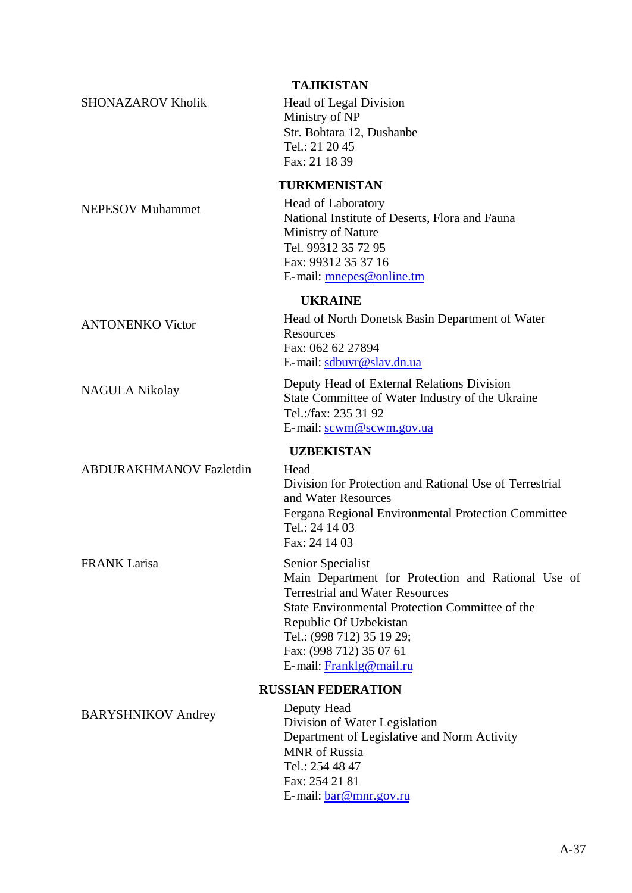|                                | <b>TAJIKISTAN</b>                                                                                                                                                                                                                                                                 |
|--------------------------------|-----------------------------------------------------------------------------------------------------------------------------------------------------------------------------------------------------------------------------------------------------------------------------------|
| <b>SHONAZAROV Kholik</b>       | Head of Legal Division<br>Ministry of NP<br>Str. Bohtara 12, Dushanbe<br>Tel.: 21 20 45<br>Fax: 21 18 39                                                                                                                                                                          |
|                                | TURKMENISTAN                                                                                                                                                                                                                                                                      |
| <b>NEPESOV Muhammet</b>        | Head of Laboratory<br>National Institute of Deserts, Flora and Fauna<br>Ministry of Nature<br>Tel. 99312 35 72 95<br>Fax: 99312 35 37 16<br>E-mail: mnepes@online.tm                                                                                                              |
|                                | <b>UKRAINE</b>                                                                                                                                                                                                                                                                    |
| <b>ANTONENKO Victor</b>        | Head of North Donetsk Basin Department of Water<br>Resources<br>Fax: 062 62 27894<br>E-mail: sdbuvr@slav.dn.ua                                                                                                                                                                    |
| <b>NAGULA Nikolay</b>          | Deputy Head of External Relations Division<br>State Committee of Water Industry of the Ukraine<br>Tel.:/fax: 235 31 92<br>E-mail: scwm@scwm.gov.ua                                                                                                                                |
|                                | <b>UZBEKISTAN</b>                                                                                                                                                                                                                                                                 |
| <b>ABDURAKHMANOV Fazletdin</b> | Head<br>Division for Protection and Rational Use of Terrestrial<br>and Water Resources<br>Fergana Regional Environmental Protection Committee<br>Tel.: 24 14 03<br>Fax: 24 14 03                                                                                                  |
| <b>FRANK Larisa</b>            | Senior Specialist<br>Main Department for Protection and Rational Use of<br><b>Terrestrial and Water Resources</b><br>State Environmental Protection Committee of the<br>Republic Of Uzbekistan<br>Tel.: (998 712) 35 19 29;<br>Fax: (998 712) 35 07 61<br>E-mail: Franklg@mail.ru |
|                                | <b>RUSSIAN FEDERATION</b>                                                                                                                                                                                                                                                         |
| <b>BARYSHNIKOV Andrey</b>      | Deputy Head<br>Division of Water Legislation<br>Department of Legislative and Norm Activity<br><b>MNR</b> of Russia<br>Tel.: 254 48 47<br>Fax: 254 21 81<br>E-mail: bar@mnr.gov.ru                                                                                                |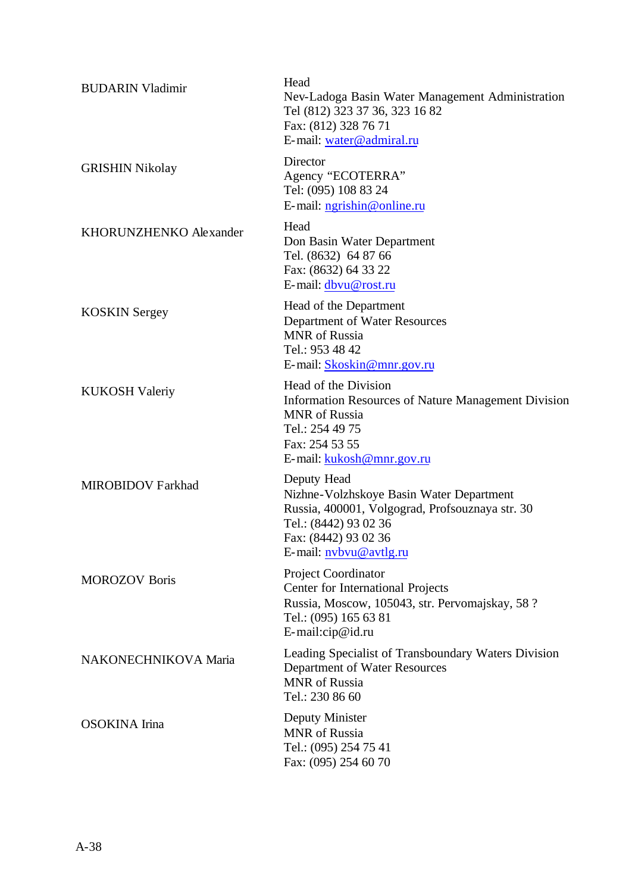| <b>BUDARIN Vladimir</b>  | Head<br>Nev-Ladoga Basin Water Management Administration<br>Tel (812) 323 37 36, 323 16 82<br>Fax: (812) 328 76 71<br>E-mail: water@admiral.ru                                        |
|--------------------------|---------------------------------------------------------------------------------------------------------------------------------------------------------------------------------------|
| <b>GRISHIN Nikolay</b>   | Director<br>Agency "ECOTERRA"<br>Tel: (095) 108 83 24<br>E-mail: ngrishin@online.ru                                                                                                   |
| KHORUNZHENKO Alexander   | Head<br>Don Basin Water Department<br>Tel. (8632) 64 87 66<br>Fax: (8632) 64 33 22<br>E-mail: dbvu@rost.ru                                                                            |
| <b>KOSKIN</b> Sergey     | Head of the Department<br>Department of Water Resources<br><b>MNR</b> of Russia<br>Tel.: 953 48 42<br>E-mail: Skoskin@mnr.gov.ru                                                      |
| <b>KUKOSH Valeriy</b>    | Head of the Division<br><b>Information Resources of Nature Management Division</b><br><b>MNR</b> of Russia<br>Tel.: 254 49 75<br>Fax: 254 53 55<br>E-mail: kukosh@mnr.gov.ru          |
| <b>MIROBIDOV Farkhad</b> | Deputy Head<br>Nizhne-Volzhskoye Basin Water Department<br>Russia, 400001, Volgograd, Profsouznaya str. 30<br>Tel.: (8442) 93 02 36<br>Fax: (8442) 93 02 36<br>E-mail: nvbvu@avtlg.ru |
| <b>MOROZOV Boris</b>     | <b>Project Coordinator</b><br>Center for International Projects<br>Russia, Moscow, 105043, str. Pervomajskay, 58 ?<br>Tel.: (095) 165 63 81<br>E-mail:cip@id.ru                       |
| NAKONECHNIKOVA Maria     | Leading Specialist of Transboundary Waters Division<br>Department of Water Resources<br><b>MNR</b> of Russia<br>Tel.: 230 86 60                                                       |
| <b>OSOKINA</b> Irina     | Deputy Minister<br><b>MNR</b> of Russia<br>Tel.: (095) 254 75 41<br>Fax: (095) 254 60 70                                                                                              |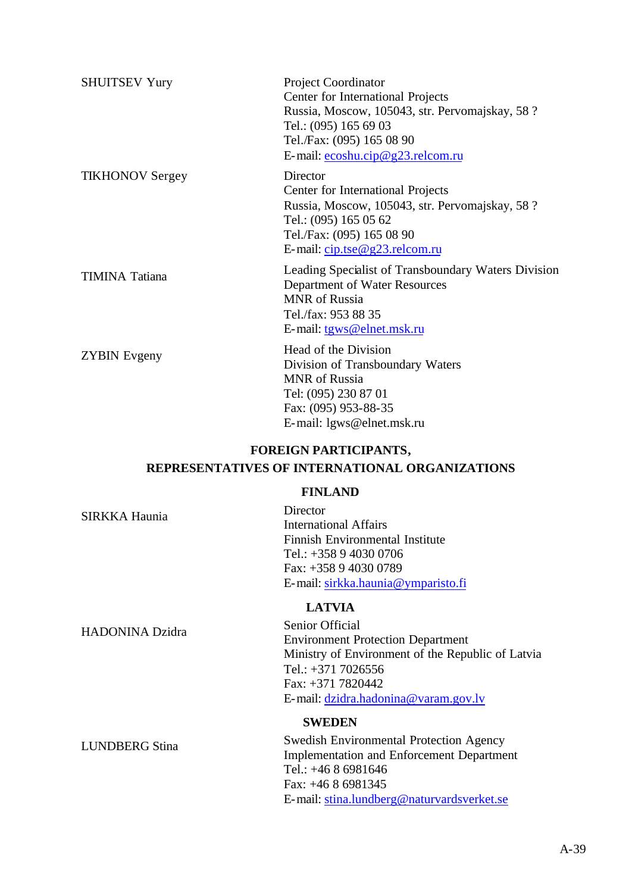| <b>SHUITSEV Yury</b>   | <b>Project Coordinator</b><br>Center for International Projects<br>Russia, Moscow, 105043, str. Pervomajskay, 58 ?<br>Tel.: (095) 165 69 03<br>Tel./Fax: (095) 165 08 90<br>E-mail: $ecoshu.cip@g23.$ relcom.ru |
|------------------------|-----------------------------------------------------------------------------------------------------------------------------------------------------------------------------------------------------------------|
| <b>TIKHONOV Sergey</b> | Director<br>Center for International Projects<br>Russia, Moscow, 105043, str. Pervomajskay, 58 ?<br>Tel.: (095) 165 05 62<br>Tel./Fax: (095) 165 08 90<br>E-mail: $cip.tse@g23.$ relcom.ru                      |
| <b>TIMINA</b> Tatiana  | Leading Specialist of Transboundary Waters Division<br>Department of Water Resources<br><b>MNR</b> of Russia<br>Tel./fax: 953 88 35<br>E-mail: tgws@elnet.msk.ru                                                |
| <b>ZYBIN</b> Evgeny    | Head of the Division<br>Division of Transboundary Waters<br><b>MNR</b> of Russia<br>Tel: (095) 230 87 01<br>Fax: (095) 953-88-35<br>E-mail: lgws@elnet.msk.ru                                                   |

# **FOREIGN PARTICIPANTS, REPRESENTATIVES OF INTERNATIONAL ORGANIZATIONS**

# **FINLAND**

| SIRKKA Haunia          | Director                                          |
|------------------------|---------------------------------------------------|
|                        | <b>International Affairs</b>                      |
|                        | Finnish Environmental Institute                   |
|                        | Tel.: $+358940300706$                             |
|                        | Fax: +358 9 4030 0789                             |
|                        | E-mail: sirkka.haunia@ymparisto.fi                |
|                        | <b>LATVIA</b>                                     |
| <b>HADONINA Dzidra</b> | Senior Official                                   |
|                        | <b>Environment Protection Department</b>          |
|                        | Ministry of Environment of the Republic of Latvia |
|                        | Tel.: $+371$ 7026556                              |
|                        | Fax: +371 7820442                                 |
|                        | E-mail: dzidra.hadonina@varam.gov.lv              |
|                        | <b>SWEDEN</b>                                     |
| <b>LUNDBERG Stina</b>  | <b>Swedish Environmental Protection Agency</b>    |
|                        | <b>Implementation and Enforcement Department</b>  |
|                        | Tel.: $+4686981646$                               |
|                        | Fax: $+4686981345$                                |
|                        | E-mail: stina.lundberg@naturvardsverket.se        |
|                        |                                                   |